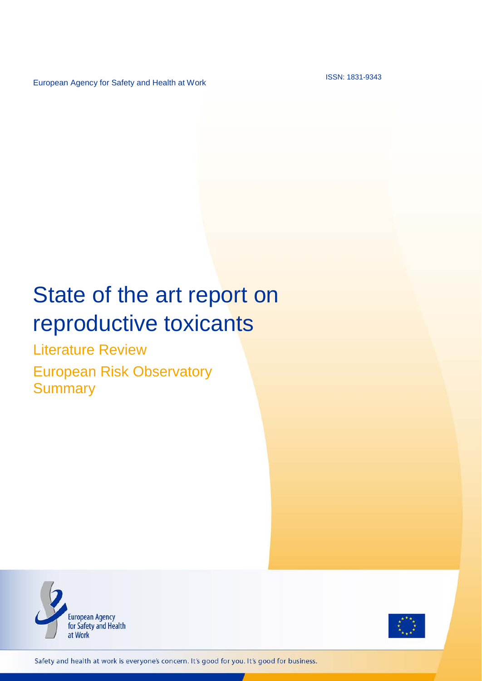European Agency for Safety and Health at Work

ISSN: 1831-9343

# State of the art report on reproductive toxicants

Literature Review

European Risk Observatory **Summary** 





Safety and health at work is everyone's concern. It's good for you. It's good for business.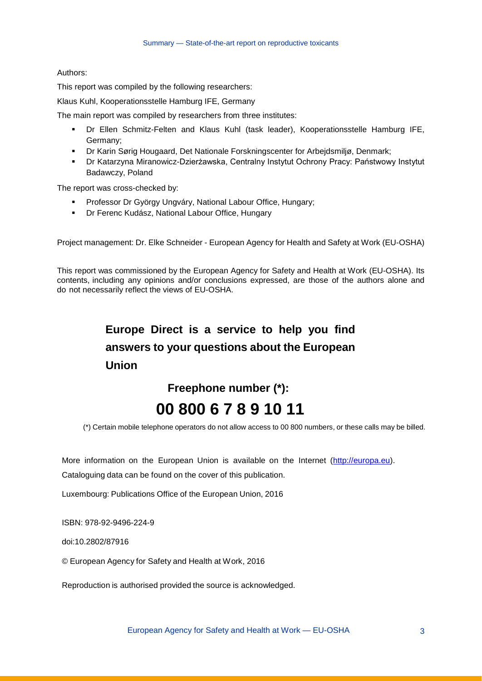#### Authors:

This report was compiled by the following researchers:

Klaus Kuhl, Kooperationsstelle Hamburg IFE, Germany

The main report was compiled by researchers from three institutes:

- Dr Ellen Schmitz-Felten and Klaus Kuhl (task leader), Kooperationsstelle Hamburg IFE, Germany;
- Dr Karin Sørig Hougaard, Det Nationale Forskningscenter for Arbejdsmiljø, Denmark;
- Dr Katarzyna Miranowicz-Dzierżawska, Centralny Instytut Ochrony Pracy: Państwowy Instytut Badawczy, Poland

The report was cross-checked by:

- **Professor Dr György Ungváry, National Labour Office, Hungary;**
- Dr Ferenc Kudász, National Labour Office, Hungary

Project management: Dr. Elke Schneider - European Agency for Health and Safety at Work (EU-OSHA)

This report was commissioned by the European Agency for Safety and Health at Work (EU-OSHA). Its contents, including any opinions and/or conclusions expressed, are those of the authors alone and do not necessarily reflect the views of EU-OSHA.

## **Europe Direct is a service to help you find answers to your questions about the European Union**

## **Freephone number (\*): 00 800 6 7 8 9 10 11**

(\*) Certain mobile telephone operators do not allow access to 00 800 numbers, or these calls may be billed.

More information on the European Union is available on the Internet [\(http://europa.eu\)](http://europa.eu/).

Cataloguing data can be found on the cover of this publication.

Luxembourg: Publications Office of the European Union, 2016

ISBN: 978-92-9496-224-9

doi:10.2802/87916

© European Agency for Safety and Health at Work, 2016

Reproduction is authorised provided the source is acknowledged.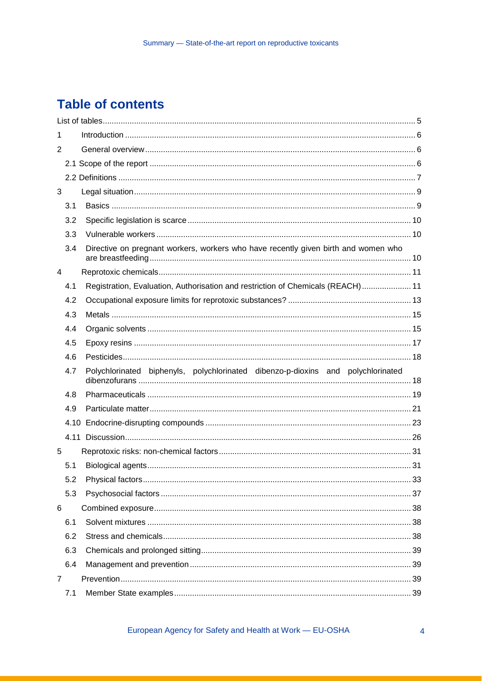## **Table of contents**

| 1            |     |                                                                                    |  |
|--------------|-----|------------------------------------------------------------------------------------|--|
| 2            |     |                                                                                    |  |
|              |     |                                                                                    |  |
|              |     |                                                                                    |  |
| $\mathbf{3}$ |     |                                                                                    |  |
|              | 3.1 |                                                                                    |  |
|              | 3.2 |                                                                                    |  |
|              | 3.3 |                                                                                    |  |
|              | 3.4 | Directive on pregnant workers, workers who have recently given birth and women who |  |
| 4            |     |                                                                                    |  |
|              | 4.1 | Registration, Evaluation, Authorisation and restriction of Chemicals (REACH) 11    |  |
|              | 4.2 |                                                                                    |  |
|              | 4.3 |                                                                                    |  |
|              | 4.4 |                                                                                    |  |
|              | 4.5 |                                                                                    |  |
|              | 4.6 |                                                                                    |  |
|              |     |                                                                                    |  |
|              | 4.7 | Polychlorinated biphenyls, polychlorinated dibenzo-p-dioxins and polychlorinated   |  |
|              | 4.8 |                                                                                    |  |
|              | 4.9 |                                                                                    |  |
|              |     |                                                                                    |  |
|              |     |                                                                                    |  |
| 5            |     |                                                                                    |  |
|              | 5.1 |                                                                                    |  |
|              | 5.2 | 33                                                                                 |  |
|              | 5.3 |                                                                                    |  |
| 6            |     |                                                                                    |  |
|              | 6.1 |                                                                                    |  |
|              | 6.2 |                                                                                    |  |
|              | 6.3 |                                                                                    |  |
|              | 6.4 |                                                                                    |  |
| 7            |     |                                                                                    |  |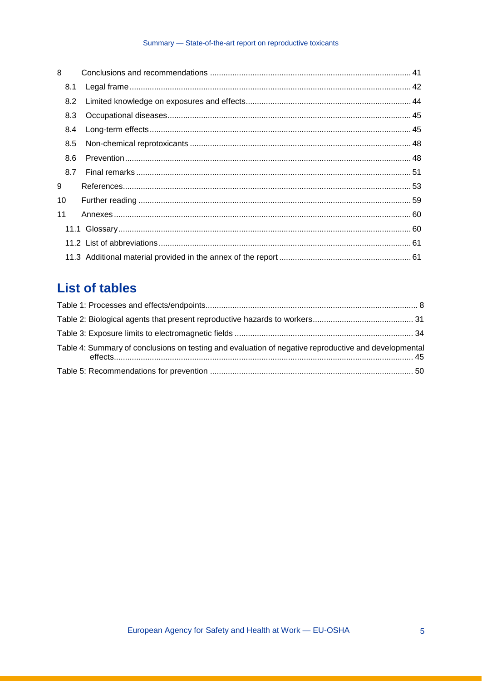#### Summary - State-of-the-art report on reproductive toxicants

| 8   |  |
|-----|--|
| 8.1 |  |
| 8.2 |  |
| 8.3 |  |
| 8.4 |  |
| 8.5 |  |
| 8.6 |  |
| 8.7 |  |
| 9   |  |
| 10  |  |
| 11  |  |
|     |  |
|     |  |
|     |  |

## **List of tables**

| Table 4: Summary of conclusions on testing and evaluation of negative reproductive and developmental |  |
|------------------------------------------------------------------------------------------------------|--|
|                                                                                                      |  |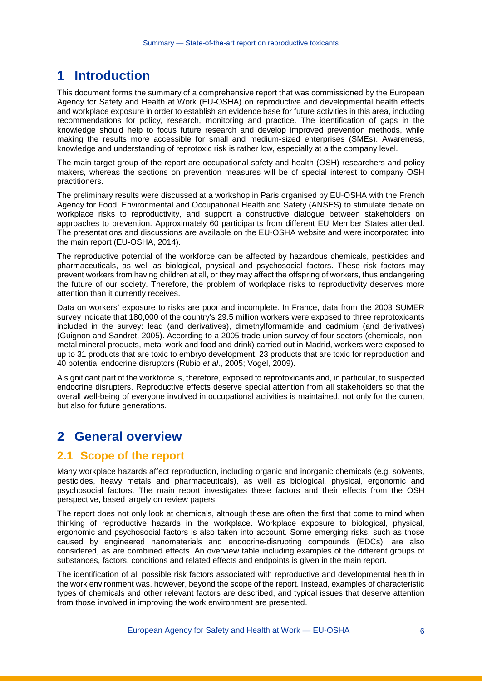## **1 Introduction**

This document forms the summary of a comprehensive report that was commissioned by the European Agency for Safety and Health at Work (EU-OSHA) on reproductive and developmental health effects and workplace exposure in order to establish an evidence base for future activities in this area, including recommendations for policy, research, monitoring and practice. The identification of gaps in the knowledge should help to focus future research and develop improved prevention methods, while making the results more accessible for small and medium-sized enterprises (SMEs). Awareness, knowledge and understanding of reprotoxic risk is rather low, especially at a the company level.

The main target group of the report are occupational safety and health (OSH) researchers and policy makers, whereas the sections on prevention measures will be of special interest to company OSH practitioners.

The preliminary results were discussed at a workshop in Paris organised by EU-OSHA with the French Agency for Food, Environmental and Occupational Health and Safety (ANSES) to stimulate debate on workplace risks to reproductivity, and support a constructive dialogue between stakeholders on approaches to prevention. Approximately 60 participants from different EU Member States attended. The presentations and discussions are available on the EU-OSHA website and were incorporated into the main report (EU-OSHA, 2014).

The reproductive potential of the workforce can be affected by hazardous chemicals, pesticides and pharmaceuticals, as well as biological, physical and psychosocial factors. These risk factors may prevent workers from having children at all, or they may affect the offspring of workers, thus endangering the future of our society. Therefore, the problem of workplace risks to reproductivity deserves more attention than it currently receives.

Data on workers' exposure to risks are poor and incomplete. In France, data from the 2003 SUMER survey indicate that 180,000 of the country's 29.5 million workers were exposed to three reprotoxicants included in the survey: lead (and derivatives), dimethylformamide and cadmium (and derivatives) (Guignon and Sandret, 2005). According to a 2005 trade union survey of four sectors (chemicals, nonmetal mineral products, metal work and food and drink) carried out in Madrid, workers were exposed to up to 31 products that are toxic to embryo development, 23 products that are toxic for reproduction and 40 potential endocrine disruptors (Rubio *et al*., 2005; Vogel, 2009).

A significant part of the workforce is, therefore, exposed to reprotoxicants and, in particular, to suspected endocrine disrupters. Reproductive effects deserve special attention from all stakeholders so that the overall well-being of everyone involved in occupational activities is maintained, not only for the current but also for future generations.

## **2 General overview**

#### **2.1 Scope of the report**

Many workplace hazards affect reproduction, including organic and inorganic chemicals (e.g. solvents, pesticides, heavy metals and pharmaceuticals), as well as biological, physical, ergonomic and psychosocial factors. The main report investigates these factors and their effects from the OSH perspective, based largely on review papers.

The report does not only look at chemicals, although these are often the first that come to mind when thinking of reproductive hazards in the workplace. Workplace exposure to biological, physical, ergonomic and psychosocial factors is also taken into account. Some emerging risks, such as those caused by engineered nanomaterials and endocrine-disrupting compounds (EDCs), are also considered, as are combined effects. An overview table including examples of the different groups of substances, factors, conditions and related effects and endpoints is given in the main report.

The identification of all possible risk factors associated with reproductive and developmental health in the work environment was, however, beyond the scope of the report. Instead, examples of characteristic types of chemicals and other relevant factors are described, and typical issues that deserve attention from those involved in improving the work environment are presented.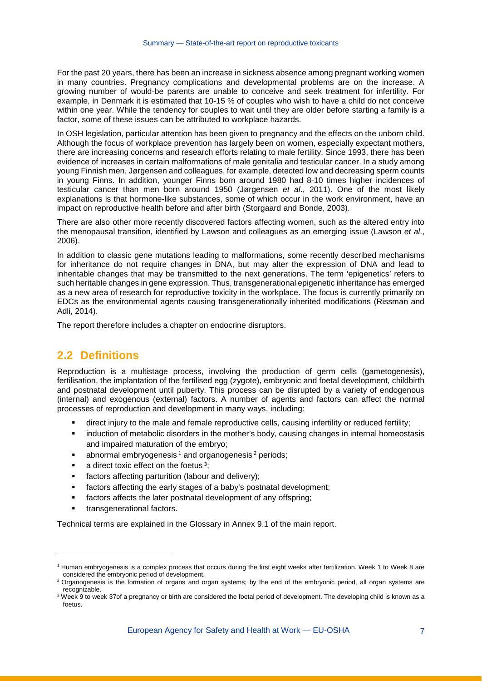For the past 20 years, there has been an increase in sickness absence among pregnant working women in many countries. Pregnancy complications and developmental problems are on the increase. A growing number of would-be parents are unable to conceive and seek treatment for infertility. For example, in Denmark it is estimated that 10-15 % of couples who wish to have a child do not conceive within one year. While the tendency for couples to wait until they are older before starting a family is a factor, some of these issues can be attributed to workplace hazards.

In OSH legislation, particular attention has been given to pregnancy and the effects on the unborn child. Although the focus of workplace prevention has largely been on women, especially expectant mothers, there are increasing concerns and research efforts relating to male fertility. Since 1993, there has been evidence of increases in certain malformations of male genitalia and testicular cancer. In a study among young Finnish men, Jørgensen and colleagues, for example, detected low and decreasing sperm counts in young Finns. In addition, younger Finns born around 1980 had 8-10 times higher incidences of testicular cancer than men born around 1950 (Jørgensen *et al*., 2011). One of the most likely explanations is that hormone-like substances, some of which occur in the work environment, have an impact on reproductive health before and after birth (Storgaard and Bonde, 2003).

There are also other more recently discovered factors affecting women, such as the altered entry into the menopausal transition, identified by Lawson and colleagues as an emerging issue (Lawson *et al*., 2006).

In addition to classic gene mutations leading to malformations, some recently described mechanisms for inheritance do not require changes in DNA, but may alter the expression of DNA and lead to inheritable changes that may be transmitted to the next generations. The term 'epigenetics' refers to such heritable changes in gene expression. Thus, transgenerational epigenetic inheritance has emerged as a new area of research for reproductive toxicity in the workplace. The focus is currently primarily on EDCs as the environmental agents causing transgenerationally inherited modifications (Rissman and Adli, 2014).

The report therefore includes a chapter on endocrine disruptors.

### **2.2 Definitions**

Reproduction is a multistage process, involving the production of germ cells (gametogenesis), fertilisation, the implantation of the fertilised egg (zygote), embryonic and foetal development, childbirth and postnatal development until puberty. This process can be disrupted by a variety of endogenous (internal) and exogenous (external) factors. A number of agents and factors can affect the normal processes of reproduction and development in many ways, including:

- direct injury to the male and female reproductive cells, causing infertility or reduced fertility;
- **EXED** induction of metabolic disorders in the mother's body, causing changes in internal homeostasis and impaired maturation of the embryo;
- $\blacksquare$  abnormal embryogenesis<sup>[1](#page-5-0)</sup> and organogenesis<sup>[2](#page-5-1)</sup> periods;
- a direct toxic effect on the foetus [3;](#page-5-2)
- factors affecting parturition (labour and delivery);
- factors affecting the early stages of a baby's postnatal development;
- **factors affects the later postnatal development of any offspring;**
- transgenerational factors.

-

Technical terms are explained in the Glossary in Annex 9.1 of the main report.

<span id="page-5-0"></span><sup>1</sup> Human embryogenesis is a complex process that occurs during the first eight weeks after fertilization. Week 1 to Week 8 are considered the embryonic period of development.

<span id="page-5-1"></span><sup>&</sup>lt;sup>2</sup> Organogenesis is the formation of organs and organ systems; by the end of the embryonic period, all organ systems are recognizable.

<span id="page-5-2"></span><sup>&</sup>lt;sup>3</sup> Week 9 to week 37of a pregnancy or birth are considered the foetal period of development. The developing child is known as a foetus.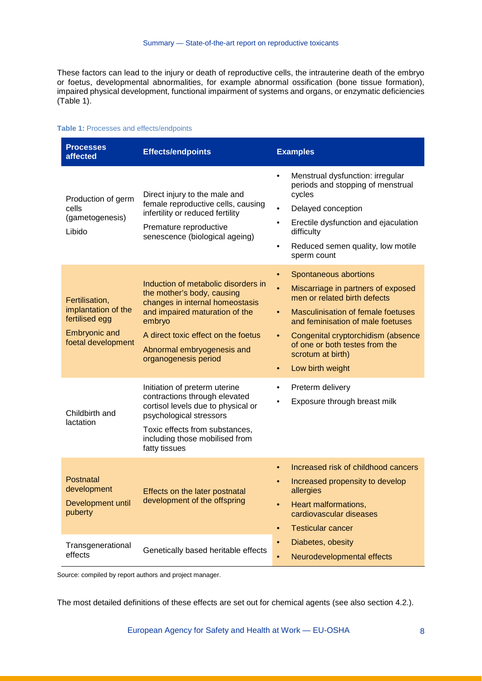These factors can lead to the injury or death of reproductive cells, the intrauterine death of the embryo or foetus, developmental abnormalities, for example abnormal ossification (bone tissue formation), impaired physical development, functional impairment of systems and organs, or enzymatic deficiencies [\(Table 1\)](#page-6-0).

#### <span id="page-6-0"></span>**Table 1:** Processes and effects/endpoints

| <b>Processes</b><br>affected                                                                          | <b>Effects/endpoints</b>                                                                                                                                                                                                                      | <b>Examples</b>                                                                                                                                                                                                                                                                                                                                                 |
|-------------------------------------------------------------------------------------------------------|-----------------------------------------------------------------------------------------------------------------------------------------------------------------------------------------------------------------------------------------------|-----------------------------------------------------------------------------------------------------------------------------------------------------------------------------------------------------------------------------------------------------------------------------------------------------------------------------------------------------------------|
| Production of germ<br>cells<br>(gametogenesis)<br>Libido                                              | Direct injury to the male and<br>female reproductive cells, causing<br>infertility or reduced fertility<br>Premature reproductive<br>senescence (biological ageing)                                                                           | Menstrual dysfunction: irregular<br>$\bullet$<br>periods and stopping of menstrual<br>cycles<br>Delayed conception<br>$\bullet$<br>Erectile dysfunction and ejaculation<br>$\bullet$<br>difficulty<br>Reduced semen quality, low motile<br>$\bullet$<br>sperm count                                                                                             |
| Fertilisation,<br>implantation of the<br>fertilised egg<br><b>Embryonic and</b><br>foetal development | Induction of metabolic disorders in<br>the mother's body, causing<br>changes in internal homeostasis<br>and impaired maturation of the<br>embryo<br>A direct toxic effect on the foetus<br>Abnormal embryogenesis and<br>organogenesis period | Spontaneous abortions<br>$\bullet$<br>$\bullet$<br>Miscarriage in partners of exposed<br>men or related birth defects<br><b>Masculinisation of female foetuses</b><br>$\bullet$<br>and feminisation of male foetuses<br>Congenital cryptorchidism (absence<br>$\bullet$<br>of one or both testes from the<br>scrotum at birth)<br>Low birth weight<br>$\bullet$ |
| Childbirth and<br>lactation                                                                           | Initiation of preterm uterine<br>contractions through elevated<br>cortisol levels due to physical or<br>psychological stressors<br>Toxic effects from substances,<br>including those mobilised from<br>fatty tissues                          | Preterm delivery<br>Exposure through breast milk                                                                                                                                                                                                                                                                                                                |
| Postnatal<br>development<br>Development until<br>puberty                                              | Effects on the later postnatal<br>development of the offspring                                                                                                                                                                                | Increased risk of childhood cancers<br>$\bullet$<br>Increased propensity to develop<br>allergies<br>Heart malformations,<br>$\bullet$<br>cardiovascular diseases<br><b>Testicular cancer</b><br>$\bullet$                                                                                                                                                       |
| Transgenerational<br>effects                                                                          | Genetically based heritable effects                                                                                                                                                                                                           | Diabetes, obesity<br>$\bullet$<br>Neurodevelopmental effects<br>$\bullet$                                                                                                                                                                                                                                                                                       |

Source: compiled by report authors and project manager.

The most detailed definitions of these effects are set out for chemical agents (see also section 4.2.).

European Agency for Safety and Health at Work — EU-OSHA 8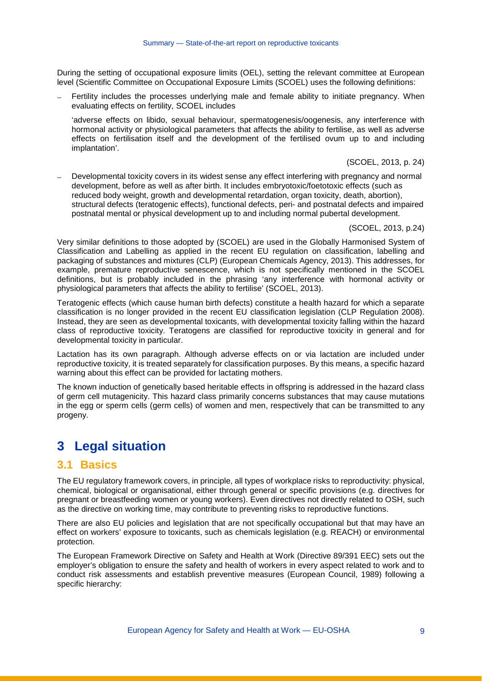During the setting of occupational exposure limits (OEL), setting the relevant committee at European level (Scientific Committee on Occupational Exposure Limits (SCOEL) uses the following definitions:

Fertility includes the processes underlying male and female ability to initiate pregnancy. When evaluating effects on fertility, SCOEL includes

'adverse effects on libido, sexual behaviour, spermatogenesis/oogenesis, any interference with hormonal activity or physiological parameters that affects the ability to fertilise, as well as adverse effects on fertilisation itself and the development of the fertilised ovum up to and including implantation'.

(SCOEL, 2013, p. 24)

Developmental toxicity covers in its widest sense any effect interfering with pregnancy and normal development, before as well as after birth. It includes embryotoxic/foetotoxic effects (such as reduced body weight, growth and developmental retardation, organ toxicity, death, abortion), structural defects (teratogenic effects), functional defects, peri- and postnatal defects and impaired postnatal mental or physical development up to and including normal pubertal development.

(SCOEL, 2013, p.24)

Very similar definitions to those adopted by (SCOEL) are used in the Globally Harmonised System of Classification and Labelling as applied in the recent EU regulation on classification, labelling and packaging of substances and mixtures (CLP) (European Chemicals Agency, 2013). This addresses, for example, premature reproductive senescence, which is not specifically mentioned in the SCOEL definitions, but is probably included in the phrasing 'any interference with hormonal activity or physiological parameters that affects the ability to fertilise' (SCOEL, 2013).

Teratogenic effects (which cause human birth defects) constitute a health hazard for which a separate classification is no longer provided in the recent EU classification legislation (CLP Regulation 2008). Instead, they are seen as developmental toxicants, with developmental toxicity falling within the hazard class of reproductive toxicity. Teratogens are classified for reproductive toxicity in general and for developmental toxicity in particular.

Lactation has its own paragraph. Although adverse effects on or via lactation are included under reproductive toxicity, it is treated separately for classification purposes. By this means, a specific hazard warning about this effect can be provided for lactating mothers.

The known induction of genetically based heritable effects in offspring is addressed in the hazard class of germ cell mutagenicity. This hazard class primarily concerns substances that may cause mutations in the egg or sperm cells (germ cells) of women and men, respectively that can be transmitted to any progeny.

## **3 Legal situation**

#### **3.1 Basics**

The EU regulatory framework covers, in principle, all types of workplace risks to reproductivity: physical, chemical, biological or organisational, either through general or specific provisions (e.g. directives for pregnant or breastfeeding women or young workers). Even directives not directly related to OSH, such as the directive on working time, may contribute to preventing risks to reproductive functions.

There are also EU policies and legislation that are not specifically occupational but that may have an effect on workers' exposure to toxicants, such as chemicals legislation (e.g. REACH) or environmental protection.

The European Framework Directive on Safety and Health at Work (Directive 89/391 EEC) sets out the employer's obligation to ensure the safety and health of workers in every aspect related to work and to conduct risk assessments and establish preventive measures (European Council, 1989) following a specific hierarchy: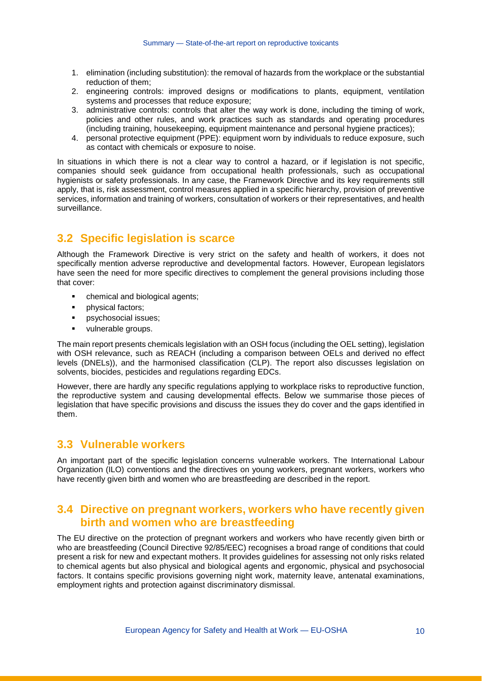- 1. elimination (including substitution): the removal of hazards from the workplace or the substantial reduction of them;
- 2. engineering controls: improved designs or modifications to plants, equipment, ventilation systems and processes that reduce exposure;
- 3. administrative controls: controls that alter the way work is done, including the timing of work, policies and other rules, and work practices such as standards and operating procedures (including training, housekeeping, equipment maintenance and personal hygiene practices);
- 4. personal protective equipment (PPE): equipment worn by individuals to reduce exposure, such as contact with chemicals or exposure to noise.

In situations in which there is not a clear way to control a hazard, or if legislation is not specific. companies should seek guidance from occupational health professionals, such as occupational hygienists or safety professionals. In any case, the Framework Directive and its key requirements still apply, that is, risk assessment, control measures applied in a specific hierarchy, provision of preventive services, information and training of workers, consultation of workers or their representatives, and health surveillance.

## **3.2 Specific legislation is scarce**

Although the Framework Directive is very strict on the safety and health of workers, it does not specifically mention adverse reproductive and developmental factors. However, European legislators have seen the need for more specific directives to complement the general provisions including those that cover:

- chemical and biological agents;
- **•** physical factors;
- psychosocial issues;
- vulnerable groups.

The main report presents chemicals legislation with an OSH focus (including the OEL setting), legislation with OSH relevance, such as REACH (including a comparison between OELs and derived no effect levels (DNELs)), and the harmonised classification (CLP). The report also discusses legislation on solvents, biocides, pesticides and regulations regarding EDCs.

However, there are hardly any specific regulations applying to workplace risks to reproductive function, the reproductive system and causing developmental effects. Below we summarise those pieces of legislation that have specific provisions and discuss the issues they do cover and the gaps identified in them.

#### **3.3 Vulnerable workers**

An important part of the specific legislation concerns vulnerable workers. The International Labour Organization (ILO) conventions and the directives on young workers, pregnant workers, workers who have recently given birth and women who are breastfeeding are described in the report.

#### **3.4 Directive on pregnant workers, workers who have recently given birth and women who are breastfeeding**

The EU directive on the protection of pregnant workers and workers who have recently given birth or who are breastfeeding (Council Directive 92/85/EEC) recognises a broad range of conditions that could present a risk for new and expectant mothers. It provides guidelines for assessing not only risks related to chemical agents but also physical and biological agents and ergonomic, physical and psychosocial factors. It contains specific provisions governing night work, maternity leave, antenatal examinations, employment rights and protection against discriminatory dismissal.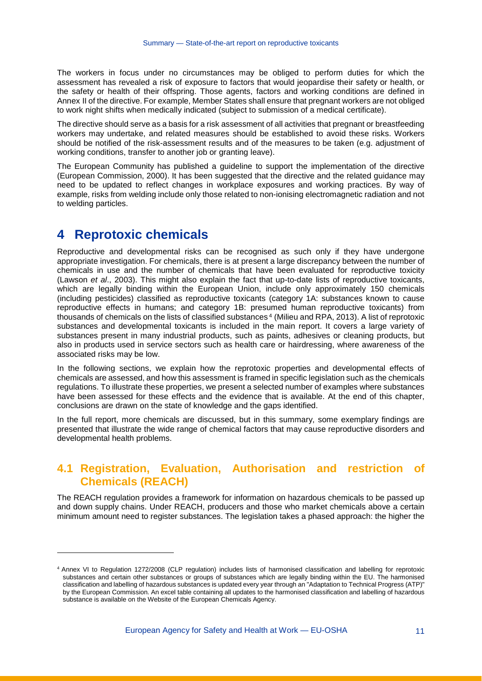The workers in focus under no circumstances may be obliged to perform duties for which the assessment has revealed a risk of exposure to factors that would jeopardise their safety or health, or the safety or health of their offspring. Those agents, factors and working conditions are defined in Annex II of the directive. For example, Member States shall ensure that pregnant workers are not obliged to work night shifts when medically indicated (subject to submission of a medical certificate).

The directive should serve as a basis for a risk assessment of all activities that pregnant or breastfeeding workers may undertake, and related measures should be established to avoid these risks. Workers should be notified of the risk-assessment results and of the measures to be taken (e.g. adjustment of working conditions, transfer to another job or granting leave).

The European Community has published a guideline to support the implementation of the directive (European Commission, 2000). It has been suggested that the directive and the related guidance may need to be updated to reflect changes in workplace exposures and working practices. By way of example, risks from welding include only those related to non-ionising electromagnetic radiation and not to welding particles.

## **4 Reprotoxic chemicals**

j

Reproductive and developmental risks can be recognised as such only if they have undergone appropriate investigation. For chemicals, there is at present a large discrepancy between the number of chemicals in use and the number of chemicals that have been evaluated for reproductive toxicity (Lawson *et al*., 2003). This might also explain the fact that up-to-date lists of reproductive toxicants, which are legally binding within the European Union, include only approximately 150 chemicals (including pesticides) classified as reproductive toxicants (category 1A: substances known to cause reproductive effects in humans; and category 1B: presumed human reproductive toxicants) from thousands of chemicals on the lists of classified substances [4](#page-9-0) (Milieu and RPA, 2013). A list of reprotoxic substances and developmental toxicants is included in the main report. It covers a large variety of substances present in many industrial products, such as paints, adhesives or cleaning products, but also in products used in service sectors such as health care or hairdressing, where awareness of the associated risks may be low.

In the following sections, we explain how the reprotoxic properties and developmental effects of chemicals are assessed, and how this assessment is framed in specific legislation such as the chemicals regulations. To illustrate these properties, we present a selected number of examples where substances have been assessed for these effects and the evidence that is available. At the end of this chapter, conclusions are drawn on the state of knowledge and the gaps identified.

In the full report, more chemicals are discussed, but in this summary, some exemplary findings are presented that illustrate the wide range of chemical factors that may cause reproductive disorders and developmental health problems.

### **4.1 Registration, Evaluation, Authorisation and restriction of Chemicals (REACH)**

The REACH regulation provides a framework for information on hazardous chemicals to be passed up and down supply chains. Under REACH, producers and those who market chemicals above a certain minimum amount need to register substances. The legislation takes a phased approach: the higher the

<span id="page-9-0"></span><sup>4</sup> Annex VI to Regulation 1272/2008 (CLP regulation) includes lists of harmonised classification and labelling for reprotoxic substances and certain other substances or groups of substances which are legally binding within the EU. The harmonised classification and labelling of hazardous substances is updated every year through an "Adaptation to Technical Progress (ATP)" by the European Commission. An excel table containing all updates to the harmonised classification and labelling of hazardous substance is available on the Website of the European Chemicals Agency.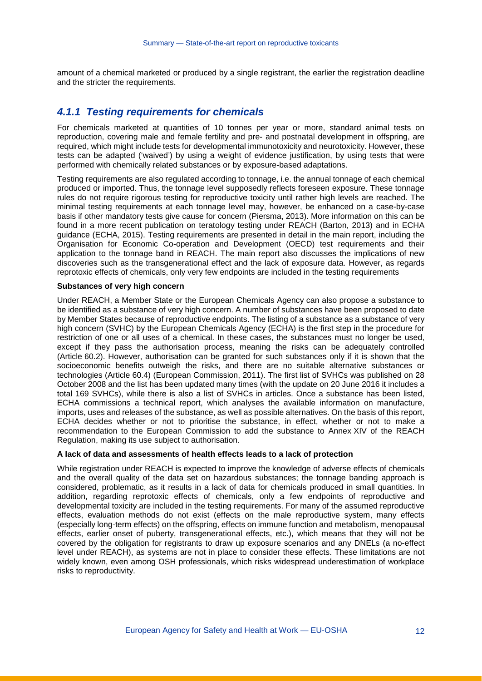amount of a chemical marketed or produced by a single registrant, the earlier the registration deadline and the stricter the requirements.

#### *4.1.1 Testing requirements for chemicals*

For chemicals marketed at quantities of 10 tonnes per year or more, standard animal tests on reproduction, covering male and female fertility and pre- and postnatal development in offspring, are required, which might include tests for developmental immunotoxicity and neurotoxicity. However, these tests can be adapted ('waived') by using a weight of evidence justification, by using tests that were performed with chemically related substances or by exposure-based adaptations.

Testing requirements are also regulated according to tonnage, i.e. the annual tonnage of each chemical produced or imported. Thus, the tonnage level supposedly reflects foreseen exposure. These tonnage rules do not require rigorous testing for reproductive toxicity until rather high levels are reached. The minimal testing requirements at each tonnage level may, however, be enhanced on a case-by-case basis if other mandatory tests give cause for concern (Piersma, 2013). More information on this can be found in a more recent publication on teratology testing under REACH (Barton, 2013) and in ECHA guidance (ECHA, 2015). Testing requirements are presented in detail in the main report, including the Organisation for Economic Co-operation and Development (OECD) test requirements and their application to the tonnage band in REACH. The main report also discusses the implications of new discoveries such as the transgenerational effect and the lack of exposure data. However, as regards reprotoxic effects of chemicals, only very few endpoints are included in the testing requirements

#### **Substances of very high concern**

Under REACH, a Member State or the European Chemicals Agency can also propose a substance to be identified as a substance of very high concern. A number of substances have been proposed to date by Member States because of reproductive endpoints. The listing of a substance as a substance of very high concern (SVHC) by the European Chemicals Agency (ECHA) is the first step in the procedure for restriction of one or all uses of a chemical. In these cases, the substances must no longer be used, except if they pass the authorisation process, meaning the risks can be adequately controlled (Article 60.2). However, authorisation can be granted for such substances only if it is shown that the socioeconomic benefits outweigh the risks, and there are no suitable alternative substances or technologies (Article 60.4) (European Commission, 2011). The first list of SVHCs was published on 28 October 2008 and the list has been updated many times (with the update on 20 June 2016 it includes a total 169 SVHCs), while there is also a list of SVHCs in articles. Once a substance has been listed, ECHA commissions a technical report, which analyses the available information on manufacture, imports, uses and releases of the substance, as well as possible alternatives. On the basis of this report, ECHA decides whether or not to prioritise the substance, in effect, whether or not to make a recommendation to the European Commission to add the substance to Annex XIV of the REACH Regulation, making its use subject to authorisation.

#### **A lack of data and assessments of health effects leads to a lack of protection**

While registration under REACH is expected to improve the knowledge of adverse effects of chemicals and the overall quality of the data set on hazardous substances; the tonnage banding approach is considered, problematic, as it results in a lack of data for chemicals produced in small quantities. In addition, regarding reprotoxic effects of chemicals, only a few endpoints of reproductive and developmental toxicity are included in the testing requirements. For many of the assumed reproductive effects, evaluation methods do not exist (effects on the male reproductive system, many effects (especially long-term effects) on the offspring, effects on immune function and metabolism, menopausal effects, earlier onset of puberty, transgenerational effects, etc.), which means that they will not be covered by the obligation for registrants to draw up exposure scenarios and any DNELs (a no-effect level under REACH), as systems are not in place to consider these effects. These limitations are not widely known, even among OSH professionals, which risks widespread underestimation of workplace risks to reproductivity.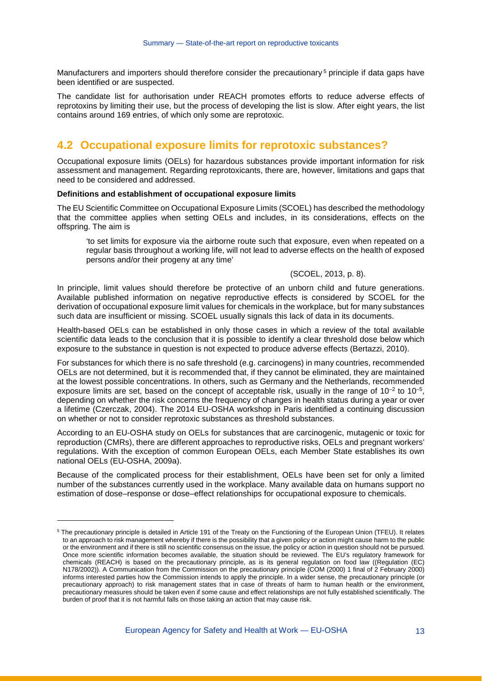Manufacturers and importers should therefore consider the precautionary<sup>[5](#page-11-0)</sup> principle if data gaps have been identified or are suspected.

The candidate list for authorisation under REACH promotes efforts to reduce adverse effects of reprotoxins by limiting their use, but the process of developing the list is slow. After eight years, the list contains around 169 entries, of which only some are reprotoxic.

### **4.2 Occupational exposure limits for reprotoxic substances?**

Occupational exposure limits (OELs) for hazardous substances provide important information for risk assessment and management. Regarding reprotoxicants, there are, however, limitations and gaps that need to be considered and addressed.

#### **Definitions and establishment of occupational exposure limits**

-

The EU Scientific Committee on Occupational Exposure Limits (SCOEL) has described the methodology that the committee applies when setting OELs and includes, in its considerations, effects on the offspring. The aim is

'to set limits for exposure via the airborne route such that exposure, even when repeated on a regular basis throughout a working life, will not lead to adverse effects on the health of exposed persons and/or their progeny at any time'

#### (SCOEL, 2013, p. 8).

In principle, limit values should therefore be protective of an unborn child and future generations. Available published information on negative reproductive effects is considered by SCOEL for the derivation of occupational exposure limit values for chemicals in the workplace, but for many substances such data are insufficient or missing. SCOEL usually signals this lack of data in its documents.

Health-based OELs can be established in only those cases in which a review of the total available scientific data leads to the conclusion that it is possible to identify a clear threshold dose below which exposure to the substance in question is not expected to produce adverse effects (Bertazzi, 2010).

For substances for which there is no safe threshold (e.g. carcinogens) in many countries, recommended OELs are not determined, but it is recommended that, if they cannot be eliminated, they are maintained at the lowest possible concentrations. In others, such as Germany and the Netherlands, recommended exposure limits are set, based on the concept of acceptable risk, usually in the range of  $10^{-2}$  to  $10^{-5}$ . depending on whether the risk concerns the frequency of changes in health status during a year or over a lifetime (Czerczak, 2004). The 2014 EU-OSHA workshop in Paris identified a continuing discussion on whether or not to consider reprotoxic substances as threshold substances.

According to an EU-OSHA study on OELs for substances that are carcinogenic, mutagenic or toxic for reproduction (CMRs), there are different approaches to reproductive risks, OELs and pregnant workers' regulations. With the exception of common European OELs, each Member State establishes its own national OELs (EU-OSHA, 2009a).

Because of the complicated process for their establishment, OELs have been set for only a limited number of the substances currently used in the workplace. Many available data on humans support no estimation of dose–response or dose–effect relationships for occupational exposure to chemicals.

<span id="page-11-0"></span><sup>5</sup> The precautionary principle is detailed in Article 191 of the Treaty on the Functioning of the European Union (TFEU). It relates to an approach to risk management whereby if there is the possibility that a given policy or action might cause harm to the public or the environment and if there is still no scientific consensus on the issue, the policy or action in question should not be pursued. Once more scientific information becomes available, the situation should be reviewed. The EU's regulatory framework for chemicals (REACH) is based on the precautionary principle, as is its general regulation on food law ((Regulation (EC) N178/2002)). A Communication from the Commission on the precautionary principle (COM (2000) 1 final of 2 February 2000) informs interested parties how the Commission intends to apply the principle. In a wider sense, the precautionary principle (or precautionary approach) to risk management states that in case of threats of harm to human health or the environment, precautionary measures should be taken even if some cause and effect relationships are not fully established scientifically. The burden of proof that it is not harmful falls on those taking an action that may cause risk.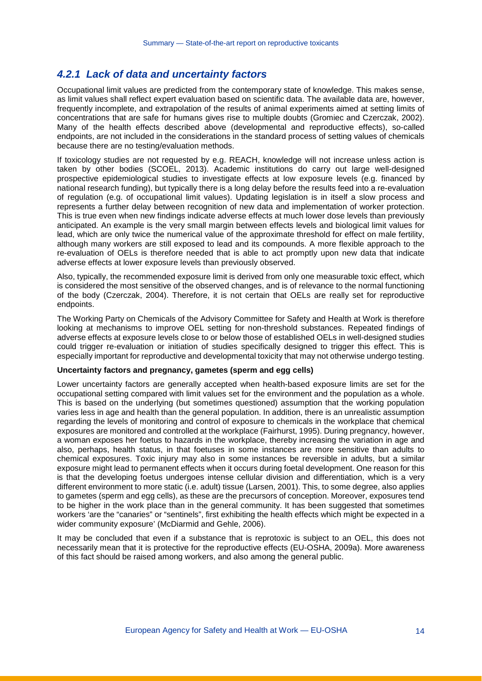#### *4.2.1 Lack of data and uncertainty factors*

Occupational limit values are predicted from the contemporary state of knowledge. This makes sense, as limit values shall reflect expert evaluation based on scientific data. The available data are, however, frequently incomplete, and extrapolation of the results of animal experiments aimed at setting limits of concentrations that are safe for humans gives rise to multiple doubts (Gromiec and Czerczak, 2002). Many of the health effects described above (developmental and reproductive effects), so-called endpoints, are not included in the considerations in the standard process of setting values of chemicals because there are no testing/evaluation methods.

If toxicology studies are not requested by e.g. REACH, knowledge will not increase unless action is taken by other bodies (SCOEL, 2013). Academic institutions do carry out large well-designed prospective epidemiological studies to investigate effects at low exposure levels (e.g. financed by national research funding), but typically there is a long delay before the results feed into a re-evaluation of regulation (e.g. of occupational limit values). Updating legislation is in itself a slow process and represents a further delay between recognition of new data and implementation of worker protection. This is true even when new findings indicate adverse effects at much lower dose levels than previously anticipated. An example is the very small margin between effects levels and biological limit values for lead, which are only twice the numerical value of the approximate threshold for effect on male fertility, although many workers are still exposed to lead and its compounds. A more flexible approach to the re-evaluation of OELs is therefore needed that is able to act promptly upon new data that indicate adverse effects at lower exposure levels than previously observed.

Also, typically, the recommended exposure limit is derived from only one measurable toxic effect, which is considered the most sensitive of the observed changes, and is of relevance to the normal functioning of the body (Czerczak, 2004). Therefore, it is not certain that OELs are really set for reproductive endpoints.

The Working Party on Chemicals of the Advisory Committee for Safety and Health at Work is therefore looking at mechanisms to improve OEL setting for non-threshold substances. Repeated findings of adverse effects at exposure levels close to or below those of established OELs in well-designed studies could trigger re-evaluation or initiation of studies specifically designed to trigger this effect. This is especially important for reproductive and developmental toxicity that may not otherwise undergo testing.

#### **Uncertainty factors and pregnancy, gametes (sperm and egg cells)**

Lower uncertainty factors are generally accepted when health-based exposure limits are set for the occupational setting compared with limit values set for the environment and the population as a whole. This is based on the underlying (but sometimes questioned) assumption that the working population varies less in age and health than the general population. In addition, there is an unrealistic assumption regarding the levels of monitoring and control of exposure to chemicals in the workplace that chemical exposures are monitored and controlled at the workplace (Fairhurst, 1995). During pregnancy, however, a woman exposes her foetus to hazards in the workplace, thereby increasing the variation in age and also, perhaps, health status, in that foetuses in some instances are more sensitive than adults to chemical exposures. Toxic injury may also in some instances be reversible in adults, but a similar exposure might lead to permanent effects when it occurs during foetal development. One reason for this is that the developing foetus undergoes intense cellular division and differentiation, which is a very different environment to more static (i.e. adult) tissue (Larsen, 2001). This, to some degree, also applies to gametes (sperm and egg cells), as these are the precursors of conception. Moreover, exposures tend to be higher in the work place than in the general community. It has been suggested that sometimes workers 'are the "canaries" or "sentinels", first exhibiting the health effects which might be expected in a wider community exposure' (McDiarmid and Gehle, 2006).

It may be concluded that even if a substance that is reprotoxic is subject to an OEL, this does not necessarily mean that it is protective for the reproductive effects (EU-OSHA, 2009a). More awareness of this fact should be raised among workers, and also among the general public.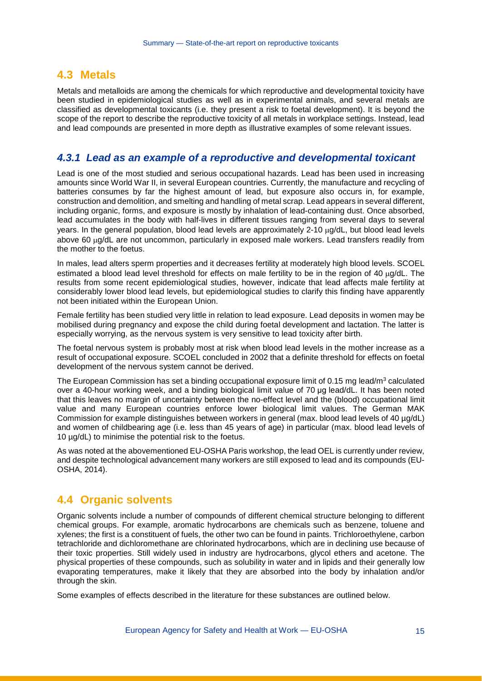#### **4.3 Metals**

Metals and metalloids are among the chemicals for which reproductive and developmental toxicity have been studied in epidemiological studies as well as in experimental animals, and several metals are classified as developmental toxicants (i.e. they present a risk to foetal development). It is beyond the scope of the report to describe the reproductive toxicity of all metals in workplace settings. Instead, lead and lead compounds are presented in more depth as illustrative examples of some relevant issues.

#### *4.3.1 Lead as an example of a reproductive and developmental toxicant*

Lead is one of the most studied and serious occupational hazards. Lead has been used in increasing amounts since World War II, in several European countries. Currently, the manufacture and recycling of batteries consumes by far the highest amount of lead, but exposure also occurs in, for example, construction and demolition, and smelting and handling of metal scrap. Lead appears in several different, including organic, forms, and exposure is mostly by inhalation of lead-containing dust. Once absorbed, lead accumulates in the body with half-lives in different tissues ranging from several days to several years. In the general population, blood lead levels are approximately 2-10 µg/dL, but blood lead levels above 60 µg/dL are not uncommon, particularly in exposed male workers. Lead transfers readily from the mother to the foetus.

In males, lead alters sperm properties and it decreases fertility at moderately high blood levels. SCOEL estimated a blood lead level threshold for effects on male fertility to be in the region of 40  $\mu$ g/dL. The results from some recent epidemiological studies, however, indicate that lead affects male fertility at considerably lower blood lead levels, but epidemiological studies to clarify this finding have apparently not been initiated within the European Union.

Female fertility has been studied very little in relation to lead exposure. Lead deposits in women may be mobilised during pregnancy and expose the child during foetal development and lactation. The latter is especially worrying, as the nervous system is very sensitive to lead toxicity after birth.

The foetal nervous system is probably most at risk when blood lead levels in the mother increase as a result of occupational exposure. SCOEL concluded in 2002 that a definite threshold for effects on foetal development of the nervous system cannot be derived.

The European Commission has set a binding occupational exposure limit of 0.15 mg lead/m<sup>3</sup> calculated over a 40-hour working week, and a binding biological limit value of 70 μg lead/dL. It has been noted that this leaves no margin of uncertainty between the no-effect level and the (blood) occupational limit value and many European countries enforce lower biological limit values. The German MAK Commission for example distinguishes between workers in general (max. blood lead levels of 40 µg/dL) and women of childbearing age (i.e. less than 45 years of age) in particular (max. blood lead levels of 10 µg/dL) to minimise the potential risk to the foetus.

As was noted at the abovementioned EU-OSHA Paris workshop, the lead OEL is currently under review, and despite technological advancement many workers are still exposed to lead and its compounds (EU-OSHA, 2014).

### **4.4 Organic solvents**

Organic solvents include a number of compounds of different chemical structure belonging to different chemical groups. For example, aromatic hydrocarbons are chemicals such as benzene, toluene and xylenes; the first is a constituent of fuels, the other two can be found in paints. Trichloroethylene, carbon tetrachloride and dichloromethane are chlorinated hydrocarbons, which are in declining use because of their toxic properties. Still widely used in industry are hydrocarbons, glycol ethers and acetone. The physical properties of these compounds, such as solubility in water and in lipids and their generally low evaporating temperatures, make it likely that they are absorbed into the body by inhalation and/or through the skin.

Some examples of effects described in the literature for these substances are outlined below.

European Agency for Safety and Health at Work — EU-OSHA 15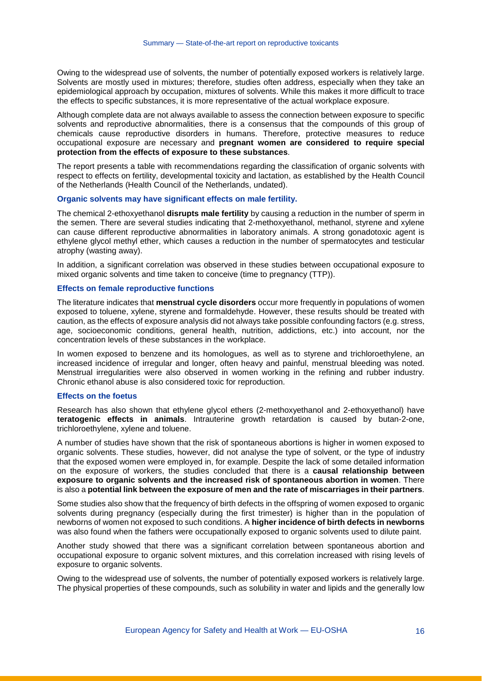Owing to the widespread use of solvents, the number of potentially exposed workers is relatively large. Solvents are mostly used in mixtures; therefore, studies often address, especially when they take an epidemiological approach by occupation, mixtures of solvents. While this makes it more difficult to trace the effects to specific substances, it is more representative of the actual workplace exposure.

Although complete data are not always available to assess the connection between exposure to specific solvents and reproductive abnormalities, there is a consensus that the compounds of this group of chemicals cause reproductive disorders in humans. Therefore, protective measures to reduce occupational exposure are necessary and **pregnant women are considered to require special protection from the effects of exposure to these substances**.

The report presents a table with recommendations regarding the classification of organic solvents with respect to effects on fertility, developmental toxicity and lactation, as established by the Health Council of the Netherlands (Health Council of the Netherlands, undated).

#### **Organic solvents may have significant effects on male fertility.**

The chemical 2-ethoxyethanol **disrupts male fertility** by causing a reduction in the number of sperm in the semen. There are several studies indicating that 2-methoxyethanol, methanol, styrene and xylene can cause different reproductive abnormalities in laboratory animals. A strong gonadotoxic agent is ethylene glycol methyl ether, which causes a reduction in the number of spermatocytes and testicular atrophy (wasting away).

In addition, a significant correlation was observed in these studies between occupational exposure to mixed organic solvents and time taken to conceive (time to pregnancy (TTP)).

#### **Effects on female reproductive functions**

The literature indicates that **menstrual cycle disorders** occur more frequently in populations of women exposed to toluene, xylene, styrene and formaldehyde. However, these results should be treated with caution, as the effects of exposure analysis did not always take possible confounding factors (e.g. stress, age, socioeconomic conditions, general health, nutrition, addictions, etc.) into account, nor the concentration levels of these substances in the workplace.

In women exposed to benzene and its homologues, as well as to styrene and trichloroethylene, an increased incidence of irregular and longer, often heavy and painful, menstrual bleeding was noted. Menstrual irregularities were also observed in women working in the refining and rubber industry. Chronic ethanol abuse is also considered toxic for reproduction.

#### **Effects on the foetus**

Research has also shown that ethylene glycol ethers (2-methoxyethanol and 2-ethoxyethanol) have **teratogenic effects in animals**. Intrauterine growth retardation is caused by butan-2-one, trichloroethylene, xylene and toluene.

A number of studies have shown that the risk of spontaneous abortions is higher in women exposed to organic solvents. These studies, however, did not analyse the type of solvent, or the type of industry that the exposed women were employed in, for example. Despite the lack of some detailed information on the exposure of workers, the studies concluded that there is a **causal relationship between exposure to organic solvents and the increased risk of spontaneous abortion in women**. There is also a **potential link between the exposure of men and the rate of miscarriages in their partners**.

Some studies also show that the frequency of birth defects in the offspring of women exposed to organic solvents during pregnancy (especially during the first trimester) is higher than in the population of newborns of women not exposed to such conditions. A **higher incidence of birth defects in newborns** was also found when the fathers were occupationally exposed to organic solvents used to dilute paint.

Another study showed that there was a significant correlation between spontaneous abortion and occupational exposure to organic solvent mixtures, and this correlation increased with rising levels of exposure to organic solvents.

Owing to the widespread use of solvents, the number of potentially exposed workers is relatively large. The physical properties of these compounds, such as solubility in water and lipids and the generally low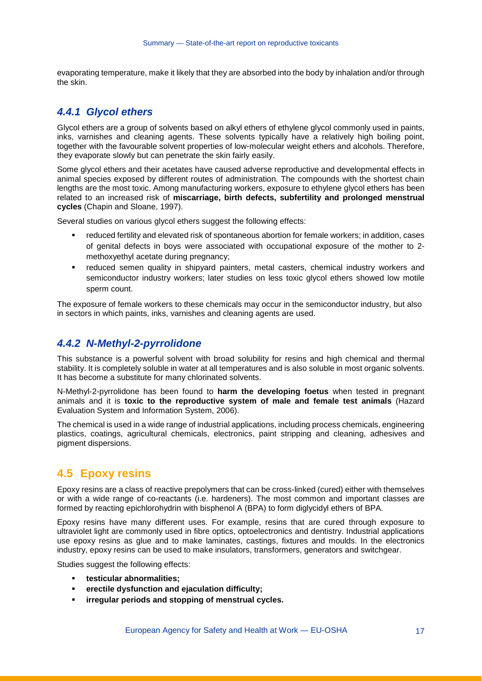evaporating temperature, make it likely that they are absorbed into the body by inhalation and/or through the skin.

#### *4.4.1 Glycol ethers*

Glycol ethers are a group of solvents based on alkyl ethers of ethylene glycol commonly used in paints, inks, varnishes and cleaning agents. These solvents typically have a relatively high boiling point, together with the favourable solvent properties of low-molecular weight ethers and alcohols. Therefore, they evaporate slowly but can penetrate the skin fairly easily.

Some glycol ethers and their acetates have caused adverse reproductive and developmental effects in animal species exposed by different routes of administration. The compounds with the shortest chain lengths are the most toxic. Among manufacturing workers, exposure to ethylene glycol ethers has been related to an increased risk of **miscarriage, birth defects, subfertility and prolonged menstrual cycles** (Chapin and Sloane, 1997).

Several studies on various glycol ethers suggest the following effects:

- reduced fertility and elevated risk of spontaneous abortion for female workers; in addition, cases of genital defects in boys were associated with occupational exposure of the mother to 2 methoxyethyl acetate during pregnancy;
- reduced semen quality in shipyard painters, metal casters, chemical industry workers and semiconductor industry workers; later studies on less toxic glycol ethers showed low motile sperm count.

The exposure of female workers to these chemicals may occur in the semiconductor industry, but also in sectors in which paints, inks, varnishes and cleaning agents are used.

#### *4.4.2 N-Methyl-2-pyrrolidone*

This substance is a powerful solvent with broad solubility for resins and high chemical and thermal stability. It is completely soluble in water at all temperatures and is also soluble in most organic solvents. It has become a substitute for many chlorinated solvents.

N-Methyl-2-pyrrolidone has been found to **harm the developing foetus** when tested in pregnant animals and it is **toxic to the reproductive system of male and female test animals** (Hazard Evaluation System and Information System, 2006).

The chemical is used in a wide range of industrial applications, including process chemicals, engineering plastics, coatings, agricultural chemicals, electronics, paint stripping and cleaning, adhesives and pigment dispersions.

### **4.5 Epoxy resins**

Epoxy resins are a class of reactive prepolymers that can be cross-linked (cured) either with themselves or with a wide range of co-reactants (i.e. hardeners). The most common and important classes are formed by reacting epichlorohydrin with bisphenol A (BPA) to form diglycidyl ethers of BPA.

Epoxy resins have many different uses. For example, resins that are cured through exposure to ultraviolet light are commonly used in fibre optics, optoelectronics and dentistry. Industrial applications use epoxy resins as glue and to make laminates, castings, fixtures and moulds. In the electronics industry, epoxy resins can be used to make insulators, transformers, generators and switchgear.

Studies suggest the following effects:

- **testicular abnormalities;**
- **erectile dysfunction and ejaculation difficulty;**
- **irregular periods and stopping of menstrual cycles.**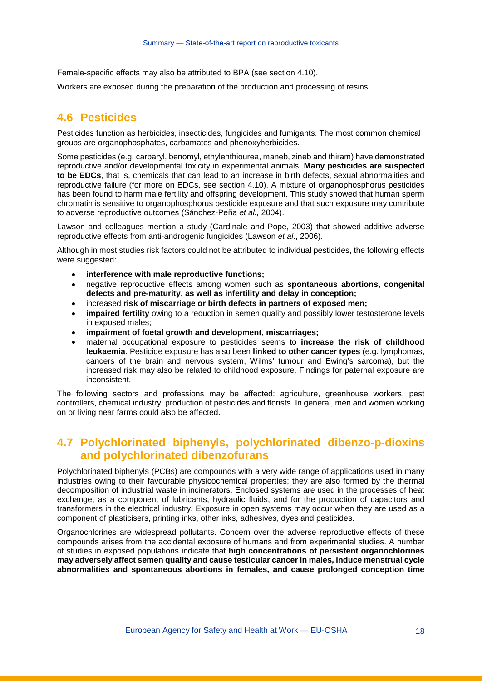Female-specific effects may also be attributed to BPA (see section [4.10\)](#page-21-0).

Workers are exposed during the preparation of the production and processing of resins.

#### **4.6 Pesticides**

Pesticides function as herbicides, insecticides, fungicides and fumigants. The most common chemical groups are organophosphates, carbamates and phenoxyherbicides.

Some pesticides (e.g. carbaryl, benomyl, ethylenthiourea, maneb, zineb and thiram) have demonstrated reproductive and/or developmental toxicity in experimental animals. **Many pesticides are suspected to be EDCs**, that is, chemicals that can lead to an increase in birth defects, sexual abnormalities and reproductive failure (for more on EDCs, see section [4.10\)](#page-21-0). A mixture of organophosphorus pesticides has been found to harm male fertility and offspring development. This study showed that human sperm chromatin is sensitive to organophosphorus pesticide exposure and that such exposure may contribute to adverse reproductive outcomes (Sánchez-Peña *et al.,* 2004).

Lawson and colleagues mention a study (Cardinale and Pope, 2003) that showed additive adverse reproductive effects from anti-androgenic fungicides (Lawson *et al*., 2006).

Although in most studies risk factors could not be attributed to individual pesticides, the following effects were suggested:

- **interference with male reproductive functions;**
- negative reproductive effects among women such as **spontaneous abortions, congenital defects and pre-maturity, as well as infertility and delay in conception;**
- increased **risk of miscarriage or birth defects in partners of exposed men;**
- **impaired fertility** owing to a reduction in semen quality and possibly lower testosterone levels in exposed males;
- **impairment of foetal growth and development, miscarriages;**
- maternal occupational exposure to pesticides seems to **increase the risk of childhood leukaemia**. Pesticide exposure has also been **linked to other cancer types** (e.g. lymphomas, cancers of the brain and nervous system, Wilms' tumour and Ewing's sarcoma), but the increased risk may also be related to childhood exposure. Findings for paternal exposure are inconsistent.

The following sectors and professions may be affected: agriculture, greenhouse workers, pest controllers, chemical industry, production of pesticides and florists. In general, men and women working on or living near farms could also be affected.

## **4.7 Polychlorinated biphenyls, polychlorinated dibenzo-p-dioxins and polychlorinated dibenzofurans**

Polychlorinated biphenyls (PCBs) are compounds with a very wide range of applications used in many industries owing to their favourable physicochemical properties; they are also formed by the thermal decomposition of industrial waste in incinerators. Enclosed systems are used in the processes of heat exchange, as a component of lubricants, hydraulic fluids, and for the production of capacitors and transformers in the electrical industry. Exposure in open systems may occur when they are used as a component of plasticisers, printing inks, other inks, adhesives, dyes and pesticides.

Organochlorines are widespread pollutants. Concern over the adverse reproductive effects of these compounds arises from the accidental exposure of humans and from experimental studies. A number of studies in exposed populations indicate that **high concentrations of persistent organochlorines may adversely affect semen quality and cause testicular cancer in males, induce menstrual cycle abnormalities and spontaneous abortions in females, and cause prolonged conception time**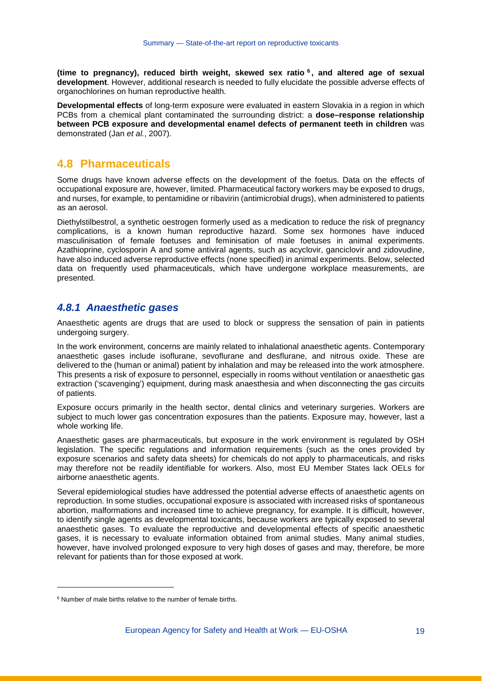**(time to pregnancy), reduced birth weight, skewed sex ratio [6](#page-17-0) , and altered age of sexual development**. However, additional research is needed to fully elucidate the possible adverse effects of organochlorines on human reproductive health.

**Developmental effects** of long-term exposure were evaluated in eastern Slovakia in a region in which PCBs from a chemical plant contaminated the surrounding district: a **dose–response relationship between PCB exposure and developmental enamel defects of permanent teeth in children** was demonstrated (Jan *et al.*, 2007).

#### **4.8 Pharmaceuticals**

Some drugs have known adverse effects on the development of the foetus. Data on the effects of occupational exposure are, however, limited. Pharmaceutical factory workers may be exposed to drugs, and nurses, for example, to pentamidine or ribavirin (antimicrobial drugs), when administered to patients as an aerosol.

Diethylstilbestrol, a synthetic oestrogen formerly used as a medication to reduce the risk of pregnancy complications, is a known human reproductive hazard. Some sex hormones have induced masculinisation of female foetuses and feminisation of male foetuses in animal experiments. Azathioprine, cyclosporin A and some antiviral agents, such as acyclovir, ganciclovir and zidovudine, have also induced adverse reproductive effects (none specified) in animal experiments. Below, selected data on frequently used pharmaceuticals, which have undergone workplace measurements, are presented.

#### *4.8.1 Anaesthetic gases*

Anaesthetic agents are drugs that are used to block or suppress the sensation of pain in patients undergoing surgery.

In the work environment, concerns are mainly related to inhalational anaesthetic agents. Contemporary anaesthetic gases include isoflurane, sevoflurane and desflurane, and nitrous oxide. These are delivered to the (human or animal) patient by inhalation and may be released into the work atmosphere. This presents a risk of exposure to personnel, especially in rooms without ventilation or anaesthetic gas extraction ('scavenging') equipment, during mask anaesthesia and when disconnecting the gas circuits of patients.

Exposure occurs primarily in the health sector, dental clinics and veterinary surgeries. Workers are subject to much lower gas concentration exposures than the patients. Exposure may, however, last a whole working life.

Anaesthetic gases are pharmaceuticals, but exposure in the work environment is regulated by OSH legislation. The specific regulations and information requirements (such as the ones provided by exposure scenarios and safety data sheets) for chemicals do not apply to pharmaceuticals, and risks may therefore not be readily identifiable for workers. Also, most EU Member States lack OELs for airborne anaesthetic agents.

Several epidemiological studies have addressed the potential adverse effects of anaesthetic agents on reproduction. In some studies, occupational exposure is associated with increased risks of spontaneous abortion, malformations and increased time to achieve pregnancy, for example. It is difficult, however, to identify single agents as developmental toxicants, because workers are typically exposed to several anaesthetic gases. To evaluate the reproductive and developmental effects of specific anaesthetic gases, it is necessary to evaluate information obtained from animal studies. Many animal studies, however, have involved prolonged exposure to very high doses of gases and may, therefore, be more relevant for patients than for those exposed at work.

j

<span id="page-17-0"></span><sup>&</sup>lt;sup>6</sup> Number of male births relative to the number of female births.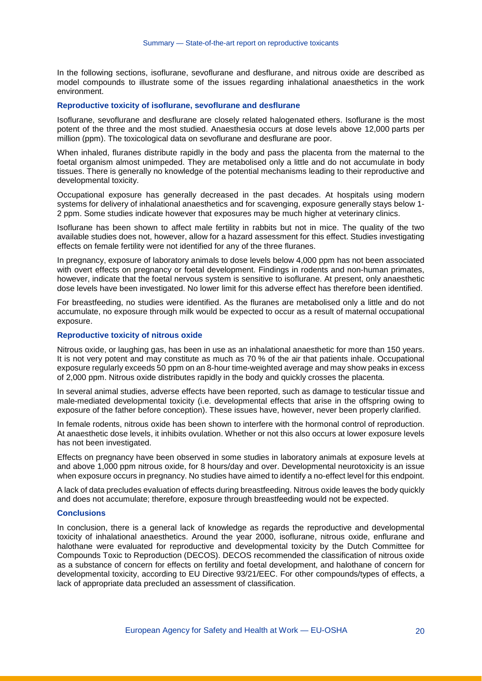In the following sections, isoflurane, sevoflurane and desflurane, and nitrous oxide are described as model compounds to illustrate some of the issues regarding inhalational anaesthetics in the work environment.

#### **Reproductive toxicity of isoflurane, sevoflurane and desflurane**

Isoflurane, sevoflurane and desflurane are closely related halogenated ethers. Isoflurane is the most potent of the three and the most studied. Anaesthesia occurs at dose levels above 12,000 parts per million (ppm). The toxicological data on sevoflurane and desflurane are poor.

When inhaled, fluranes distribute rapidly in the body and pass the placenta from the maternal to the foetal organism almost unimpeded. They are metabolised only a little and do not accumulate in body tissues. There is generally no knowledge of the potential mechanisms leading to their reproductive and developmental toxicity.

Occupational exposure has generally decreased in the past decades. At hospitals using modern systems for delivery of inhalational anaesthetics and for scavenging, exposure generally stays below 1- 2 ppm. Some studies indicate however that exposures may be much higher at veterinary clinics.

Isoflurane has been shown to affect male fertility in rabbits but not in mice. The quality of the two available studies does not, however, allow for a hazard assessment for this effect. Studies investigating effects on female fertility were not identified for any of the three fluranes.

In pregnancy, exposure of laboratory animals to dose levels below 4,000 ppm has not been associated with overt effects on pregnancy or foetal development. Findings in rodents and non-human primates, however, indicate that the foetal nervous system is sensitive to isoflurane. At present, only anaesthetic dose levels have been investigated. No lower limit for this adverse effect has therefore been identified.

For breastfeeding, no studies were identified. As the fluranes are metabolised only a little and do not accumulate, no exposure through milk would be expected to occur as a result of maternal occupational exposure.

#### **Reproductive toxicity of nitrous oxide**

Nitrous oxide, or laughing gas, has been in use as an inhalational anaesthetic for more than 150 years. It is not very potent and may constitute as much as 70 % of the air that patients inhale. Occupational exposure regularly exceeds 50 ppm on an 8-hour time-weighted average and may show peaks in excess of 2,000 ppm. Nitrous oxide distributes rapidly in the body and quickly crosses the placenta.

In several animal studies, adverse effects have been reported, such as damage to testicular tissue and male-mediated developmental toxicity (i.e. developmental effects that arise in the offspring owing to exposure of the father before conception). These issues have, however, never been properly clarified.

In female rodents, nitrous oxide has been shown to interfere with the hormonal control of reproduction. At anaesthetic dose levels, it inhibits ovulation. Whether or not this also occurs at lower exposure levels has not been investigated.

Effects on pregnancy have been observed in some studies in laboratory animals at exposure levels at and above 1,000 ppm nitrous oxide, for 8 hours/day and over. Developmental neurotoxicity is an issue when exposure occurs in pregnancy. No studies have aimed to identify a no-effect level for this endpoint.

A lack of data precludes evaluation of effects during breastfeeding. Nitrous oxide leaves the body quickly and does not accumulate; therefore, exposure through breastfeeding would not be expected.

#### **Conclusions**

In conclusion, there is a general lack of knowledge as regards the reproductive and developmental toxicity of inhalational anaesthetics. Around the year 2000, isoflurane, nitrous oxide, enflurane and halothane were evaluated for reproductive and developmental toxicity by the Dutch Committee for Compounds Toxic to Reproduction (DECOS). DECOS recommended the classification of nitrous oxide as a substance of concern for effects on fertility and foetal development, and halothane of concern for developmental toxicity, according to EU Directive 93/21/EEC. For other compounds/types of effects, a lack of appropriate data precluded an assessment of classification.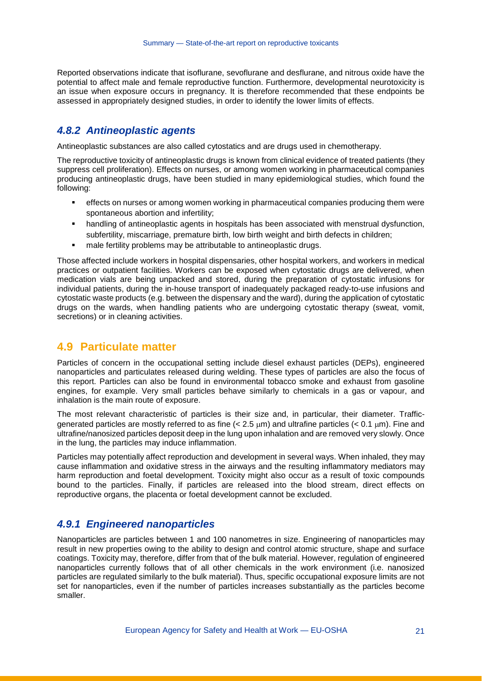Reported observations indicate that isoflurane, sevoflurane and desflurane, and nitrous oxide have the potential to affect male and female reproductive function. Furthermore, developmental neurotoxicity is an issue when exposure occurs in pregnancy. It is therefore recommended that these endpoints be assessed in appropriately designed studies, in order to identify the lower limits of effects.

#### *4.8.2 Antineoplastic agents*

Antineoplastic substances are also called cytostatics and are drugs used in chemotherapy.

The reproductive toxicity of antineoplastic drugs is known from clinical evidence of treated patients (they suppress cell proliferation). Effects on nurses, or among women working in pharmaceutical companies producing antineoplastic drugs, have been studied in many epidemiological studies, which found the following:

- effects on nurses or among women working in pharmaceutical companies producing them were spontaneous abortion and infertility;
- handling of antineoplastic agents in hospitals has been associated with menstrual dysfunction, subfertility, miscarriage, premature birth, low birth weight and birth defects in children;
- male fertility problems may be attributable to antineoplastic drugs.

Those affected include workers in hospital dispensaries, other hospital workers, and workers in medical practices or outpatient facilities. Workers can be exposed when cytostatic drugs are delivered, when medication vials are being unpacked and stored, during the preparation of cytostatic infusions for individual patients, during the in-house transport of inadequately packaged ready-to-use infusions and cytostatic waste products (e.g. between the dispensary and the ward), during the application of cytostatic drugs on the wards, when handling patients who are undergoing cytostatic therapy (sweat, vomit, secretions) or in cleaning activities.

#### **4.9 Particulate matter**

Particles of concern in the occupational setting include diesel exhaust particles (DEPs), engineered nanoparticles and particulates released during welding. These types of particles are also the focus of this report. Particles can also be found in environmental tobacco smoke and exhaust from gasoline engines, for example. Very small particles behave similarly to chemicals in a gas or vapour, and inhalation is the main route of exposure.

The most relevant characteristic of particles is their size and, in particular, their diameter. Trafficgenerated particles are mostly referred to as fine (< 2.5 µm) and ultrafine particles (< 0.1 µm). Fine and ultrafine/nanosized particles deposit deep in the lung upon inhalation and are removed very slowly. Once in the lung, the particles may induce inflammation.

Particles may potentially affect reproduction and development in several ways. When inhaled, they may cause inflammation and oxidative stress in the airways and the resulting inflammatory mediators may harm reproduction and foetal development. Toxicity might also occur as a result of toxic compounds bound to the particles. Finally, if particles are released into the blood stream, direct effects on reproductive organs, the placenta or foetal development cannot be excluded.

#### *4.9.1 Engineered nanoparticles*

Nanoparticles are particles between 1 and 100 nanometres in size. Engineering of nanoparticles may result in new properties owing to the ability to design and control atomic structure, shape and surface coatings. Toxicity may, therefore, differ from that of the bulk material. However, regulation of engineered nanoparticles currently follows that of all other chemicals in the work environment (i.e. nanosized particles are regulated similarly to the bulk material). Thus, specific occupational exposure limits are not set for nanoparticles, even if the number of particles increases substantially as the particles become smaller.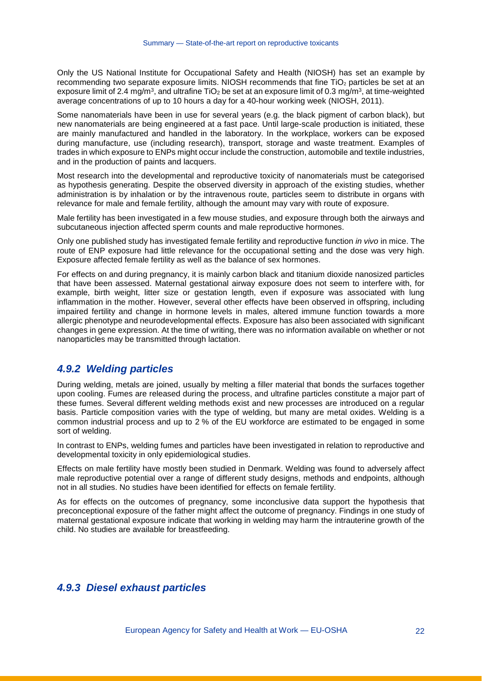Only the US National Institute for Occupational Safety and Health (NIOSH) has set an example by recommending two separate exposure limits. NIOSH recommends that fine TiO<sub>2</sub> particles be set at an exposure limit of 2.4 mg/m<sup>3</sup>, and ultrafine TiO<sub>2</sub> be set at an exposure limit of 0.3 mg/m<sup>3</sup>, at time-weighted average concentrations of up to 10 hours a day for a 40-hour working week (NIOSH, 2011).

Some nanomaterials have been in use for several years (e.g. the black pigment of carbon black), but new nanomaterials are being engineered at a fast pace. Until large-scale production is initiated, these are mainly manufactured and handled in the laboratory. In the workplace, workers can be exposed during manufacture, use (including research), transport, storage and waste treatment. Examples of trades in which exposure to ENPs might occur include the construction, automobile and textile industries, and in the production of paints and lacquers.

Most research into the developmental and reproductive toxicity of nanomaterials must be categorised as hypothesis generating. Despite the observed diversity in approach of the existing studies, whether administration is by inhalation or by the intravenous route, particles seem to distribute in organs with relevance for male and female fertility, although the amount may vary with route of exposure.

Male fertility has been investigated in a few mouse studies, and exposure through both the airways and subcutaneous injection affected sperm counts and male reproductive hormones.

Only one published study has investigated female fertility and reproductive function *in vivo* in mice. The route of ENP exposure had little relevance for the occupational setting and the dose was very high. Exposure affected female fertility as well as the balance of sex hormones.

For effects on and during pregnancy, it is mainly carbon black and titanium dioxide nanosized particles that have been assessed. Maternal gestational airway exposure does not seem to interfere with, for example, birth weight, litter size or gestation length, even if exposure was associated with lung inflammation in the mother. However, several other effects have been observed in offspring, including impaired fertility and change in hormone levels in males, altered immune function towards a more allergic phenotype and neurodevelopmental effects. Exposure has also been associated with significant changes in gene expression. At the time of writing, there was no information available on whether or not nanoparticles may be transmitted through lactation.

#### *4.9.2 Welding particles*

During welding, metals are joined, usually by melting a filler material that bonds the surfaces together upon cooling. Fumes are released during the process, and ultrafine particles constitute a major part of these fumes. Several different welding methods exist and new processes are introduced on a regular basis. Particle composition varies with the type of welding, but many are metal oxides. Welding is a common industrial process and up to 2 % of the EU workforce are estimated to be engaged in some sort of welding.

In contrast to ENPs, welding fumes and particles have been investigated in relation to reproductive and developmental toxicity in only epidemiological studies.

Effects on male fertility have mostly been studied in Denmark. Welding was found to adversely affect male reproductive potential over a range of different study designs, methods and endpoints, although not in all studies. No studies have been identified for effects on female fertility.

As for effects on the outcomes of pregnancy, some inconclusive data support the hypothesis that preconceptional exposure of the father might affect the outcome of pregnancy. Findings in one study of maternal gestational exposure indicate that working in welding may harm the intrauterine growth of the child. No studies are available for breastfeeding.

#### *4.9.3 Diesel exhaust particles*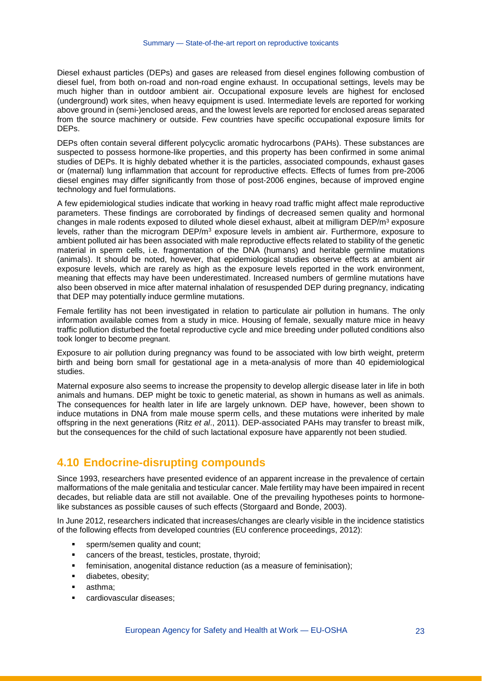Diesel exhaust particles (DEPs) and gases are released from diesel engines following combustion of diesel fuel, from both on-road and non-road engine exhaust. In occupational settings, levels may be much higher than in outdoor ambient air. Occupational exposure levels are highest for enclosed (underground) work sites, when heavy equipment is used. Intermediate levels are reported for working above ground in (semi-)enclosed areas, and the lowest levels are reported for enclosed areas separated from the source machinery or outside. Few countries have specific occupational exposure limits for DEPs.

DEPs often contain several different polycyclic aromatic hydrocarbons (PAHs). These substances are suspected to possess hormone-like properties, and this property has been confirmed in some animal studies of DEPs. It is highly debated whether it is the particles, associated compounds, exhaust gases or (maternal) lung inflammation that account for reproductive effects. Effects of fumes from pre-2006 diesel engines may differ significantly from those of post-2006 engines, because of improved engine technology and fuel formulations.

A few epidemiological studies indicate that working in heavy road traffic might affect male reproductive parameters. These findings are corroborated by findings of decreased semen quality and hormonal changes in male rodents exposed to diluted whole diesel exhaust, albeit at milligram  $DEP/m<sup>3</sup>$  exposure levels, rather than the microgram DEP/m<sup>3</sup> exposure levels in ambient air. Furthermore, exposure to ambient polluted air has been associated with male reproductive effects related to stability of the genetic material in sperm cells, i.e. fragmentation of the DNA (humans) and heritable germline mutations (animals). It should be noted, however, that epidemiological studies observe effects at ambient air exposure levels, which are rarely as high as the exposure levels reported in the work environment, meaning that effects may have been underestimated. Increased numbers of germline mutations have also been observed in mice after maternal inhalation of resuspended DEP during pregnancy, indicating that DEP may potentially induce germline mutations.

Female fertility has not been investigated in relation to particulate air pollution in humans. The only information available comes from a study in mice. Housing of female, sexually mature mice in heavy traffic pollution disturbed the foetal reproductive cycle and mice breeding under polluted conditions also took longer to become pregnant.

Exposure to air pollution during pregnancy was found to be associated with low birth weight, preterm birth and being born small for gestational age in a meta-analysis of more than 40 epidemiological studies.

Maternal exposure also seems to increase the propensity to develop allergic disease later in life in both animals and humans. DEP might be toxic to genetic material, as shown in humans as well as animals. The consequences for health later in life are largely unknown. DEP have, however, been shown to induce mutations in DNA from male mouse sperm cells, and these mutations were inherited by male offspring in the next generations (Ritz *et al*., 2011). DEP-associated PAHs may transfer to breast milk, but the consequences for the child of such lactational exposure have apparently not been studied.

## <span id="page-21-0"></span>**4.10 Endocrine-disrupting compounds**

Since 1993, researchers have presented evidence of an apparent increase in the prevalence of certain malformations of the male genitalia and testicular cancer. Male fertility may have been impaired in recent decades, but reliable data are still not available. One of the prevailing hypotheses points to hormonelike substances as possible causes of such effects (Storgaard and Bonde, 2003).

In June 2012, researchers indicated that increases/changes are clearly visible in the incidence statistics of the following effects from developed countries (EU conference proceedings, 2012):

- sperm/semen quality and count;
- cancers of the breast, testicles, prostate, thyroid;
- feminisation, anogenital distance reduction (as a measure of feminisation);
- diabetes, obesity;
- **asthma**;
- cardiovascular diseases;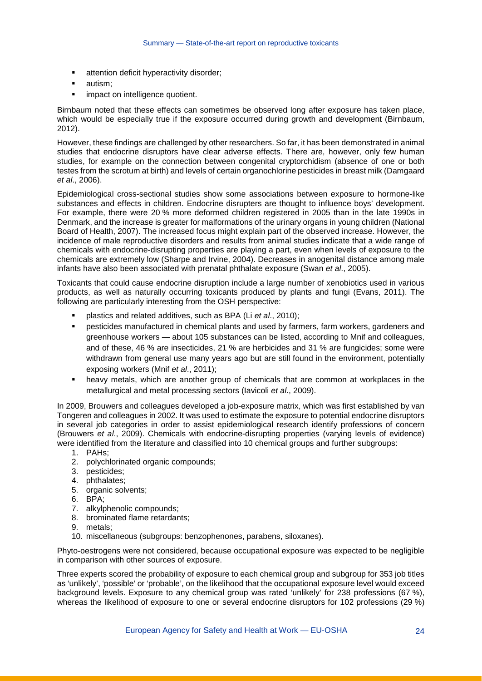- **attention deficit hyperactivity disorder;**
- **autism:**
- **impact on intelligence quotient.**

Birnbaum noted that these effects can sometimes be observed long after exposure has taken place, which would be especially true if the exposure occurred during growth and development (Birnbaum, 2012).

However, these findings are challenged by other researchers. So far, it has been demonstrated in animal studies that endocrine disruptors have clear adverse effects. There are, however, only few human studies, for example on the connection between congenital cryptorchidism (absence of one or both testes from the scrotum at birth) and levels of certain organochlorine pesticides in breast milk (Damgaard *et al*., 2006).

Epidemiological cross-sectional studies show some associations between exposure to hormone-like substances and effects in children. Endocrine disrupters are thought to influence boys' development. For example, there were 20 % more deformed children registered in 2005 than in the late 1990s in Denmark, and the increase is greater for malformations of the urinary organs in young children (National Board of Health, 2007). The increased focus might explain part of the observed increase. However, the incidence of male reproductive disorders and results from animal studies indicate that a wide range of chemicals with endocrine-disrupting properties are playing a part, even when levels of exposure to the chemicals are extremely low (Sharpe and Irvine, 2004). Decreases in anogenital distance among male infants have also been associated with prenatal phthalate exposure (Swan *et al*., 2005).

Toxicants that could cause endocrine disruption include a large number of xenobiotics used in various products, as well as naturally occurring toxicants produced by plants and fungi (Evans, 2011). The following are particularly interesting from the OSH perspective:

- plastics and related additives, such as BPA (Li *et al*., 2010);
- pesticides manufactured in chemical plants and used by farmers, farm workers, gardeners and greenhouse workers — about 105 substances can be listed, according to Mnif and colleagues, and of these, 46 % are insecticides, 21 % are herbicides and 31 % are fungicides; some were withdrawn from general use many years ago but are still found in the environment, potentially exposing workers (Mnif *et al*., 2011);
- heavy metals, which are another group of chemicals that are common at workplaces in the metallurgical and metal processing sectors (Iavicoli *et al*., 2009).

In 2009, Brouwers and colleagues developed a job-exposure matrix, which was first established by van Tongeren and colleagues in 2002. It was used to estimate the exposure to potential endocrine disruptors in several job categories in order to assist epidemiological research identify professions of concern (Brouwers *et al*., 2009). Chemicals with endocrine-disrupting properties (varying levels of evidence) were identified from the literature and classified into 10 chemical groups and further subgroups:

- 1. PAHs;
- 2. polychlorinated organic compounds;
- 3. pesticides;
- 4. phthalates;
- 5. organic solvents;
- 6. BPA;
- 7. alkylphenolic compounds;
- 8. brominated flame retardants;
- 9. metals;
- 10. miscellaneous (subgroups: benzophenones, parabens, siloxanes).

Phyto-oestrogens were not considered, because occupational exposure was expected to be negligible in comparison with other sources of exposure.

Three experts scored the probability of exposure to each chemical group and subgroup for 353 job titles as 'unlikely', 'possible' or 'probable', on the likelihood that the occupational exposure level would exceed background levels. Exposure to any chemical group was rated 'unlikely' for 238 professions (67 %), whereas the likelihood of exposure to one or several endocrine disruptors for 102 professions (29 %)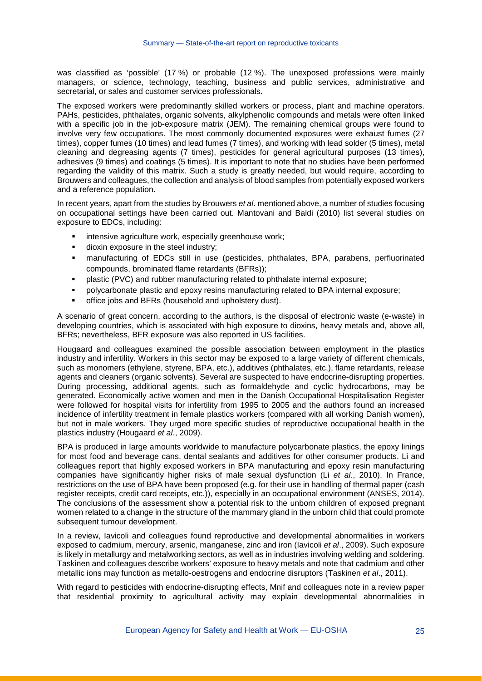was classified as 'possible' (17 %) or probable (12 %). The unexposed professions were mainly managers, or science, technology, teaching, business and public services, administrative and secretarial, or sales and customer services professionals.

The exposed workers were predominantly skilled workers or process, plant and machine operators. PAHs, pesticides, phthalates, organic solvents, alkylphenolic compounds and metals were often linked with a specific job in the job-exposure matrix (JEM). The remaining chemical groups were found to involve very few occupations. The most commonly documented exposures were exhaust fumes (27 times), copper fumes (10 times) and lead fumes (7 times), and working with lead solder (5 times), metal cleaning and degreasing agents (7 times), pesticides for general agricultural purposes (13 times), adhesives (9 times) and coatings (5 times). It is important to note that no studies have been performed regarding the validity of this matrix. Such a study is greatly needed, but would require, according to Brouwers and colleagues, the collection and analysis of blood samples from potentially exposed workers and a reference population.

In recent years, apart from the studies by Brouwers *et al*. mentioned above, a number of studies focusing on occupational settings have been carried out. Mantovani and Baldi (2010) list several studies on exposure to EDCs, including:

- intensive agriculture work, especially greenhouse work;
- **dioxin exposure in the steel industry;**
- manufacturing of EDCs still in use (pesticides, phthalates, BPA, parabens, perfluorinated compounds, brominated flame retardants (BFRs));
- plastic (PVC) and rubber manufacturing related to phthalate internal exposure;
- polycarbonate plastic and epoxy resins manufacturing related to BPA internal exposure;
- office jobs and BFRs (household and upholstery dust).

A scenario of great concern, according to the authors, is the disposal of electronic waste (e-waste) in developing countries, which is associated with high exposure to dioxins, heavy metals and, above all, BFRs; nevertheless, BFR exposure was also reported in US facilities.

Hougaard and colleagues examined the possible association between employment in the plastics industry and infertility. Workers in this sector may be exposed to a large variety of different chemicals, such as monomers (ethylene, styrene, BPA, etc.), additives (phthalates, etc.), flame retardants, release agents and cleaners (organic solvents). Several are suspected to have endocrine-disrupting properties. During processing, additional agents, such as formaldehyde and cyclic hydrocarbons, may be generated. Economically active women and men in the Danish Occupational Hospitalisation Register were followed for hospital visits for infertility from 1995 to 2005 and the authors found an increased incidence of infertility treatment in female plastics workers (compared with all working Danish women), but not in male workers. They urged more specific studies of reproductive occupational health in the plastics industry (Hougaard *et al*., 2009).

BPA is produced in large amounts worldwide to manufacture polycarbonate plastics, the epoxy linings for most food and beverage cans, dental sealants and additives for other consumer products. Li and colleagues report that highly exposed workers in BPA manufacturing and epoxy resin manufacturing companies have significantly higher risks of male sexual dysfunction (Li *et al*., 2010). In France, restrictions on the use of BPA have been proposed (e.g. for their use in handling of thermal paper (cash register receipts, credit card receipts, etc.)), especially in an occupational environment (ANSES, 2014). The conclusions of the assessment show a potential risk to the unborn children of exposed pregnant women related to a change in the structure of the mammary gland in the unborn child that could promote subsequent tumour development.

In a review, Iavicoli and colleagues found reproductive and developmental abnormalities in workers exposed to cadmium, mercury, arsenic, manganese, zinc and iron (Iavicoli *et al*., 2009). Such exposure is likely in metallurgy and metalworking sectors, as well as in industries involving welding and soldering. Taskinen and colleagues describe workers' exposure to heavy metals and note that cadmium and other metallic ions may function as metallo-oestrogens and endocrine disruptors (Taskinen *et al*., 2011).

With regard to pesticides with endocrine-disrupting effects, Mnif and colleagues note in a review paper that residential proximity to agricultural activity may explain developmental abnormalities in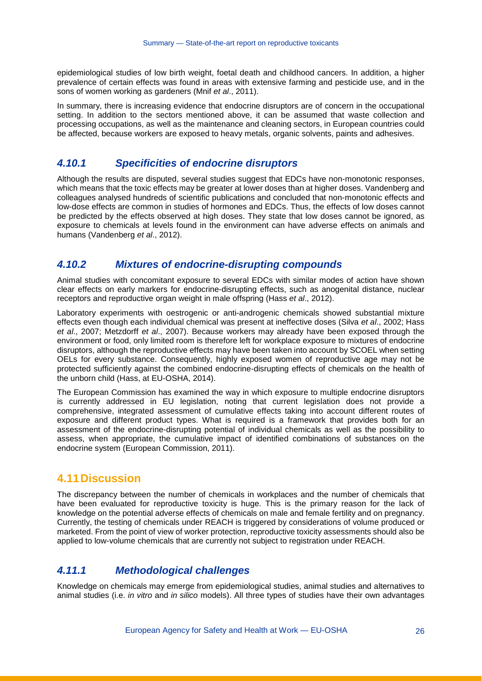epidemiological studies of low birth weight, foetal death and childhood cancers. In addition, a higher prevalence of certain effects was found in areas with extensive farming and pesticide use, and in the sons of women working as gardeners (Mnif *et al*., 2011).

In summary, there is increasing evidence that endocrine disruptors are of concern in the occupational setting. In addition to the sectors mentioned above, it can be assumed that waste collection and processing occupations, as well as the maintenance and cleaning sectors, in European countries could be affected, because workers are exposed to heavy metals, organic solvents, paints and adhesives.

#### *4.10.1 Specificities of endocrine disruptors*

Although the results are disputed, several studies suggest that EDCs have non-monotonic responses, which means that the toxic effects may be greater at lower doses than at higher doses. Vandenberg and colleagues analysed hundreds of scientific publications and concluded that non-monotonic effects and low-dose effects are common in studies of hormones and EDCs. Thus, the effects of low doses cannot be predicted by the effects observed at high doses. They state that low doses cannot be ignored, as exposure to chemicals at levels found in the environment can have adverse effects on animals and humans (Vandenberg *et al*., 2012).

#### *4.10.2 Mixtures of endocrine-disrupting compounds*

Animal studies with concomitant exposure to several EDCs with similar modes of action have shown clear effects on early markers for endocrine-disrupting effects, such as anogenital distance, nuclear receptors and reproductive organ weight in male offspring (Hass *et al*., 2012).

Laboratory experiments with oestrogenic or anti-androgenic chemicals showed substantial mixture effects even though each individual chemical was present at ineffective doses (Silva *et al*., 2002; Hass *et al*., 2007; Metzdorff *et al*., 2007). Because workers may already have been exposed through the environment or food, only limited room is therefore left for workplace exposure to mixtures of endocrine disruptors, although the reproductive effects may have been taken into account by SCOEL when setting OELs for every substance. Consequently, highly exposed women of reproductive age may not be protected sufficiently against the combined endocrine-disrupting effects of chemicals on the health of the unborn child (Hass, at EU-OSHA, 2014).

The European Commission has examined the way in which exposure to multiple endocrine disruptors is currently addressed in EU legislation, noting that current legislation does not provide a comprehensive, integrated assessment of cumulative effects taking into account different routes of exposure and different product types. What is required is a framework that provides both for an assessment of the endocrine-disrupting potential of individual chemicals as well as the possibility to assess, when appropriate, the cumulative impact of identified combinations of substances on the endocrine system (European Commission, 2011).

#### **4.11Discussion**

The discrepancy between the number of chemicals in workplaces and the number of chemicals that have been evaluated for reproductive toxicity is huge. This is the primary reason for the lack of knowledge on the potential adverse effects of chemicals on male and female fertility and on pregnancy. Currently, the testing of chemicals under REACH is triggered by considerations of volume produced or marketed. From the point of view of worker protection, reproductive toxicity assessments should also be applied to low-volume chemicals that are currently not subject to registration under REACH.

#### *4.11.1 Methodological challenges*

Knowledge on chemicals may emerge from epidemiological studies, animal studies and alternatives to animal studies (i.e. *in vitro* and *in silico* models). All three types of studies have their own advantages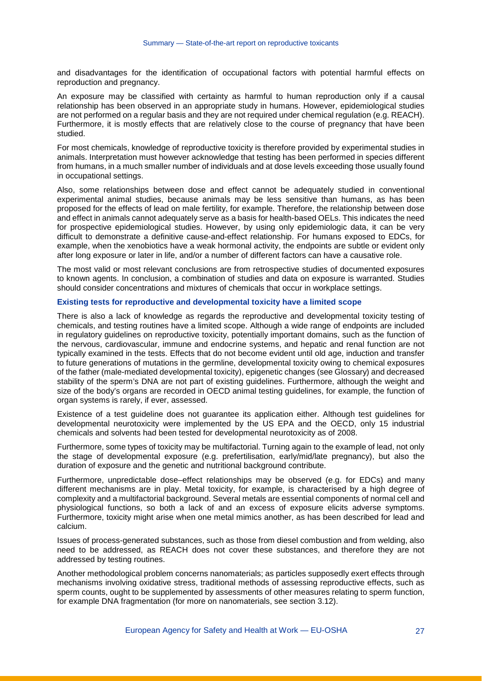and disadvantages for the identification of occupational factors with potential harmful effects on reproduction and pregnancy.

An exposure may be classified with certainty as harmful to human reproduction only if a causal relationship has been observed in an appropriate study in humans. However, epidemiological studies are not performed on a regular basis and they are not required under chemical regulation (e.g. REACH). Furthermore, it is mostly effects that are relatively close to the course of pregnancy that have been studied.

For most chemicals, knowledge of reproductive toxicity is therefore provided by experimental studies in animals. Interpretation must however acknowledge that testing has been performed in species different from humans, in a much smaller number of individuals and at dose levels exceeding those usually found in occupational settings.

Also, some relationships between dose and effect cannot be adequately studied in conventional experimental animal studies, because animals may be less sensitive than humans, as has been proposed for the effects of lead on male fertility, for example. Therefore, the relationship between dose and effect in animals cannot adequately serve as a basis for health-based OELs. This indicates the need for prospective epidemiological studies. However, by using only epidemiologic data, it can be very difficult to demonstrate a definitive cause-and-effect relationship. For humans exposed to EDCs, for example, when the xenobiotics have a weak hormonal activity, the endpoints are subtle or evident only after long exposure or later in life, and/or a number of different factors can have a causative role.

The most valid or most relevant conclusions are from retrospective studies of documented exposures to known agents. In conclusion, a combination of studies and data on exposure is warranted. Studies should consider concentrations and mixtures of chemicals that occur in workplace settings.

#### **Existing tests for reproductive and developmental toxicity have a limited scope**

There is also a lack of knowledge as regards the reproductive and developmental toxicity testing of chemicals, and testing routines have a limited scope. Although a wide range of endpoints are included in regulatory guidelines on reproductive toxicity, potentially important domains, such as the function of the nervous, cardiovascular, immune and endocrine systems, and hepatic and renal function are not typically examined in the tests. Effects that do not become evident until old age, induction and transfer to future generations of mutations in the germline, developmental toxicity owing to chemical exposures of the father (male-mediated developmental toxicity), epigenetic changes (see Glossary) and decreased stability of the sperm's DNA are not part of existing guidelines. Furthermore, although the weight and size of the body's organs are recorded in OECD animal testing guidelines, for example, the function of organ systems is rarely, if ever, assessed.

Existence of a test guideline does not guarantee its application either. Although test guidelines for developmental neurotoxicity were implemented by the US EPA and the OECD, only 15 industrial chemicals and solvents had been tested for developmental neurotoxicity as of 2008.

Furthermore, some types of toxicity may be multifactorial. Turning again to the example of lead, not only the stage of developmental exposure (e.g. prefertilisation, early/mid/late pregnancy), but also the duration of exposure and the genetic and nutritional background contribute.

Furthermore, unpredictable dose–effect relationships may be observed (e.g. for EDCs) and many different mechanisms are in play. Metal toxicity, for example, is characterised by a high degree of complexity and a multifactorial background. Several metals are essential components of normal cell and physiological functions, so both a lack of and an excess of exposure elicits adverse symptoms. Furthermore, toxicity might arise when one metal mimics another, as has been described for lead and calcium.

Issues of process-generated substances, such as those from diesel combustion and from welding, also need to be addressed, as REACH does not cover these substances, and therefore they are not addressed by testing routines.

Another methodological problem concerns nanomaterials; as particles supposedly exert effects through mechanisms involving oxidative stress, traditional methods of assessing reproductive effects, such as sperm counts, ought to be supplemented by assessments of other measures relating to sperm function, for example DNA fragmentation (for more on nanomaterials, see section 3.12).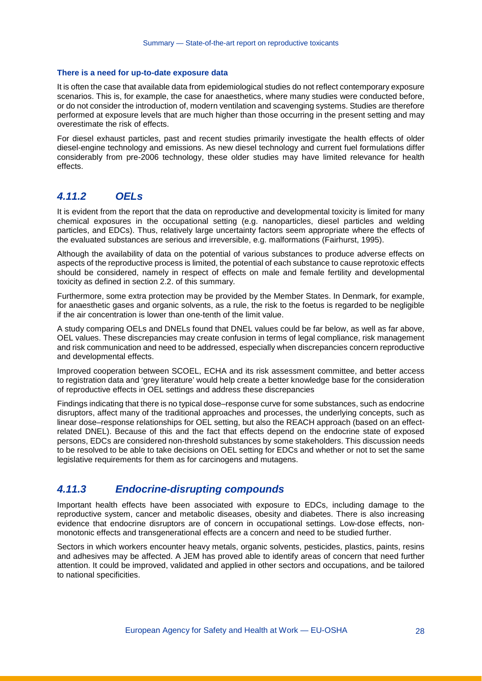#### **There is a need for up-to-date exposure data**

It is often the case that available data from epidemiological studies do not reflect contemporary exposure scenarios. This is, for example, the case for anaesthetics, where many studies were conducted before, or do not consider the introduction of, modern ventilation and scavenging systems. Studies are therefore performed at exposure levels that are much higher than those occurring in the present setting and may overestimate the risk of effects.

For diesel exhaust particles, past and recent studies primarily investigate the health effects of older diesel-engine technology and emissions. As new diesel technology and current fuel formulations differ considerably from pre-2006 technology, these older studies may have limited relevance for health effects.

#### *4.11.2 OELs*

It is evident from the report that the data on reproductive and developmental toxicity is limited for many chemical exposures in the occupational setting (e.g. nanoparticles, diesel particles and welding particles, and EDCs). Thus, relatively large uncertainty factors seem appropriate where the effects of the evaluated substances are serious and irreversible, e.g. malformations (Fairhurst, 1995).

Although the availability of data on the potential of various substances to produce adverse effects on aspects of the reproductive process is limited, the potential of each substance to cause reprotoxic effects should be considered, namely in respect of effects on male and female fertility and developmental toxicity as defined in section 2.2. of this summary.

Furthermore, some extra protection may be provided by the Member States. In Denmark, for example, for anaesthetic gases and organic solvents, as a rule, the risk to the foetus is regarded to be negligible if the air concentration is lower than one-tenth of the limit value.

A study comparing OELs and DNELs found that DNEL values could be far below, as well as far above, OEL values. These discrepancies may create confusion in terms of legal compliance, risk management and risk communication and need to be addressed, especially when discrepancies concern reproductive and developmental effects.

Improved cooperation between SCOEL, ECHA and its risk assessment committee, and better access to registration data and 'grey literature' would help create a better knowledge base for the consideration of reproductive effects in OEL settings and address these discrepancies

Findings indicating that there is no typical dose–response curve for some substances, such as endocrine disruptors, affect many of the traditional approaches and processes, the underlying concepts, such as linear dose–response relationships for OEL setting, but also the REACH approach (based on an effectrelated DNEL). Because of this and the fact that effects depend on the endocrine state of exposed persons, EDCs are considered non-threshold substances by some stakeholders. This discussion needs to be resolved to be able to take decisions on OEL setting for EDCs and whether or not to set the same legislative requirements for them as for carcinogens and mutagens.

#### *4.11.3 Endocrine-disrupting compounds*

Important health effects have been associated with exposure to EDCs, including damage to the reproductive system, cancer and metabolic diseases, obesity and diabetes. There is also increasing evidence that endocrine disruptors are of concern in occupational settings. Low-dose effects, nonmonotonic effects and transgenerational effects are a concern and need to be studied further.

Sectors in which workers encounter heavy metals, organic solvents, pesticides, plastics, paints, resins and adhesives may be affected. A JEM has proved able to identify areas of concern that need further attention. It could be improved, validated and applied in other sectors and occupations, and be tailored to national specificities.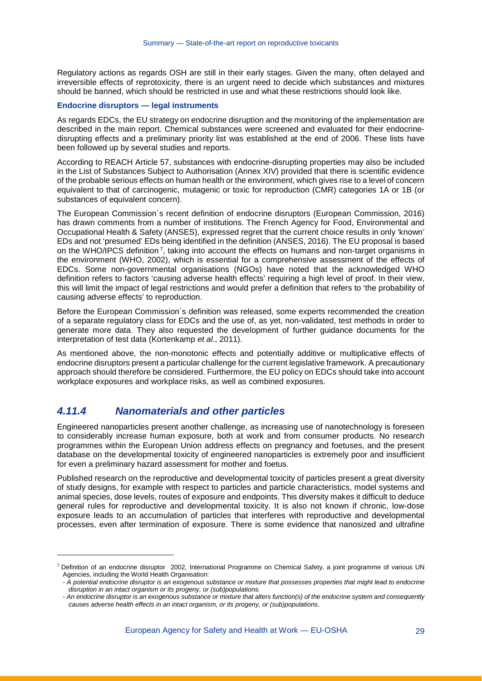Regulatory actions as regards OSH are still in their early stages. Given the many, often delayed and irreversible effects of reprotoxicity, there is an urgent need to decide which substances and mixtures should be banned, which should be restricted in use and what these restrictions should look like.

#### **Endocrine disruptors — legal instruments**

As regards EDCs, the EU strategy on endocrine disruption and the monitoring of the implementation are described in the main report. Chemical substances were screened and evaluated for their endocrinedisrupting effects and a preliminary priority list was established at the end of 2006. These lists have been followed up by several studies and reports.

According to REACH Article 57, substances with endocrine-disrupting properties may also be included in the List of Substances Subject to Authorisation (Annex XIV) provided that there is scientific evidence of the probable serious effects on human health or the environment, which gives rise to a level of concern equivalent to that of carcinogenic, mutagenic or toxic for reproduction (CMR) categories 1A or 1B (or substances of equivalent concern).

The European Commission´s recent definition of endocrine disruptors (European Commission, 2016) has drawn comments from a number of institutions. The French Agency for Food, Environmental and Occupational Health & Safety (ANSES), expressed regret that the current choice results in only 'known' EDs and not 'presumed' EDs being identified in the definition (ANSES, 2016). The EU proposal is based on the WHO/IPCS definition<sup>[7](#page-27-0)</sup>, taking into account the effects on humans and non-target organisms in the environment (WHO, 2002), which is essential for a comprehensive assessment of the effects of EDCs. Some non-governmental organisations (NGOs) have noted that the acknowledged WHO definition refers to factors 'causing adverse health effects' requiring a high level of proof. In their view, this will limit the impact of legal restrictions and would prefer a definition that refers to 'the probability of causing adverse effects' to reproduction.

Before the European Commission´s definition was released, some experts recommended the creation of a separate regulatory class for EDCs and the use of, as yet, non-validated, test methods in order to generate more data. They also requested the development of further guidance documents for the interpretation of test data (Kortenkamp *et al*., 2011).

As mentioned above, the non-monotonic effects and potentially additive or multiplicative effects of endocrine disruptors present a particular challenge for the current legislative framework. A precautionary approach should therefore be considered. Furthermore, the EU policy on EDCs should take into account workplace exposures and workplace risks, as well as combined exposures.

#### *4.11.4 Nanomaterials and other particles*

-

Engineered nanoparticles present another challenge, as increasing use of nanotechnology is foreseen to considerably increase human exposure, both at work and from consumer products. No research programmes within the European Union address effects on pregnancy and foetuses, and the present database on the developmental toxicity of engineered nanoparticles is extremely poor and insufficient for even a preliminary hazard assessment for mother and foetus.

Published research on the reproductive and developmental toxicity of particles present a great diversity of study designs, for example with respect to particles and particle characteristics, model systems and animal species, dose levels, routes of exposure and endpoints. This diversity makes it difficult to deduce general rules for reproductive and developmental toxicity. It is also not known if chronic, low-dose exposure leads to an accumulation of particles that interferes with reproductive and developmental processes, even after termination of exposure. There is some evidence that nanosized and ultrafine

<span id="page-27-0"></span><sup>7</sup> Definition of an endocrine disruptor 2002, International Programme on Chemical Safety, a joint programme of various UN Agencies, including the World Health Organisation:

<sup>-</sup> *A potential endocrine disruptor is an exogenous substance or mixture that possesses properties that might lead to endocrine disruption in an intact organism or its progeny, or (sub)populations.*

*<sup>-</sup> An endocrine disruptor is an exogenous substance or mixture that alters function(s) of the endocrine system and consequently causes adverse health effects in an intact organism, or its progeny, or (sub)populations*.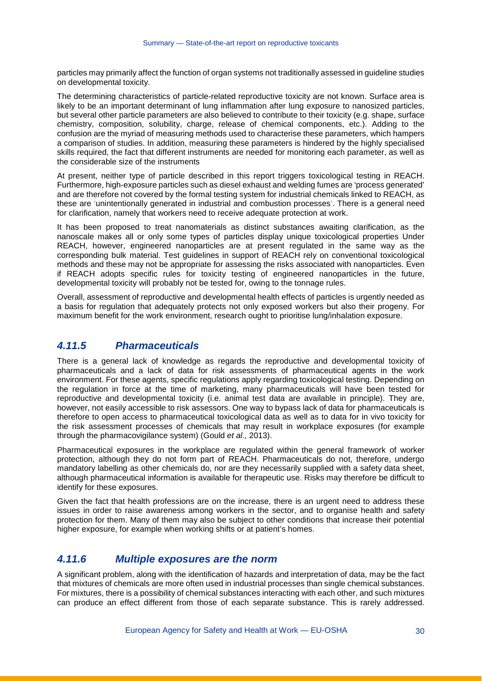particles may primarily affect the function of organ systems not traditionally assessed in guideline studies on developmental toxicity.

The determining characteristics of particle-related reproductive toxicity are not known. Surface area is likely to be an important determinant of lung inflammation after lung exposure to nanosized particles, but several other particle parameters are also believed to contribute to their toxicity (e.g. shape, surface chemistry, composition, solubility, charge, release of chemical components, etc.). Adding to the confusion are the myriad of measuring methods used to characterise these parameters, which hampers a comparison of studies. In addition, measuring these parameters is hindered by the highly specialised skills required, the fact that different instruments are needed for monitoring each parameter, as well as the considerable size of the instruments

At present, neither type of particle described in this report triggers toxicological testing in REACH. Furthermore, high-exposure particles such as diesel exhaust and welding fumes are 'process generated' and are therefore not covered by the formal testing system for industrial chemicals linked to REACH, as these are 'unintentionally generated in industrial and combustion processes'. There is a general need for clarification, namely that workers need to receive adequate protection at work.

It has been proposed to treat nanomaterials as distinct substances awaiting clarification, as the nanoscale makes all or only some types of particles display unique toxicological properties Under REACH, however, engineered nanoparticles are at present regulated in the same way as the corresponding bulk material. Test guidelines in support of REACH rely on conventional toxicological methods and these may not be appropriate for assessing the risks associated with nanoparticles. Even if REACH adopts specific rules for toxicity testing of engineered nanoparticles in the future, developmental toxicity will probably not be tested for, owing to the tonnage rules.

Overall, assessment of reproductive and developmental health effects of particles is urgently needed as a basis for regulation that adequately protects not only exposed workers but also their progeny. For maximum benefit for the work environment, research ought to prioritise lung/inhalation exposure.

### *4.11.5 Pharmaceuticals*

There is a general lack of knowledge as regards the reproductive and developmental toxicity of pharmaceuticals and a lack of data for risk assessments of pharmaceutical agents in the work environment. For these agents, specific regulations apply regarding toxicological testing. Depending on the regulation in force at the time of marketing, many pharmaceuticals will have been tested for reproductive and developmental toxicity (i.e. animal test data are available in principle). They are, however, not easily accessible to risk assessors. One way to bypass lack of data for pharmaceuticals is therefore to open access to pharmaceutical toxicological data as well as to data for in vivo toxicity for the risk assessment processes of chemicals that may result in workplace exposures (for example through the pharmacovigilance system) (Gould *et al*., 2013).

Pharmaceutical exposures in the workplace are regulated within the general framework of worker protection, although they do not form part of REACH. Pharmaceuticals do not, therefore, undergo mandatory labelling as other chemicals do, nor are they necessarily supplied with a safety data sheet, although pharmaceutical information is available for therapeutic use. Risks may therefore be difficult to identify for these exposures.

Given the fact that health professions are on the increase, there is an urgent need to address these issues in order to raise awareness among workers in the sector, and to organise health and safety protection for them. Many of them may also be subject to other conditions that increase their potential higher exposure, for example when working shifts or at patient's homes.

### *4.11.6 Multiple exposures are the norm*

A significant problem, along with the identification of hazards and interpretation of data, may be the fact that mixtures of chemicals are more often used in industrial processes than single chemical substances. For mixtures, there is a possibility of chemical substances interacting with each other, and such mixtures can produce an effect different from those of each separate substance. This is rarely addressed.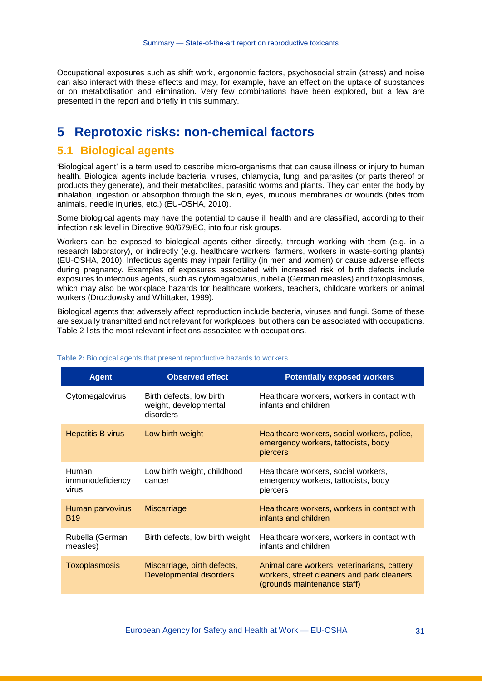Occupational exposures such as shift work, ergonomic factors, psychosocial strain (stress) and noise can also interact with these effects and may, for example, have an effect on the uptake of substances or on metabolisation and elimination. Very few combinations have been explored, but a few are presented in the report and briefly in this summary.

## **5 Reprotoxic risks: non-chemical factors**

#### **5.1 Biological agents**

'Biological agent' is a term used to describe micro-organisms that can cause illness or injury to human health. Biological agents include bacteria, viruses, chlamydia, fungi and parasites (or parts thereof or products they generate), and their metabolites, parasitic worms and plants. They can enter the body by inhalation, ingestion or absorption through the skin, eyes, mucous membranes or wounds (bites from animals, needle injuries, etc.) (EU-OSHA, 2010).

Some biological agents may have the potential to cause ill health and are classified, according to their infection risk level in Directive 90/679/EC, into four risk groups.

Workers can be exposed to biological agents either directly, through working with them (e.g. in a research laboratory), or indirectly (e.g. healthcare workers, farmers, workers in waste-sorting plants) (EU-OSHA, 2010). Infectious agents may impair fertility (in men and women) or cause adverse effects during pregnancy. Examples of exposures associated with increased risk of birth defects include exposures to infectious agents, such as cytomegalovirus, rubella (German measles) and toxoplasmosis, which may also be workplace hazards for healthcare workers, teachers, childcare workers or animal workers (Drozdowsky and Whittaker, 1999).

Biological agents that adversely affect reproduction include bacteria, viruses and fungi. Some of these are sexually transmitted and not relevant for workplaces, but others can be associated with occupations. [Table 2](#page-29-0) lists the most relevant infections associated with occupations.

| <b>Agent</b>                       | <b>Observed effect</b>                                         | <b>Potentially exposed workers</b>                                                                                       |
|------------------------------------|----------------------------------------------------------------|--------------------------------------------------------------------------------------------------------------------------|
| Cytomegalovirus                    | Birth defects, low birth<br>weight, developmental<br>disorders | Healthcare workers, workers in contact with<br>infants and children                                                      |
| <b>Hepatitis B virus</b>           | Low birth weight                                               | Healthcare workers, social workers, police,<br>emergency workers, tattooists, body<br>piercers                           |
| Human<br>immunodeficiency<br>virus | Low birth weight, childhood<br>cancer                          | Healthcare workers, social workers,<br>emergency workers, tattooists, body<br>piercers                                   |
| Human parvovirus<br><b>B</b> 19    | <b>Miscarriage</b>                                             | Healthcare workers, workers in contact with<br>infants and children                                                      |
| Rubella (German<br>measles)        | Birth defects, low birth weight                                | Healthcare workers, workers in contact with<br>infants and children                                                      |
| <b>Toxoplasmosis</b>               | Miscarriage, birth defects,<br>Developmental disorders         | Animal care workers, veterinarians, cattery<br>workers, street cleaners and park cleaners<br>(grounds maintenance staff) |

#### <span id="page-29-0"></span>**Table 2:** Biological agents that present reproductive hazards to workers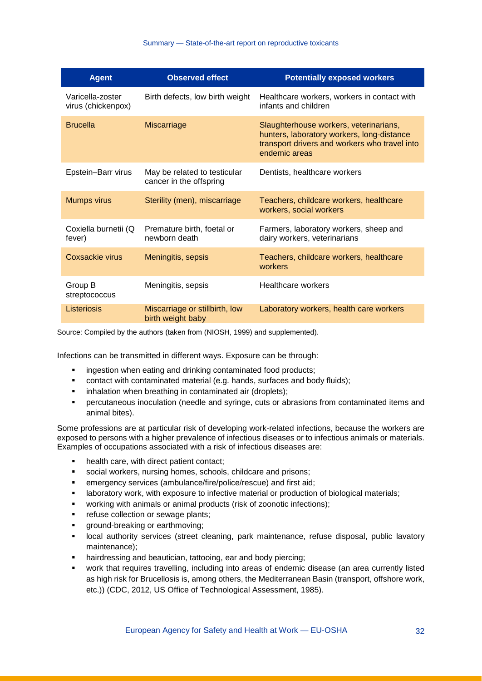| <b>Agent</b>                           | <b>Observed effect</b>                                  | <b>Potentially exposed workers</b>                                                                                                                     |
|----------------------------------------|---------------------------------------------------------|--------------------------------------------------------------------------------------------------------------------------------------------------------|
| Varicella-zoster<br>virus (chickenpox) | Birth defects, low birth weight                         | Healthcare workers, workers in contact with<br>infants and children                                                                                    |
| <b>Brucella</b>                        | <b>Miscarriage</b>                                      | Slaughterhouse workers, veterinarians,<br>hunters, laboratory workers, long-distance<br>transport drivers and workers who travel into<br>endemic areas |
| Epstein-Barr virus                     | May be related to testicular<br>cancer in the offspring | Dentists, healthcare workers                                                                                                                           |
| <b>Mumps virus</b>                     | Sterility (men), miscarriage                            | Teachers, childcare workers, healthcare<br>workers, social workers                                                                                     |
| Coxiella burnetii (Q<br>fever)         | Premature birth, foetal or<br>newborn death             | Farmers, laboratory workers, sheep and<br>dairy workers, veterinarians                                                                                 |
| Coxsackie virus                        | Meningitis, sepsis                                      | Teachers, childcare workers, healthcare<br>workers                                                                                                     |
| Group B<br>streptococcus               | Meningitis, sepsis                                      | Healthcare workers                                                                                                                                     |
| <b>Listeriosis</b>                     | Miscarriage or stillbirth, low<br>birth weight baby     | Laboratory workers, health care workers                                                                                                                |

Source: Compiled by the authors (taken from (NIOSH, 1999) and supplemented).

Infections can be transmitted in different ways. Exposure can be through:

- **EXECUTE:** ingestion when eating and drinking contaminated food products;
- contact with contaminated material (e.g. hands, surfaces and body fluids);
- **EXEDENT** inhalation when breathing in contaminated air (droplets);
- percutaneous inoculation (needle and syringe, cuts or abrasions from contaminated items and animal bites).

Some professions are at particular risk of developing work-related infections, because the workers are exposed to persons with a higher prevalence of infectious diseases or to infectious animals or materials. Examples of occupations associated with a risk of infectious diseases are:

- health care, with direct patient contact;
- social workers, nursing homes, schools, childcare and prisons;
- emergency services (ambulance/fire/police/rescue) and first aid;
- laboratory work, with exposure to infective material or production of biological materials;
- working with animals or animal products (risk of zoonotic infections);
- **•** refuse collection or sewage plants;
- **ground-breaking or earthmoving;**
- local authority services (street cleaning, park maintenance, refuse disposal, public lavatory maintenance);
- hairdressing and beautician, tattooing, ear and body piercing;
- work that requires travelling, including into areas of endemic disease (an area currently listed as high risk for Brucellosis is, among others, the Mediterranean Basin (transport, offshore work, etc.)) (CDC, 2012, US Office of Technological Assessment, 1985).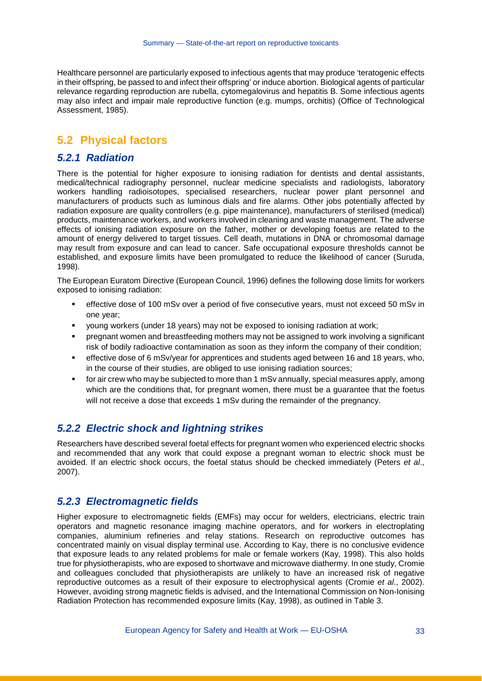Healthcare personnel are particularly exposed to infectious agents that may produce 'teratogenic effects in their offspring, be passed to and infect their offspring' or induce abortion. Biological agents of particular relevance regarding reproduction are rubella, cytomegalovirus and hepatitis B. Some infectious agents may also infect and impair male reproductive function (e.g. mumps, orchitis) (Office of Technological Assessment, 1985).

#### **5.2 Physical factors**

#### *5.2.1 Radiation*

There is the potential for higher exposure to ionising radiation for dentists and dental assistants, medical/technical radiography personnel, nuclear medicine specialists and radiologists, laboratory workers handling radioisotopes, specialised researchers, nuclear power plant personnel and manufacturers of products such as luminous dials and fire alarms. Other jobs potentially affected by radiation exposure are quality controllers (e.g. pipe maintenance), manufacturers of sterilised (medical) products, maintenance workers, and workers involved in cleaning and waste management. The adverse effects of ionising radiation exposure on the father, mother or developing foetus are related to the amount of energy delivered to target tissues. Cell death, mutations in DNA or chromosomal damage may result from exposure and can lead to cancer. Safe occupational exposure thresholds cannot be established, and exposure limits have been promulgated to reduce the likelihood of cancer (Suruda, 1998).

The European Euratom Directive (European Council, 1996) defines the following dose limits for workers exposed to ionising radiation:

- effective dose of 100 mSv over a period of five consecutive years, must not exceed 50 mSv in one year;
- young workers (under 18 years) may not be exposed to ionising radiation at work;
- pregnant women and breastfeeding mothers may not be assigned to work involving a significant risk of bodily radioactive contamination as soon as they inform the company of their condition;
- effective dose of 6 mSv/year for apprentices and students aged between 16 and 18 years, who, in the course of their studies, are obliged to use ionising radiation sources;
- for air crew who may be subjected to more than 1 mSv annually, special measures apply, among which are the conditions that, for pregnant women, there must be a guarantee that the foetus will not receive a dose that exceeds 1 mSv during the remainder of the pregnancy.

#### *5.2.2 Electric shock and lightning strikes*

Researchers have described several foetal effects for pregnant women who experienced electric shocks and recommended that any work that could expose a pregnant woman to electric shock must be avoided. If an electric shock occurs, the foetal status should be checked immediately (Peters *et al*., 2007).

#### *5.2.3 Electromagnetic fields*

Higher exposure to electromagnetic fields (EMFs) may occur for welders, electricians, electric train operators and magnetic resonance imaging machine operators, and for workers in electroplating companies, aluminium refineries and relay stations. Research on reproductive outcomes has concentrated mainly on visual display terminal use. According to Kay, there is no conclusive evidence that exposure leads to any related problems for male or female workers (Kay, 1998). This also holds true for physiotherapists, who are exposed to shortwave and microwave diathermy. In one study, Cromie and colleagues concluded that physiotherapists are unlikely to have an increased risk of negative reproductive outcomes as a result of their exposure to electrophysical agents (Cromie *et al*., 2002). However, avoiding strong magnetic fields is advised, and the International Commission on Non-Ionising Radiation Protection has recommended exposure limits (Kay, 1998), as outlined in [Table 3.](#page-32-0)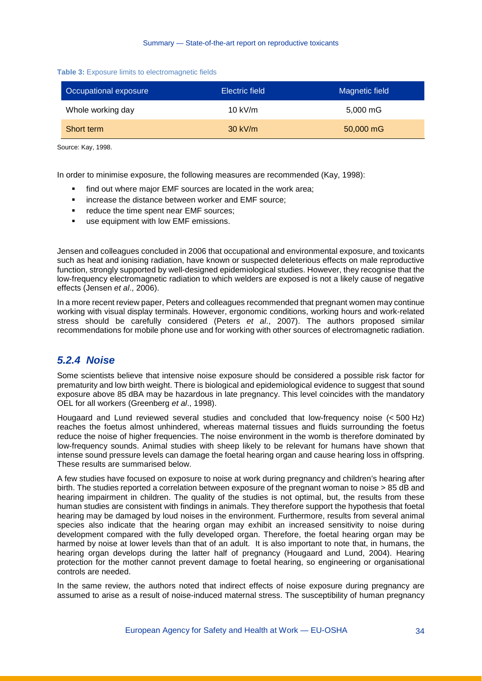#### <span id="page-32-0"></span>**Table 3:** Exposure limits to electromagnetic fields

| Occupational exposure | <b>Electric field</b> | Magnetic field |
|-----------------------|-----------------------|----------------|
| Whole working day     | 10 kV/m               | 5,000 mG       |
| Short term            | $30$ kV/m             | 50,000 mG      |

Source: Kay, 1998.

In order to minimise exposure, the following measures are recommended (Kay, 1998):

- find out where major EMF sources are located in the work area;
- increase the distance between worker and EMF source;
- **•** reduce the time spent near EMF sources;
- **use equipment with low EMF emissions.**

Jensen and colleagues concluded in 2006 that occupational and environmental exposure, and toxicants such as heat and ionising radiation, have known or suspected deleterious effects on male reproductive function, strongly supported by well-designed epidemiological studies. However, they recognise that the low-frequency electromagnetic radiation to which welders are exposed is not a likely cause of negative effects (Jensen *et al*., 2006).

In a more recent review paper, Peters and colleagues recommended that pregnant women may continue working with visual display terminals. However, ergonomic conditions, working hours and work-related stress should be carefully considered (Peters *et al*., 2007). The authors proposed similar recommendations for mobile phone use and for working with other sources of electromagnetic radiation.

### *5.2.4 Noise*

Some scientists believe that intensive noise exposure should be considered a possible risk factor for prematurity and low birth weight. There is biological and epidemiological evidence to suggest that sound exposure above 85 dBA may be hazardous in late pregnancy. This level coincides with the mandatory OEL for all workers (Greenberg *et al*., 1998).

Hougaard and Lund reviewed several studies and concluded that low-frequency noise (< 500 Hz) reaches the foetus almost unhindered, whereas maternal tissues and fluids surrounding the foetus reduce the noise of higher frequencies. The noise environment in the womb is therefore dominated by low-frequency sounds. Animal studies with sheep likely to be relevant for humans have shown that intense sound pressure levels can damage the foetal hearing organ and cause hearing loss in offspring. These results are summarised below.

A few studies have focused on exposure to noise at work during pregnancy and children's hearing after birth. The studies reported a correlation between exposure of the pregnant woman to noise > 85 dB and hearing impairment in children. The quality of the studies is not optimal, but, the results from these human studies are consistent with findings in animals. They therefore support the hypothesis that foetal hearing may be damaged by loud noises in the environment. Furthermore, results from several animal species also indicate that the hearing organ may exhibit an increased sensitivity to noise during development compared with the fully developed organ. Therefore, the foetal hearing organ may be harmed by noise at lower levels than that of an adult. It is also important to note that, in humans, the hearing organ develops during the latter half of pregnancy (Hougaard and Lund, 2004). Hearing protection for the mother cannot prevent damage to foetal hearing, so engineering or organisational controls are needed.

In the same review, the authors noted that indirect effects of noise exposure during pregnancy are assumed to arise as a result of noise-induced maternal stress. The susceptibility of human pregnancy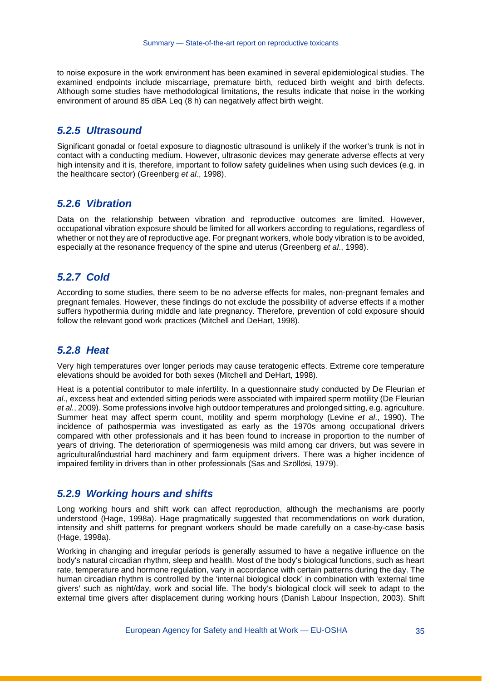to noise exposure in the work environment has been examined in several epidemiological studies. The examined endpoints include miscarriage, premature birth, reduced birth weight and birth defects. Although some studies have methodological limitations, the results indicate that noise in the working environment of around 85 dBA Leq (8 h) can negatively affect birth weight.

#### *5.2.5 Ultrasound*

Significant gonadal or foetal exposure to diagnostic ultrasound is unlikely if the worker's trunk is not in contact with a conducting medium. However, ultrasonic devices may generate adverse effects at very high intensity and it is, therefore, important to follow safety guidelines when using such devices (e.g. in the healthcare sector) (Greenberg *et al*., 1998).

#### *5.2.6 Vibration*

Data on the relationship between vibration and reproductive outcomes are limited. However, occupational vibration exposure should be limited for all workers according to regulations, regardless of whether or not they are of reproductive age. For pregnant workers, whole body vibration is to be avoided, especially at the resonance frequency of the spine and uterus (Greenberg *et al*., 1998).

#### *5.2.7 Cold*

According to some studies, there seem to be no adverse effects for males, non-pregnant females and pregnant females. However, these findings do not exclude the possibility of adverse effects if a mother suffers hypothermia during middle and late pregnancy. Therefore, prevention of cold exposure should follow the relevant good work practices (Mitchell and DeHart, 1998).

#### *5.2.8 Heat*

Very high temperatures over longer periods may cause teratogenic effects. Extreme core temperature elevations should be avoided for both sexes (Mitchell and DeHart, 1998).

Heat is a potential contributor to male infertility. In a questionnaire study conducted by De Fleurian *et al*., excess heat and extended sitting periods were associated with impaired sperm motility (De Fleurian *et al.*, 2009). Some professions involve high outdoor temperatures and prolonged sitting, e.g. agriculture. Summer heat may affect sperm count, motility and sperm morphology (Levine *et al*., 1990). The incidence of pathospermia was investigated as early as the 1970s among occupational drivers compared with other professionals and it has been found to increase in proportion to the number of years of driving. The deterioration of spermiogenesis was mild among car drivers, but was severe in agricultural/industrial hard machinery and farm equipment drivers. There was a higher incidence of impaired fertility in drivers than in other professionals (Sas and Szöllösi, 1979).

#### *5.2.9 Working hours and shifts*

Long working hours and shift work can affect reproduction, although the mechanisms are poorly understood (Hage, 1998a). Hage pragmatically suggested that recommendations on work duration, intensity and shift patterns for pregnant workers should be made carefully on a case-by-case basis (Hage, 1998a).

Working in changing and irregular periods is generally assumed to have a negative influence on the body's natural circadian rhythm, sleep and health. Most of the body's biological functions, such as heart rate, temperature and hormone regulation, vary in accordance with certain patterns during the day. The human circadian rhythm is controlled by the 'internal biological clock' in combination with 'external time givers' such as night/day, work and social life. The body's biological clock will seek to adapt to the external time givers after displacement during working hours (Danish Labour Inspection, 2003). Shift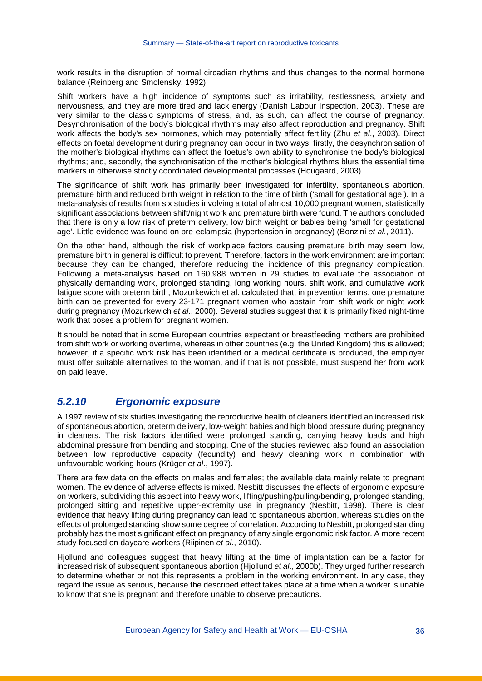work results in the disruption of normal circadian rhythms and thus changes to the normal hormone balance (Reinberg and Smolensky, 1992).

Shift workers have a high incidence of symptoms such as irritability, restlessness, anxiety and nervousness, and they are more tired and lack energy (Danish Labour Inspection, 2003). These are very similar to the classic symptoms of stress, and, as such, can affect the course of pregnancy. Desynchronisation of the body's biological rhythms may also affect reproduction and pregnancy. Shift work affects the body's sex hormones, which may potentially affect fertility (Zhu *et al*., 2003). Direct effects on foetal development during pregnancy can occur in two ways: firstly, the desynchronisation of the mother's biological rhythms can affect the foetus's own ability to synchronise the body's biological rhythms; and, secondly, the synchronisation of the mother's biological rhythms blurs the essential time markers in otherwise strictly coordinated developmental processes (Hougaard, 2003).

The significance of shift work has primarily been investigated for infertility, spontaneous abortion, premature birth and reduced birth weight in relation to the time of birth ('small for gestational age'). In a meta-analysis of results from six studies involving a total of almost 10,000 pregnant women, statistically significant associations between shift/night work and premature birth were found. The authors concluded that there is only a low risk of preterm delivery, low birth weight or babies being 'small for gestational age'. Little evidence was found on pre-eclampsia (hypertension in pregnancy) (Bonzini *et al*., 2011).

On the other hand, although the risk of workplace factors causing premature birth may seem low, premature birth in general is difficult to prevent. Therefore, factors in the work environment are important because they can be changed, therefore reducing the incidence of this pregnancy complication. Following a meta-analysis based on 160,988 women in 29 studies to evaluate the association of physically demanding work, prolonged standing, long working hours, shift work, and cumulative work fatigue score with preterm birth, Mozurkewich et al. calculated that, in prevention terms, one premature birth can be prevented for every 23-171 pregnant women who abstain from shift work or night work during pregnancy (Mozurkewich *et al*., 2000). Several studies suggest that it is primarily fixed night-time work that poses a problem for pregnant women.

It should be noted that in some European countries expectant or breastfeeding mothers are prohibited from shift work or working overtime, whereas in other countries (e.g. the United Kingdom) this is allowed; however, if a specific work risk has been identified or a medical certificate is produced, the employer must offer suitable alternatives to the woman, and if that is not possible, must suspend her from work on paid leave.

### *5.2.10 Ergonomic exposure*

A 1997 review of six studies investigating the reproductive health of cleaners identified an increased risk of spontaneous abortion, preterm delivery, low-weight babies and high blood pressure during pregnancy in cleaners. The risk factors identified were prolonged standing, carrying heavy loads and high abdominal pressure from bending and stooping. One of the studies reviewed also found an association between low reproductive capacity (fecundity) and heavy cleaning work in combination with unfavourable working hours (Krüger *et al*., 1997).

There are few data on the effects on males and females; the available data mainly relate to pregnant women. The evidence of adverse effects is mixed. Nesbitt discusses the effects of ergonomic exposure on workers, subdividing this aspect into heavy work, lifting/pushing/pulling/bending, prolonged standing, prolonged sitting and repetitive upper-extremity use in pregnancy (Nesbitt, 1998). There is clear evidence that heavy lifting during pregnancy can lead to spontaneous abortion, whereas studies on the effects of prolonged standing show some degree of correlation. According to Nesbitt, prolonged standing probably has the most significant effect on pregnancy of any single ergonomic risk factor. A more recent study focused on daycare workers (Riipinen *et al*., 2010).

Hjollund and colleagues suggest that heavy lifting at the time of implantation can be a factor for increased risk of subsequent spontaneous abortion (Hjollund *et al*., 2000b). They urged further research to determine whether or not this represents a problem in the working environment. In any case, they regard the issue as serious, because the described effect takes place at a time when a worker is unable to know that she is pregnant and therefore unable to observe precautions.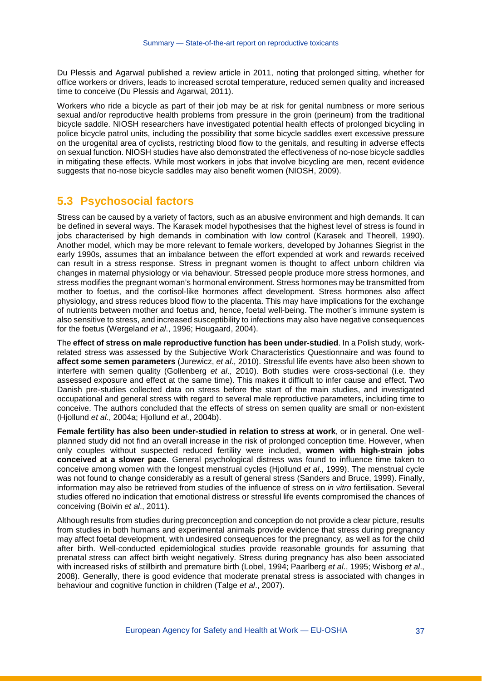Du Plessis and Agarwal published a review article in 2011, noting that prolonged sitting, whether for office workers or drivers, leads to increased scrotal temperature, reduced semen quality and increased time to conceive (Du Plessis and Agarwal, 2011).

Workers who ride a bicycle as part of their job may be at risk for genital numbness or more serious sexual and/or reproductive health problems from pressure in the groin (perineum) from the traditional bicycle saddle. NIOSH researchers have investigated potential health effects of prolonged bicycling in police bicycle patrol units, including the possibility that some bicycle saddles exert excessive pressure on the urogenital area of cyclists, restricting blood flow to the genitals, and resulting in adverse effects on sexual function. NIOSH studies have also demonstrated the effectiveness of no-nose bicycle saddles in mitigating these effects. While most workers in jobs that involve bicycling are men, recent evidence suggests that no-nose bicycle saddles may also benefit women (NIOSH, 2009).

#### **5.3 Psychosocial factors**

Stress can be caused by a variety of factors, such as an abusive environment and high demands. It can be defined in several ways. The Karasek model hypothesises that the highest level of stress is found in jobs characterised by high demands in combination with low control (Karasek and Theorell, 1990). Another model, which may be more relevant to female workers, developed by Johannes Siegrist in the early 1990s, assumes that an imbalance between the effort expended at work and rewards received can result in a stress response. Stress in pregnant women is thought to affect unborn children via changes in maternal physiology or via behaviour. Stressed people produce more stress hormones, and stress modifies the pregnant woman's hormonal environment. Stress hormones may be transmitted from mother to foetus, and the cortisol-like hormones affect development. Stress hormones also affect physiology, and stress reduces blood flow to the placenta. This may have implications for the exchange of nutrients between mother and foetus and, hence, foetal well-being. The mother's immune system is also sensitive to stress, and increased susceptibility to infections may also have negative consequences for the foetus (Wergeland *et al*., 1996; Hougaard, 2004).

The **effect of stress on male reproductive function has been under-studied**. In a Polish study, workrelated stress was assessed by the Subjective Work Characteristics Questionnaire and was found to **affect some semen parameters** (Jurewicz, *et al*., 2010). Stressful life events have also been shown to interfere with semen quality (Gollenberg *et al*., 2010). Both studies were cross-sectional (i.e. they assessed exposure and effect at the same time). This makes it difficult to infer cause and effect. Two Danish pre-studies collected data on stress before the start of the main studies, and investigated occupational and general stress with regard to several male reproductive parameters, including time to conceive. The authors concluded that the effects of stress on semen quality are small or non-existent (Hjollund *et al*., 2004a; Hjollund *et al*., 2004b).

**Female fertility has also been under-studied in relation to stress at work**, or in general. One wellplanned study did not find an overall increase in the risk of prolonged conception time. However, when only couples without suspected reduced fertility were included, **women with high-strain jobs conceived at a slower pace**. General psychological distress was found to influence time taken to conceive among women with the longest menstrual cycles (Hjollund *et al*., 1999). The menstrual cycle was not found to change considerably as a result of general stress (Sanders and Bruce, 1999). Finally, information may also be retrieved from studies of the influence of stress on *in vitro* fertilisation. Several studies offered no indication that emotional distress or stressful life events compromised the chances of conceiving (Boivin *et al*., 2011).

Although results from studies during preconception and conception do not provide a clear picture, results from studies in both humans and experimental animals provide evidence that stress during pregnancy may affect foetal development, with undesired consequences for the pregnancy, as well as for the child after birth. Well-conducted epidemiological studies provide reasonable grounds for assuming that prenatal stress can affect birth weight negatively. Stress during pregnancy has also been associated with increased risks of stillbirth and premature birth (Lobel, 1994; Paarlberg *et al*., 1995; Wisborg *et al*., 2008). Generally, there is good evidence that moderate prenatal stress is associated with changes in behaviour and cognitive function in children (Talge *et al*., 2007).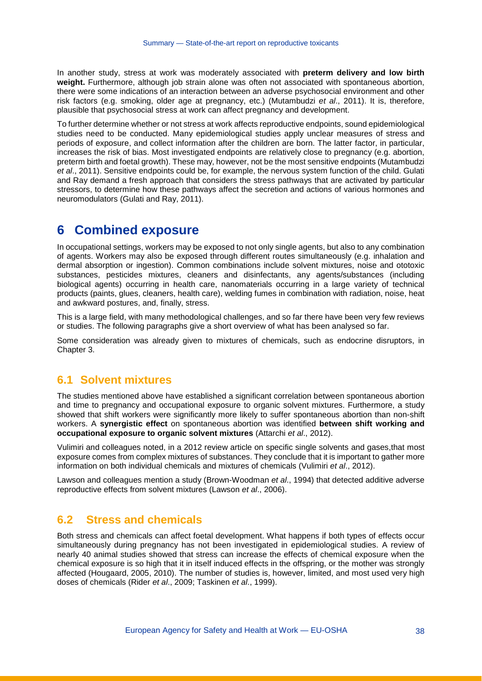In another study, stress at work was moderately associated with **preterm delivery and low birth weight.** Furthermore, although job strain alone was often not associated with spontaneous abortion, there were some indications of an interaction between an adverse psychosocial environment and other risk factors (e.g. smoking, older age at pregnancy, etc.) (Mutambudzi *et al*., 2011). It is, therefore, plausible that psychosocial stress at work can affect pregnancy and development.

To further determine whether or not stress at work affects reproductive endpoints, sound epidemiological studies need to be conducted. Many epidemiological studies apply unclear measures of stress and periods of exposure, and collect information after the children are born. The latter factor, in particular, increases the risk of bias. Most investigated endpoints are relatively close to pregnancy (e.g. abortion, preterm birth and foetal growth). These may, however, not be the most sensitive endpoints (Mutambudzi *et al*., 2011). Sensitive endpoints could be, for example, the nervous system function of the child. Gulati and Ray demand a fresh approach that considers the stress pathways that are activated by particular stressors, to determine how these pathways affect the secretion and actions of various hormones and neuromodulators (Gulati and Ray, 2011).

## **6 Combined exposure**

In occupational settings, workers may be exposed to not only single agents, but also to any combination of agents. Workers may also be exposed through different routes simultaneously (e.g. inhalation and dermal absorption or ingestion). Common combinations include solvent mixtures, noise and ototoxic substances, pesticides mixtures, cleaners and disinfectants, any agents/substances (including biological agents) occurring in health care, nanomaterials occurring in a large variety of technical products (paints, glues, cleaners, health care), welding fumes in combination with radiation, noise, heat and awkward postures, and, finally, stress.

This is a large field, with many methodological challenges, and so far there have been very few reviews or studies. The following paragraphs give a short overview of what has been analysed so far.

Some consideration was already given to mixtures of chemicals, such as endocrine disruptors, in Chapter 3.

## **6.1 Solvent mixtures**

The studies mentioned above have established a significant correlation between spontaneous abortion and time to pregnancy and occupational exposure to organic solvent mixtures. Furthermore, a study showed that shift workers were significantly more likely to suffer spontaneous abortion than non-shift workers. A **synergistic effect** on spontaneous abortion was identified **between shift working and occupational exposure to organic solvent mixtures** (Attarchi *et al*., 2012).

Vulimiri and colleagues noted, in a 2012 review article on specific single solvents and gases,that most exposure comes from complex mixtures of substances. They conclude that it is important to gather more information on both individual chemicals and mixtures of chemicals (Vulimiri *et al*., 2012).

Lawson and colleagues mention a study (Brown-Woodman *et al*., 1994) that detected additive adverse reproductive effects from solvent mixtures (Lawson *et al*., 2006).

#### **6.2 Stress and chemicals**

Both stress and chemicals can affect foetal development. What happens if both types of effects occur simultaneously during pregnancy has not been investigated in epidemiological studies. A review of nearly 40 animal studies showed that stress can increase the effects of chemical exposure when the chemical exposure is so high that it in itself induced effects in the offspring, or the mother was strongly affected (Hougaard, 2005, 2010). The number of studies is, however, limited, and most used very high doses of chemicals (Rider *et al*., 2009; Taskinen *et al*., 1999).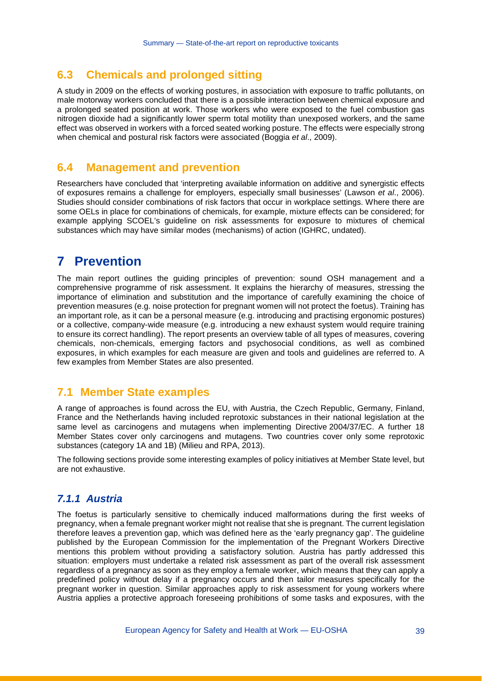#### **6.3 Chemicals and prolonged sitting**

A study in 2009 on the effects of working postures, in association with exposure to traffic pollutants, on male motorway workers concluded that there is a possible interaction between chemical exposure and a prolonged seated position at work. Those workers who were exposed to the fuel combustion gas nitrogen dioxide had a significantly lower sperm total motility than unexposed workers, and the same effect was observed in workers with a forced seated working posture. The effects were especially strong when chemical and postural risk factors were associated (Boggia *et al*., 2009).

#### **6.4 Management and prevention**

Researchers have concluded that 'interpreting available information on additive and synergistic effects of exposures remains a challenge for employers, especially small businesses' (Lawson *et al*., 2006). Studies should consider combinations of risk factors that occur in workplace settings. Where there are some OELs in place for combinations of chemicals, for example, mixture effects can be considered; for example applying SCOEL's guideline on risk assessments for exposure to mixtures of chemical substances which may have similar modes (mechanisms) of action (IGHRC, undated).

## **7 Prevention**

The main report outlines the guiding principles of prevention: sound OSH management and a comprehensive programme of risk assessment. It explains the hierarchy of measures, stressing the importance of elimination and substitution and the importance of carefully examining the choice of prevention measures (e.g. noise protection for pregnant women will not protect the foetus). Training has an important role, as it can be a personal measure (e.g. introducing and practising ergonomic postures) or a collective, company-wide measure (e.g. introducing a new exhaust system would require training to ensure its correct handling). The report presents an overview table of all types of measures, covering chemicals, non-chemicals, emerging factors and psychosocial conditions, as well as combined exposures, in which examples for each measure are given and tools and guidelines are referred to. A few examples from Member States are also presented.

### **7.1 Member State examples**

A range of approaches is found across the EU, with Austria, the Czech Republic, Germany, Finland, France and the Netherlands having included reprotoxic substances in their national legislation at the same level as carcinogens and mutagens when implementing Directive 2004/37/EC. A further 18 Member States cover only carcinogens and mutagens. Two countries cover only some reprotoxic substances (category 1A and 1B) (Milieu and RPA, 2013).

The following sections provide some interesting examples of policy initiatives at Member State level, but are not exhaustive.

## *7.1.1 Austria*

The foetus is particularly sensitive to chemically induced malformations during the first weeks of pregnancy, when a female pregnant worker might not realise that she is pregnant. The current legislation therefore leaves a prevention gap, which was defined here as the 'early pregnancy gap'. The guideline published by the European Commission for the implementation of the Pregnant Workers Directive mentions this problem without providing a satisfactory solution. Austria has partly addressed this situation: employers must undertake a related risk assessment as part of the overall risk assessment regardless of a pregnancy as soon as they employ a female worker, which means that they can apply a predefined policy without delay if a pregnancy occurs and then tailor measures specifically for the pregnant worker in question. Similar approaches apply to risk assessment for young workers where Austria applies a protective approach foreseeing prohibitions of some tasks and exposures, with the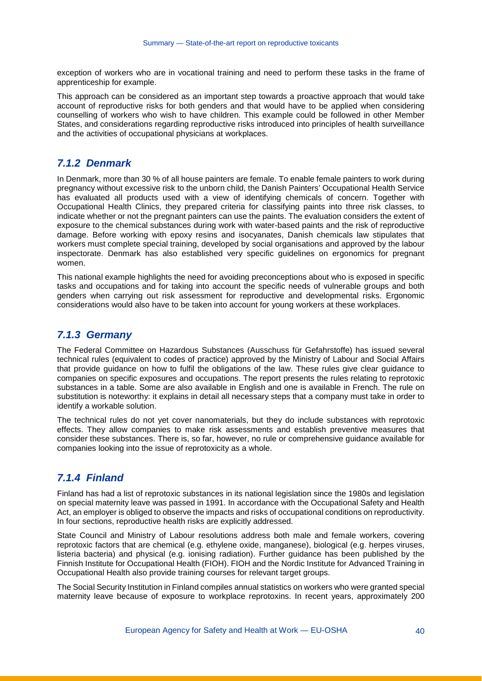exception of workers who are in vocational training and need to perform these tasks in the frame of apprenticeship for example.

This approach can be considered as an important step towards a proactive approach that would take account of reproductive risks for both genders and that would have to be applied when considering counselling of workers who wish to have children. This example could be followed in other Member States, and considerations regarding reproductive risks introduced into principles of health surveillance and the activities of occupational physicians at workplaces.

#### *7.1.2 Denmark*

In Denmark, more than 30 % of all house painters are female. To enable female painters to work during pregnancy without excessive risk to the unborn child, the Danish Painters' Occupational Health Service has evaluated all products used with a view of identifying chemicals of concern. Together with Occupational Health Clinics, they prepared criteria for classifying paints into three risk classes, to indicate whether or not the pregnant painters can use the paints. The evaluation considers the extent of exposure to the chemical substances during work with water-based paints and the risk of reproductive damage. Before working with epoxy resins and isocyanates, Danish chemicals law stipulates that workers must complete special training, developed by social organisations and approved by the labour inspectorate. Denmark has also established very specific guidelines on ergonomics for pregnant women.

This national example highlights the need for avoiding preconceptions about who is exposed in specific tasks and occupations and for taking into account the specific needs of vulnerable groups and both genders when carrying out risk assessment for reproductive and developmental risks. Ergonomic considerations would also have to be taken into account for young workers at these workplaces.

#### *7.1.3 Germany*

The Federal Committee on Hazardous Substances (Ausschuss für Gefahrstoffe) has issued several technical rules (equivalent to codes of practice) approved by the Ministry of Labour and Social Affairs that provide guidance on how to fulfil the obligations of the law. These rules give clear guidance to companies on specific exposures and occupations. The report presents the rules relating to reprotoxic substances in a table. Some are also available in English and one is available in French. The rule on substitution is noteworthy: it explains in detail all necessary steps that a company must take in order to identify a workable solution.

The technical rules do not yet cover nanomaterials, but they do include substances with reprotoxic effects. They allow companies to make risk assessments and establish preventive measures that consider these substances. There is, so far, however, no rule or comprehensive guidance available for companies looking into the issue of reprotoxicity as a whole.

## *7.1.4 Finland*

Finland has had a list of reprotoxic substances in its national legislation since the 1980s and legislation on special maternity leave was passed in 1991. In accordance with the Occupational Safety and Health Act, an employer is obliged to observe the impacts and risks of occupational conditions on reproductivity. In four sections, reproductive health risks are explicitly addressed.

State Council and Ministry of Labour resolutions address both male and female workers, covering reprotoxic factors that are chemical (e.g. ethylene oxide, manganese), biological (e.g. herpes viruses, listeria bacteria) and physical (e.g. ionising radiation). Further guidance has been published by the Finnish Institute for Occupational Health (FIOH). FIOH and the Nordic Institute for Advanced Training in Occupational Health also provide training courses for relevant target groups.

The Social Security Institution in Finland compiles annual statistics on workers who were granted special maternity leave because of exposure to workplace reprotoxins. In recent years, approximately 200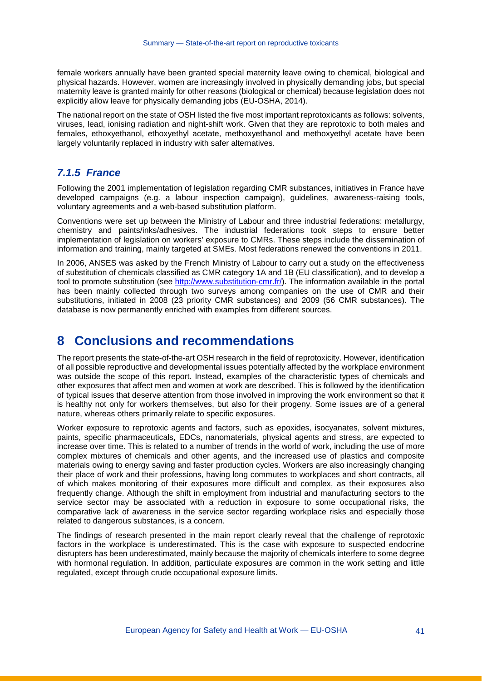female workers annually have been granted special maternity leave owing to chemical, biological and physical hazards. However, women are increasingly involved in physically demanding jobs, but special maternity leave is granted mainly for other reasons (biological or chemical) because legislation does not explicitly allow leave for physically demanding jobs (EU-OSHA, 2014).

The national report on the state of OSH listed the five most important reprotoxicants as follows: solvents, viruses, lead, ionising radiation and night-shift work. Given that they are reprotoxic to both males and females, ethoxyethanol, ethoxyethyl acetate, methoxyethanol and methoxyethyl acetate have been largely voluntarily replaced in industry with safer alternatives.

#### *7.1.5 France*

Following the 2001 implementation of legislation regarding CMR substances, initiatives in France have developed campaigns (e.g. a labour inspection campaign), guidelines, awareness-raising tools, voluntary agreements and a web-based substitution platform.

Conventions were set up between the Ministry of Labour and three industrial federations: metallurgy, chemistry and paints/inks/adhesives. The industrial federations took steps to ensure better implementation of legislation on workers' exposure to CMRs. These steps include the dissemination of information and training, mainly targeted at SMEs. Most federations renewed the conventions in 2011.

In 2006, ANSES was asked by the French Ministry of Labour to carry out a study on the effectiveness of substitution of chemicals classified as CMR category 1A and 1B (EU classification), and to develop a tool to promote substitution (see [http://www.substitution-cmr.fr/\)](http://www.substitution-cmr.fr/). The information available in the portal has been mainly collected through two surveys among companies on the use of CMR and their substitutions, initiated in 2008 (23 priority CMR substances) and 2009 (56 CMR substances). The database is now permanently enriched with examples from different sources.

## **8 Conclusions and recommendations**

The report presents the state-of-the-art OSH research in the field of reprotoxicity. However, identification of all possible reproductive and developmental issues potentially affected by the workplace environment was outside the scope of this report. Instead, examples of the characteristic types of chemicals and other exposures that affect men and women at work are described. This is followed by the identification of typical issues that deserve attention from those involved in improving the work environment so that it is healthy not only for workers themselves, but also for their progeny. Some issues are of a general nature, whereas others primarily relate to specific exposures.

Worker exposure to reprotoxic agents and factors, such as epoxides, isocyanates, solvent mixtures, paints, specific pharmaceuticals, EDCs, nanomaterials, physical agents and stress, are expected to increase over time. This is related to a number of trends in the world of work, including the use of more complex mixtures of chemicals and other agents, and the increased use of plastics and composite materials owing to energy saving and faster production cycles. Workers are also increasingly changing their place of work and their professions, having long commutes to workplaces and short contracts, all of which makes monitoring of their exposures more difficult and complex, as their exposures also frequently change. Although the shift in employment from industrial and manufacturing sectors to the service sector may be associated with a reduction in exposure to some occupational risks, the comparative lack of awareness in the service sector regarding workplace risks and especially those related to dangerous substances, is a concern.

The findings of research presented in the main report clearly reveal that the challenge of reprotoxic factors in the workplace is underestimated. This is the case with exposure to suspected endocrine disrupters has been underestimated, mainly because the majority of chemicals interfere to some degree with hormonal regulation. In addition, particulate exposures are common in the work setting and little regulated, except through crude occupational exposure limits.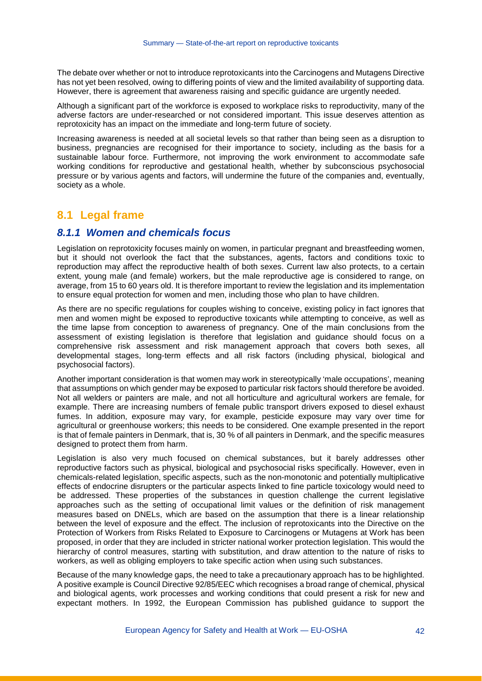The debate over whether or not to introduce reprotoxicants into the Carcinogens and Mutagens Directive has not yet been resolved, owing to differing points of view and the limited availability of supporting data. However, there is agreement that awareness raising and specific guidance are urgently needed.

Although a significant part of the workforce is exposed to workplace risks to reproductivity, many of the adverse factors are under-researched or not considered important. This issue deserves attention as reprotoxicity has an impact on the immediate and long-term future of society.

Increasing awareness is needed at all societal levels so that rather than being seen as a disruption to business, pregnancies are recognised for their importance to society, including as the basis for a sustainable labour force. Furthermore, not improving the work environment to accommodate safe working conditions for reproductive and gestational health, whether by subconscious psychosocial pressure or by various agents and factors, will undermine the future of the companies and, eventually, society as a whole.

## **8.1 Legal frame**

#### *8.1.1 Women and chemicals focus*

Legislation on reprotoxicity focuses mainly on women, in particular pregnant and breastfeeding women, but it should not overlook the fact that the substances, agents, factors and conditions toxic to reproduction may affect the reproductive health of both sexes. Current law also protects, to a certain extent, young male (and female) workers, but the male reproductive age is considered to range, on average, from 15 to 60 years old. It is therefore important to review the legislation and its implementation to ensure equal protection for women and men, including those who plan to have children.

As there are no specific regulations for couples wishing to conceive, existing policy in fact ignores that men and women might be exposed to reproductive toxicants while attempting to conceive, as well as the time lapse from conception to awareness of pregnancy. One of the main conclusions from the assessment of existing legislation is therefore that legislation and guidance should focus on a comprehensive risk assessment and risk management approach that covers both sexes, all developmental stages, long-term effects and all risk factors (including physical, biological and psychosocial factors).

Another important consideration is that women may work in stereotypically 'male occupations', meaning that assumptions on which gender may be exposed to particular risk factors should therefore be avoided. Not all welders or painters are male, and not all horticulture and agricultural workers are female, for example. There are increasing numbers of female public transport drivers exposed to diesel exhaust fumes. In addition, exposure may vary, for example, pesticide exposure may vary over time for agricultural or greenhouse workers; this needs to be considered. One example presented in the report is that of female painters in Denmark, that is, 30 % of all painters in Denmark, and the specific measures designed to protect them from harm.

Legislation is also very much focused on chemical substances, but it barely addresses other reproductive factors such as physical, biological and psychosocial risks specifically. However, even in chemicals-related legislation, specific aspects, such as the non-monotonic and potentially multiplicative effects of endocrine disrupters or the particular aspects linked to fine particle toxicology would need to be addressed. These properties of the substances in question challenge the current legislative approaches such as the setting of occupational limit values or the definition of risk management measures based on DNELs, which are based on the assumption that there is a linear relationship between the level of exposure and the effect. The inclusion of reprotoxicants into the Directive on the Protection of Workers from Risks Related to Exposure to Carcinogens or Mutagens at Work has been proposed, in order that they are included in stricter national worker protection legislation. This would the hierarchy of control measures, starting with substitution, and draw attention to the nature of risks to workers, as well as obliging employers to take specific action when using such substances.

Because of the many knowledge gaps, the need to take a precautionary approach has to be highlighted. A positive example is Council Directive 92/85/EEC which recognises a broad range of chemical, physical and biological agents, work processes and working conditions that could present a risk for new and expectant mothers. In 1992, the European Commission has published guidance to support the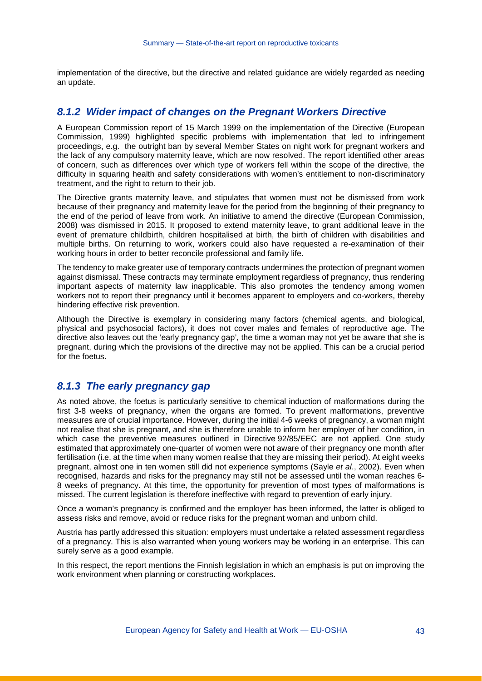implementation of the directive, but the directive and related guidance are widely regarded as needing an update.

#### *8.1.2 Wider impact of changes on the Pregnant Workers Directive*

A European Commission report of 15 March 1999 on the implementation of the Directive (European Commission, 1999) highlighted specific problems with implementation that led to infringement proceedings, e.g. the outright ban by several Member States on night work for pregnant workers and the lack of any compulsory maternity leave, which are now resolved. The report identified other areas of concern, such as differences over which type of workers fell within the scope of the directive, the difficulty in squaring health and safety considerations with women's entitlement to non-discriminatory treatment, and the right to return to their job.

The Directive grants maternity leave, and stipulates that women must not be dismissed from work because of their pregnancy and maternity leave for the period from the beginning of their pregnancy to the end of the period of leave from work. An initiative to amend the directive (European Commission, 2008) was dismissed in 2015. It proposed to extend maternity leave, to grant additional leave in the event of premature childbirth, children hospitalised at birth, the birth of children with disabilities and multiple births. On returning to work, workers could also have requested a re-examination of their working hours in order to better reconcile professional and family life.

The tendency to make greater use of temporary contracts undermines the protection of pregnant women against dismissal. These contracts may terminate employment regardless of pregnancy, thus rendering important aspects of maternity law inapplicable. This also promotes the tendency among women workers not to report their pregnancy until it becomes apparent to employers and co-workers, thereby hindering effective risk prevention.

Although the Directive is exemplary in considering many factors (chemical agents, and biological, physical and psychosocial factors), it does not cover males and females of reproductive age. The directive also leaves out the 'early pregnancy gap', the time a woman may not yet be aware that she is pregnant, during which the provisions of the directive may not be applied. This can be a crucial period for the foetus.

#### *8.1.3 The early pregnancy gap*

As noted above, the foetus is particularly sensitive to chemical induction of malformations during the first 3-8 weeks of pregnancy, when the organs are formed. To prevent malformations, preventive measures are of crucial importance. However, during the initial 4-6 weeks of pregnancy, a woman might not realise that she is pregnant, and she is therefore unable to inform her employer of her condition, in which case the preventive measures outlined in Directive 92/85/EEC are not applied. One study estimated that approximately one-quarter of women were not aware of their pregnancy one month after fertilisation (i.e. at the time when many women realise that they are missing their period). At eight weeks pregnant, almost one in ten women still did not experience symptoms (Sayle *et al*., 2002). Even when recognised, hazards and risks for the pregnancy may still not be assessed until the woman reaches 6- 8 weeks of pregnancy. At this time, the opportunity for prevention of most types of malformations is missed. The current legislation is therefore ineffective with regard to prevention of early injury.

Once a woman's pregnancy is confirmed and the employer has been informed, the latter is obliged to assess risks and remove, avoid or reduce risks for the pregnant woman and unborn child.

Austria has partly addressed this situation: employers must undertake a related assessment regardless of a pregnancy. This is also warranted when young workers may be working in an enterprise. This can surely serve as a good example.

In this respect, the report mentions the Finnish legislation in which an emphasis is put on improving the work environment when planning or constructing workplaces.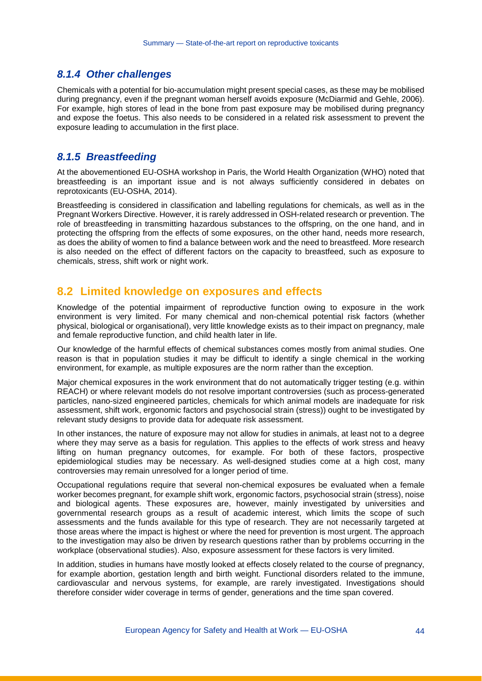#### *8.1.4 Other challenges*

Chemicals with a potential for bio-accumulation might present special cases, as these may be mobilised during pregnancy, even if the pregnant woman herself avoids exposure (McDiarmid and Gehle, 2006). For example, high stores of lead in the bone from past exposure may be mobilised during pregnancy and expose the foetus. This also needs to be considered in a related risk assessment to prevent the exposure leading to accumulation in the first place.

#### *8.1.5 Breastfeeding*

At the abovementioned EU-OSHA workshop in Paris, the World Health Organization (WHO) noted that breastfeeding is an important issue and is not always sufficiently considered in debates on reprotoxicants (EU-OSHA, 2014).

Breastfeeding is considered in classification and labelling regulations for chemicals, as well as in the Pregnant Workers Directive. However, it is rarely addressed in OSH-related research or prevention. The role of breastfeeding in transmitting hazardous substances to the offspring, on the one hand, and in protecting the offspring from the effects of some exposures, on the other hand, needs more research, as does the ability of women to find a balance between work and the need to breastfeed. More research is also needed on the effect of different factors on the capacity to breastfeed, such as exposure to chemicals, stress, shift work or night work.

#### **8.2 Limited knowledge on exposures and effects**

Knowledge of the potential impairment of reproductive function owing to exposure in the work environment is very limited. For many chemical and non-chemical potential risk factors (whether physical, biological or organisational), very little knowledge exists as to their impact on pregnancy, male and female reproductive function, and child health later in life.

Our knowledge of the harmful effects of chemical substances comes mostly from animal studies. One reason is that in population studies it may be difficult to identify a single chemical in the working environment, for example, as multiple exposures are the norm rather than the exception.

Major chemical exposures in the work environment that do not automatically trigger testing (e.g. within REACH) or where relevant models do not resolve important controversies (such as process-generated particles, nano-sized engineered particles, chemicals for which animal models are inadequate for risk assessment, shift work, ergonomic factors and psychosocial strain (stress)) ought to be investigated by relevant study designs to provide data for adequate risk assessment.

In other instances, the nature of exposure may not allow for studies in animals, at least not to a degree where they may serve as a basis for regulation. This applies to the effects of work stress and heavy lifting on human pregnancy outcomes, for example. For both of these factors, prospective epidemiological studies may be necessary. As well-designed studies come at a high cost, many controversies may remain unresolved for a longer period of time.

Occupational regulations require that several non-chemical exposures be evaluated when a female worker becomes pregnant, for example shift work, ergonomic factors, psychosocial strain (stress), noise and biological agents. These exposures are, however, mainly investigated by universities and governmental research groups as a result of academic interest, which limits the scope of such assessments and the funds available for this type of research. They are not necessarily targeted at those areas where the impact is highest or where the need for prevention is most urgent. The approach to the investigation may also be driven by research questions rather than by problems occurring in the workplace (observational studies). Also, exposure assessment for these factors is very limited.

In addition, studies in humans have mostly looked at effects closely related to the course of pregnancy, for example abortion, gestation length and birth weight. Functional disorders related to the immune, cardiovascular and nervous systems, for example, are rarely investigated. Investigations should therefore consider wider coverage in terms of gender, generations and the time span covered.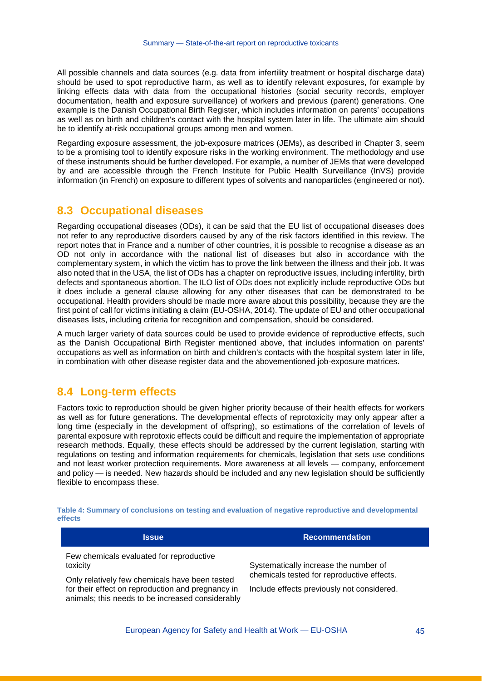All possible channels and data sources (e.g. data from infertility treatment or hospital discharge data) should be used to spot reproductive harm, as well as to identify relevant exposures, for example by linking effects data with data from the occupational histories (social security records, employer documentation, health and exposure surveillance) of workers and previous (parent) generations. One example is the Danish Occupational Birth Register, which includes information on parents' occupations as well as on birth and children's contact with the hospital system later in life. The ultimate aim should be to identify at-risk occupational groups among men and women.

Regarding exposure assessment, the job-exposure matrices (JEMs), as described in Chapter 3, seem to be a promising tool to identify exposure risks in the working environment. The methodology and use of these instruments should be further developed. For example, a number of JEMs that were developed by and are accessible through the French Institute for Public Health Surveillance (InVS) provide information (in French) on exposure to different types of solvents and nanoparticles (engineered or not).

#### **8.3 Occupational diseases**

Regarding occupational diseases (ODs), it can be said that the EU list of occupational diseases does not refer to any reproductive disorders caused by any of the risk factors identified in this review. The report notes that in France and a number of other countries, it is possible to recognise a disease as an OD not only in accordance with the national list of diseases but also in accordance with the complementary system, in which the victim has to prove the link between the illness and their job. It was also noted that in the USA, the list of ODs has a chapter on reproductive issues, including infertility, birth defects and spontaneous abortion. The ILO list of ODs does not explicitly include reproductive ODs but it does include a general clause allowing for any other diseases that can be demonstrated to be occupational. Health providers should be made more aware about this possibility, because they are the first point of call for victims initiating a claim (EU-OSHA, 2014). The update of EU and other occupational diseases lists, including criteria for recognition and compensation, should be considered.

A much larger variety of data sources could be used to provide evidence of reproductive effects, such as the Danish Occupational Birth Register mentioned above, that includes information on parents' occupations as well as information on birth and children's contacts with the hospital system later in life, in combination with other disease register data and the abovementioned job-exposure matrices.

### **8.4 Long-term effects**

Factors toxic to reproduction should be given higher priority because of their health effects for workers as well as for future generations. The developmental effects of reprotoxicity may only appear after a long time (especially in the development of offspring), so estimations of the correlation of levels of parental exposure with reprotoxic effects could be difficult and require the implementation of appropriate research methods. Equally, these effects should be addressed by the current legislation, starting with regulations on testing and information requirements for chemicals, legislation that sets use conditions and not least worker protection requirements. More awareness at all levels — company, enforcement and policy — is needed. New hazards should be included and any new legislation should be sufficiently flexible to encompass these.

| <b>Issue</b>                                                                                          | <b>Recommendation</b>                      |
|-------------------------------------------------------------------------------------------------------|--------------------------------------------|
| Few chemicals evaluated for reproductive<br>toxicity                                                  | Systematically increase the number of      |
| Only relatively few chemicals have been tested                                                        | chemicals tested for reproductive effects. |
| for their effect on reproduction and pregnancy in<br>animals; this needs to be increased considerably | Include effects previously not considered. |

<span id="page-43-0"></span>**Table 4: Summary of conclusions on testing and evaluation of negative reproductive and developmental effects**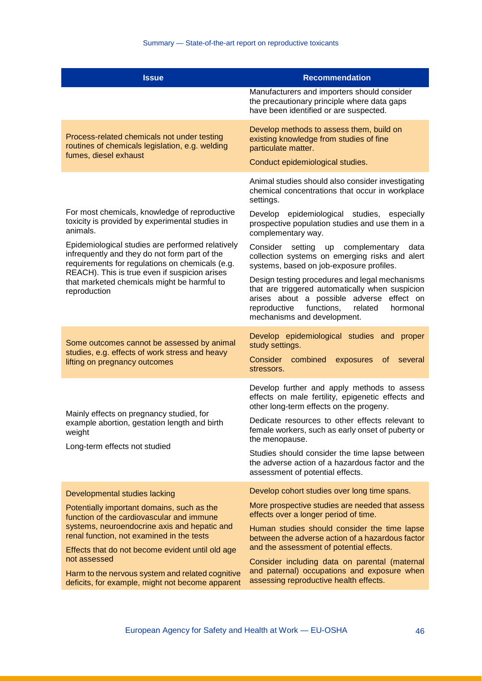| <b>Issue</b>                                                                                                                                                                                          | <b>Recommendation</b>                                                                                                                                                                                                                 |
|-------------------------------------------------------------------------------------------------------------------------------------------------------------------------------------------------------|---------------------------------------------------------------------------------------------------------------------------------------------------------------------------------------------------------------------------------------|
|                                                                                                                                                                                                       | Manufacturers and importers should consider<br>the precautionary principle where data gaps<br>have been identified or are suspected.                                                                                                  |
| Process-related chemicals not under testing<br>routines of chemicals legislation, e.g. welding                                                                                                        | Develop methods to assess them, build on<br>existing knowledge from studies of fine<br>particulate matter.                                                                                                                            |
| fumes, diesel exhaust                                                                                                                                                                                 | Conduct epidemiological studies.                                                                                                                                                                                                      |
|                                                                                                                                                                                                       | Animal studies should also consider investigating<br>chemical concentrations that occur in workplace<br>settings.                                                                                                                     |
| For most chemicals, knowledge of reproductive<br>toxicity is provided by experimental studies in<br>animals.                                                                                          | Develop epidemiological studies, especially<br>prospective population studies and use them in a<br>complementary way.                                                                                                                 |
| Epidemiological studies are performed relatively<br>infrequently and they do not form part of the<br>requirements for regulations on chemicals (e.g.<br>REACH). This is true even if suspicion arises | Consider<br>setting<br>up complementary<br>data<br>collection systems on emerging risks and alert<br>systems, based on job-exposure profiles.                                                                                         |
| that marketed chemicals might be harmful to<br>reproduction                                                                                                                                           | Design testing procedures and legal mechanisms<br>that are triggered automatically when suspicion<br>arises about a possible adverse<br>effect on<br>functions,<br>reproductive<br>related<br>hormonal<br>mechanisms and development. |
| Some outcomes cannot be assessed by animal<br>studies, e.g. effects of work stress and heavy<br>lifting on pregnancy outcomes                                                                         | Develop epidemiological studies and proper<br>study settings.<br>Consider combined<br>exposures<br><sub>of</sub><br>several<br>stressors.                                                                                             |
| Mainly effects on pregnancy studied, for                                                                                                                                                              | Develop further and apply methods to assess<br>effects on male fertility, epigenetic effects and<br>other long-term effects on the progeny.                                                                                           |
| example abortion, gestation length and birth<br>weight                                                                                                                                                | Dedicate resources to other effects relevant to<br>female workers, such as early onset of puberty or<br>the menopause.                                                                                                                |
| Long-term effects not studied                                                                                                                                                                         | Studies should consider the time lapse between<br>the adverse action of a hazardous factor and the<br>assessment of potential effects.                                                                                                |
| Developmental studies lacking                                                                                                                                                                         | Develop cohort studies over long time spans.                                                                                                                                                                                          |
| Potentially important domains, such as the<br>function of the cardiovascular and immune<br>systems, neuroendocrine axis and hepatic and                                                               | More prospective studies are needed that assess<br>effects over a longer period of time.                                                                                                                                              |
| renal function, not examined in the tests                                                                                                                                                             | Human studies should consider the time lapse<br>between the adverse action of a hazardous factor                                                                                                                                      |
| Effects that do not become evident until old age<br>not assessed                                                                                                                                      | and the assessment of potential effects.<br>Consider including data on parental (maternal                                                                                                                                             |
| Harm to the nervous system and related cognitive<br>deficits, for example, might not become apparent                                                                                                  | and paternal) occupations and exposure when<br>assessing reproductive health effects.                                                                                                                                                 |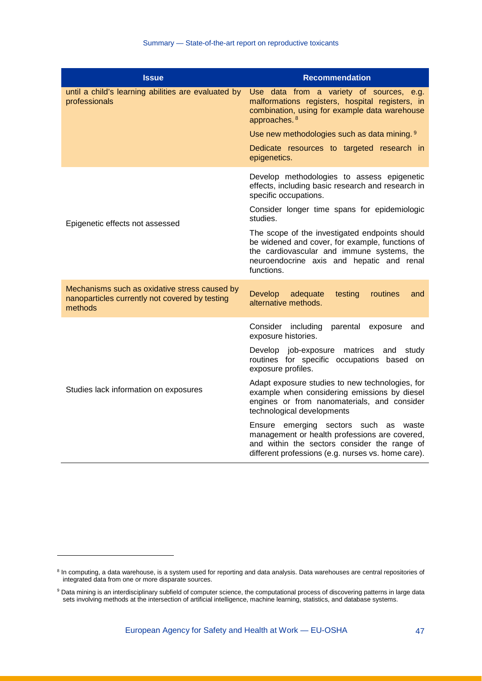| <b>Issue</b>                                                                                               | <b>Recommendation</b>                                                                                                                                                                                      |
|------------------------------------------------------------------------------------------------------------|------------------------------------------------------------------------------------------------------------------------------------------------------------------------------------------------------------|
| until a child's learning abilities are evaluated by<br>professionals                                       | Use data from a variety of sources, e.g.<br>malformations registers, hospital registers, in<br>combination, using for example data warehouse<br>approaches. 8                                              |
|                                                                                                            | Use new methodologies such as data mining. 9                                                                                                                                                               |
|                                                                                                            | Dedicate resources to targeted research in<br>epigenetics.                                                                                                                                                 |
|                                                                                                            | Develop methodologies to assess epigenetic<br>effects, including basic research and research in<br>specific occupations.                                                                                   |
| Epigenetic effects not assessed                                                                            | Consider longer time spans for epidemiologic<br>studies.                                                                                                                                                   |
|                                                                                                            | The scope of the investigated endpoints should<br>be widened and cover, for example, functions of<br>the cardiovascular and immune systems, the<br>neuroendocrine axis and hepatic and renal<br>functions. |
| Mechanisms such as oxidative stress caused by<br>nanoparticles currently not covered by testing<br>methods | <b>Develop</b><br>adequate<br>testing<br>routines<br>and<br>alternative methods.                                                                                                                           |
|                                                                                                            | Consider including<br>parental exposure<br>and<br>exposure histories.                                                                                                                                      |
|                                                                                                            | Develop job-exposure matrices and<br>study<br>routines for specific occupations based on<br>exposure profiles.                                                                                             |
| Studies lack information on exposures                                                                      | Adapt exposure studies to new technologies, for<br>example when considering emissions by diesel<br>engines or from nanomaterials, and consider<br>technological developments                               |
|                                                                                                            | Ensure emerging sectors such as waste<br>management or health professions are covered,<br>and within the sectors consider the range of<br>different professions (e.g. nurses vs. home care).               |

-

<span id="page-45-0"></span><sup>&</sup>lt;sup>8</sup> In computing, a data warehouse, is a system used for reporting and data analysis. Data warehouses are central repositories of integrated data from one or more disparate sources.

<span id="page-45-1"></span><sup>&</sup>lt;sup>9</sup> Data mining is an interdisciplinary subfield of computer science, the computational process of discovering patterns in large data sets involving methods at the intersection of artificial intelligence, machine learning, statistics, and database systems.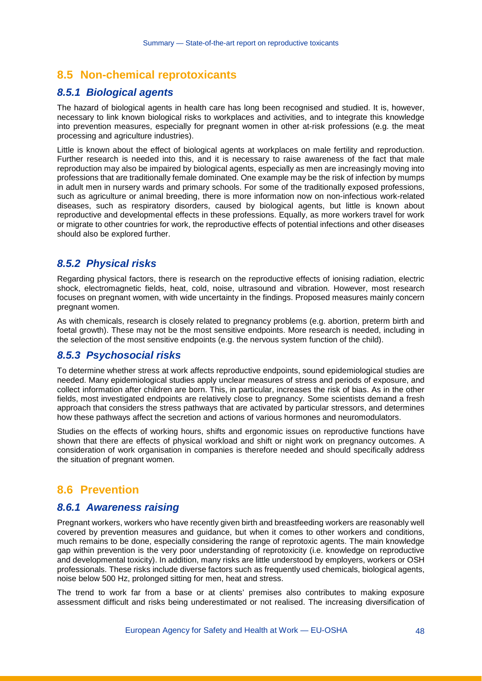## **8.5 Non-chemical reprotoxicants**

#### *8.5.1 Biological agents*

The hazard of biological agents in health care has long been recognised and studied. It is, however, necessary to link known biological risks to workplaces and activities, and to integrate this knowledge into prevention measures, especially for pregnant women in other at-risk professions (e.g. the meat processing and agriculture industries).

Little is known about the effect of biological agents at workplaces on male fertility and reproduction. Further research is needed into this, and it is necessary to raise awareness of the fact that male reproduction may also be impaired by biological agents, especially as men are increasingly moving into professions that are traditionally female dominated. One example may be the risk of infection by mumps in adult men in nursery wards and primary schools. For some of the traditionally exposed professions, such as agriculture or animal breeding, there is more information now on non-infectious work-related diseases, such as respiratory disorders, caused by biological agents, but little is known about reproductive and developmental effects in these professions. Equally, as more workers travel for work or migrate to other countries for work, the reproductive effects of potential infections and other diseases should also be explored further.

#### *8.5.2 Physical risks*

Regarding physical factors, there is research on the reproductive effects of ionising radiation, electric shock, electromagnetic fields, heat, cold, noise, ultrasound and vibration. However, most research focuses on pregnant women, with wide uncertainty in the findings. Proposed measures mainly concern pregnant women.

As with chemicals, research is closely related to pregnancy problems (e.g. abortion, preterm birth and foetal growth). These may not be the most sensitive endpoints. More research is needed, including in the selection of the most sensitive endpoints (e.g. the nervous system function of the child).

#### *8.5.3 Psychosocial risks*

To determine whether stress at work affects reproductive endpoints, sound epidemiological studies are needed. Many epidemiological studies apply unclear measures of stress and periods of exposure, and collect information after children are born. This, in particular, increases the risk of bias. As in the other fields, most investigated endpoints are relatively close to pregnancy. Some scientists demand a fresh approach that considers the stress pathways that are activated by particular stressors, and determines how these pathways affect the secretion and actions of various hormones and neuromodulators.

Studies on the effects of working hours, shifts and ergonomic issues on reproductive functions have shown that there are effects of physical workload and shift or night work on pregnancy outcomes. A consideration of work organisation in companies is therefore needed and should specifically address the situation of pregnant women.

#### **8.6 Prevention**

#### *8.6.1 Awareness raising*

Pregnant workers, workers who have recently given birth and breastfeeding workers are reasonably well covered by prevention measures and guidance, but when it comes to other workers and conditions, much remains to be done, especially considering the range of reprotoxic agents. The main knowledge gap within prevention is the very poor understanding of reprotoxicity (i.e. knowledge on reproductive and developmental toxicity). In addition, many risks are little understood by employers, workers or OSH professionals. These risks include diverse factors such as frequently used chemicals, biological agents, noise below 500 Hz, prolonged sitting for men, heat and stress.

The trend to work far from a base or at clients' premises also contributes to making exposure assessment difficult and risks being underestimated or not realised. The increasing diversification of

European Agency for Safety and Health at Work — EU-OSHA 48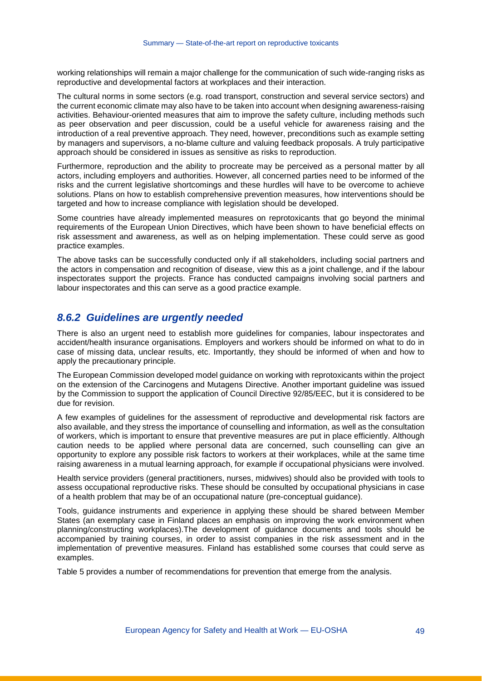working relationships will remain a major challenge for the communication of such wide-ranging risks as reproductive and developmental factors at workplaces and their interaction.

The cultural norms in some sectors (e.g. road transport, construction and several service sectors) and the current economic climate may also have to be taken into account when designing awareness-raising activities. Behaviour-oriented measures that aim to improve the safety culture, including methods such as peer observation and peer discussion, could be a useful vehicle for awareness raising and the introduction of a real preventive approach. They need, however, preconditions such as example setting by managers and supervisors, a no-blame culture and valuing feedback proposals. A truly participative approach should be considered in issues as sensitive as risks to reproduction.

Furthermore, reproduction and the ability to procreate may be perceived as a personal matter by all actors, including employers and authorities. However, all concerned parties need to be informed of the risks and the current legislative shortcomings and these hurdles will have to be overcome to achieve solutions. Plans on how to establish comprehensive prevention measures, how interventions should be targeted and how to increase compliance with legislation should be developed.

Some countries have already implemented measures on reprotoxicants that go beyond the minimal requirements of the European Union Directives, which have been shown to have beneficial effects on risk assessment and awareness, as well as on helping implementation. These could serve as good practice examples.

The above tasks can be successfully conducted only if all stakeholders, including social partners and the actors in compensation and recognition of disease, view this as a joint challenge, and if the labour inspectorates support the projects. France has conducted campaigns involving social partners and labour inspectorates and this can serve as a good practice example.

#### *8.6.2 Guidelines are urgently needed*

There is also an urgent need to establish more guidelines for companies, labour inspectorates and accident/health insurance organisations. Employers and workers should be informed on what to do in case of missing data, unclear results, etc. Importantly, they should be informed of when and how to apply the precautionary principle.

The European Commission developed model guidance on working with reprotoxicants within the project on the extension of the Carcinogens and Mutagens Directive. Another important guideline was issued by the Commission to support the application of Council Directive 92/85/EEC, but it is considered to be due for revision.

A few examples of guidelines for the assessment of reproductive and developmental risk factors are also available, and they stress the importance of counselling and information, as well as the consultation of workers, which is important to ensure that preventive measures are put in place efficiently. Although caution needs to be applied where personal data are concerned, such counselling can give an opportunity to explore any possible risk factors to workers at their workplaces, while at the same time raising awareness in a mutual learning approach, for example if occupational physicians were involved.

Health service providers (general practitioners, nurses, midwives) should also be provided with tools to assess occupational reproductive risks. These should be consulted by occupational physicians in case of a health problem that may be of an occupational nature (pre-conceptual guidance).

Tools, guidance instruments and experience in applying these should be shared between Member States (an exemplary case in Finland places an emphasis on improving the work environment when planning/constructing workplaces).The development of guidance documents and tools should be accompanied by training courses, in order to assist companies in the risk assessment and in the implementation of preventive measures. Finland has established some courses that could serve as examples.

[Table 5](#page-48-0) provides a number of recommendations for prevention that emerge from the analysis.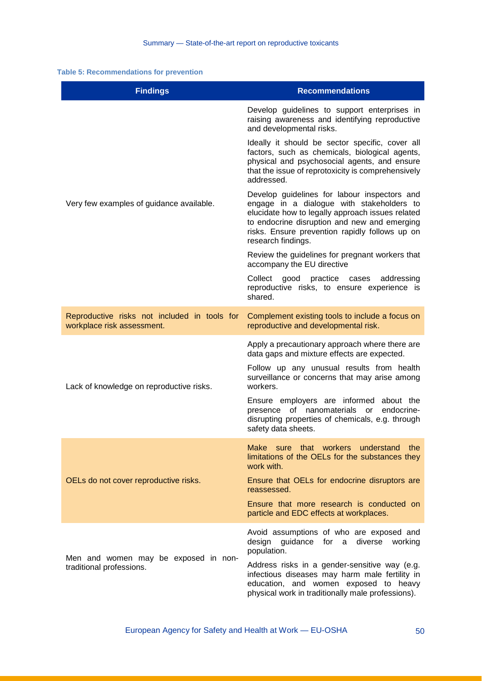#### <span id="page-48-0"></span>**Table 5: Recommendations for prevention**

| <b>Findings</b>                                                            | <b>Recommendations</b>                                                                                                                                                                                                                                                |
|----------------------------------------------------------------------------|-----------------------------------------------------------------------------------------------------------------------------------------------------------------------------------------------------------------------------------------------------------------------|
| Very few examples of guidance available.                                   | Develop guidelines to support enterprises in<br>raising awareness and identifying reproductive<br>and developmental risks.                                                                                                                                            |
|                                                                            | Ideally it should be sector specific, cover all<br>factors, such as chemicals, biological agents,<br>physical and psychosocial agents, and ensure<br>that the issue of reprotoxicity is comprehensively<br>addressed.                                                 |
|                                                                            | Develop guidelines for labour inspectors and<br>engage in a dialogue with stakeholders to<br>elucidate how to legally approach issues related<br>to endocrine disruption and new and emerging<br>risks. Ensure prevention rapidly follows up on<br>research findings. |
|                                                                            | Review the guidelines for pregnant workers that<br>accompany the EU directive                                                                                                                                                                                         |
|                                                                            | Collect good practice cases<br>addressing<br>reproductive risks, to ensure experience is<br>shared.                                                                                                                                                                   |
| Reproductive risks not included in tools for<br>workplace risk assessment. | Complement existing tools to include a focus on<br>reproductive and developmental risk.                                                                                                                                                                               |
| Lack of knowledge on reproductive risks.                                   | Apply a precautionary approach where there are<br>data gaps and mixture effects are expected.                                                                                                                                                                         |
|                                                                            | Follow up any unusual results from health<br>surveillance or concerns that may arise among<br>workers.                                                                                                                                                                |
|                                                                            | Ensure employers are informed about the<br>of nanomaterials<br>or endocrine-<br>presence<br>disrupting properties of chemicals, e.g. through<br>safety data sheets.                                                                                                   |
|                                                                            | Make sure that workers understand<br>the<br>limitations of the OELs for the substances they<br>work with.                                                                                                                                                             |
| OELs do not cover reproductive risks.                                      | Ensure that OELs for endocrine disruptors are<br>reassessed.                                                                                                                                                                                                          |
|                                                                            | Ensure that more research is conducted on<br>particle and EDC effects at workplaces.                                                                                                                                                                                  |
| Men and women may be exposed in non-<br>traditional professions.           | Avoid assumptions of who are exposed and<br>design guidance for a<br>diverse<br>working<br>population.                                                                                                                                                                |
|                                                                            | Address risks in a gender-sensitive way (e.g.<br>infectious diseases may harm male fertility in<br>education, and women exposed to heavy<br>physical work in traditionally male professions).                                                                         |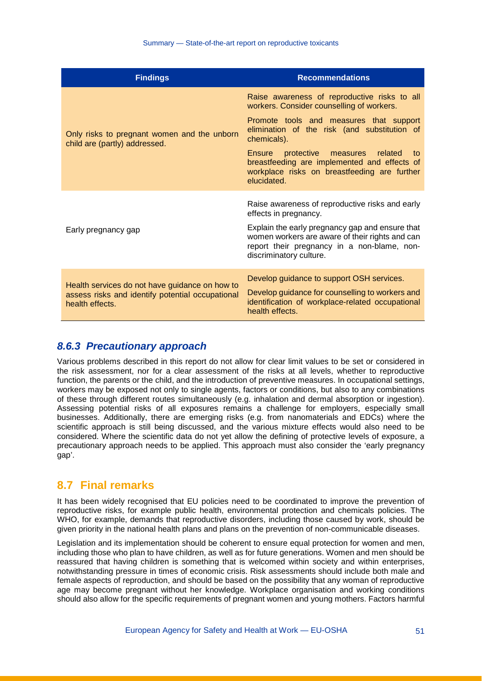| <b>Findings</b>                                                                                                       | <b>Recommendations</b>                                                                                                                                                       |
|-----------------------------------------------------------------------------------------------------------------------|------------------------------------------------------------------------------------------------------------------------------------------------------------------------------|
|                                                                                                                       | Raise awareness of reproductive risks to all<br>workers. Consider counselling of workers.                                                                                    |
| Only risks to pregnant women and the unborn<br>child are (partly) addressed.                                          | Promote tools and measures that support<br>elimination of the risk (and substitution of<br>chemicals).                                                                       |
|                                                                                                                       | <b>Ensure</b><br>protective measures related<br>to<br>breastfeeding are implemented and effects of<br>workplace risks on breastfeeding are further<br>elucidated.            |
|                                                                                                                       | Raise awareness of reproductive risks and early<br>effects in pregnancy.                                                                                                     |
| Early pregnancy gap                                                                                                   | Explain the early pregnancy gap and ensure that<br>women workers are aware of their rights and can<br>report their pregnancy in a non-blame, non-<br>discriminatory culture. |
|                                                                                                                       | Develop guidance to support OSH services.                                                                                                                                    |
| Health services do not have guidance on how to<br>assess risks and identify potential occupational<br>health effects. | Develop guidance for counselling to workers and<br>identification of workplace-related occupational<br>health effects.                                                       |

#### *8.6.3 Precautionary approach*

Various problems described in this report do not allow for clear limit values to be set or considered in the risk assessment, nor for a clear assessment of the risks at all levels, whether to reproductive function, the parents or the child, and the introduction of preventive measures. In occupational settings, workers may be exposed not only to single agents, factors or conditions, but also to any combinations of these through different routes simultaneously (e.g. inhalation and dermal absorption or ingestion). Assessing potential risks of all exposures remains a challenge for employers, especially small businesses. Additionally, there are emerging risks (e.g. from nanomaterials and EDCs) where the scientific approach is still being discussed, and the various mixture effects would also need to be considered. Where the scientific data do not yet allow the defining of protective levels of exposure, a precautionary approach needs to be applied. This approach must also consider the 'early pregnancy gap'.

#### **8.7 Final remarks**

It has been widely recognised that EU policies need to be coordinated to improve the prevention of reproductive risks, for example public health, environmental protection and chemicals policies. The WHO, for example, demands that reproductive disorders, including those caused by work, should be given priority in the national health plans and plans on the prevention of non-communicable diseases.

Legislation and its implementation should be coherent to ensure equal protection for women and men, including those who plan to have children, as well as for future generations. Women and men should be reassured that having children is something that is welcomed within society and within enterprises, notwithstanding pressure in times of economic crisis. Risk assessments should include both male and female aspects of reproduction, and should be based on the possibility that any woman of reproductive age may become pregnant without her knowledge. Workplace organisation and working conditions should also allow for the specific requirements of pregnant women and young mothers. Factors harmful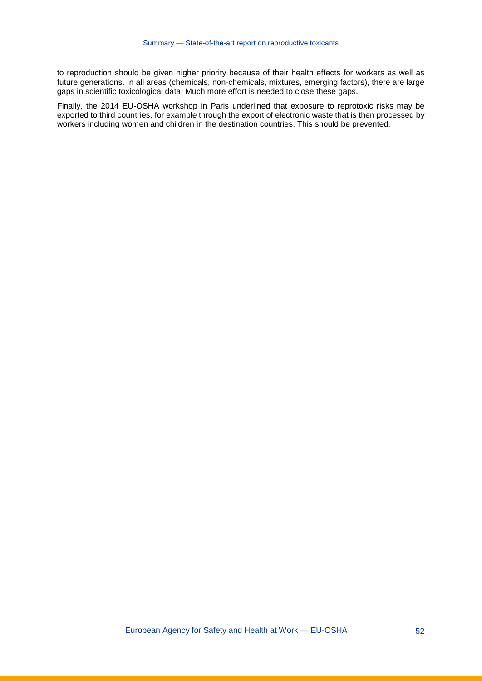to reproduction should be given higher priority because of their health effects for workers as well as future generations. In all areas (chemicals, non-chemicals, mixtures, emerging factors), there are large gaps in scientific toxicological data. Much more effort is needed to close these gaps.

Finally, the 2014 EU-OSHA workshop in Paris underlined that exposure to reprotoxic risks may be exported to third countries, for example through the export of electronic waste that is then processed by workers including women and children in the destination countries. This should be prevented.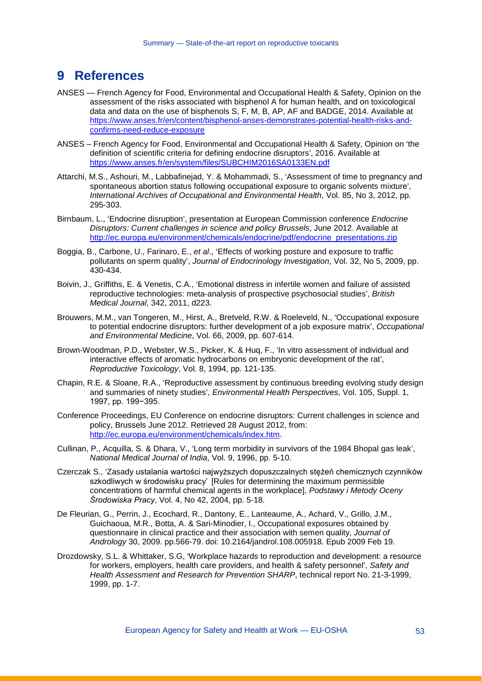## **9 References**

- ANSES French Agency for Food, Environmental and Occupational Health & Safety, Opinion on the assessment of the risks associated with bisphenol A for human health, and on toxicological data and data on the use of bisphenols S, F, M, B, AP, AF and BADGE, 2014. Available at [https://www.anses.fr/en/content/bisphenol-anses-demonstrates-potential-health-risks-and](https://www.anses.fr/en/content/bisphenol-anses-demonstrates-potential-health-risks-and-confirms-need-reduce-exposure)[confirms-need-reduce-exposure](https://www.anses.fr/en/content/bisphenol-anses-demonstrates-potential-health-risks-and-confirms-need-reduce-exposure)
- ANSES French Agency for Food, Environmental and Occupational Health & Safety, Opinion on 'the definition of scientific criteria for defining endocrine disruptors', 2016. Available at <https://www.anses.fr/en/system/files/SUBCHIM2016SA0133EN.pdf>
- Attarchi, M.S., Ashouri, M., Labbafinejad, Y. & Mohammadi, S., 'Assessment of time to pregnancy and spontaneous abortion status following occupational exposure to organic solvents mixture', *International Archives of Occupational and Environmental Health*, Vol. 85, No 3, 2012, pp. 295-303.
- Birnbaum, L., 'Endocrine disruption', presentation at European Commission conference *Endocrine Disruptors: Current challenges in science and policy Brussels*, June 2012. Available at [http://ec.europa.eu/environment/chemicals/endocrine/pdf/endocrine\\_presentations.zip](http://ec.europa.eu/environment/chemicals/endocrine/pdf/endocrine_presentations.zip)
- Boggia, B., Carbone, U., Farinaro, E., *et al*., 'Effects of working posture and exposure to traffic pollutants on sperm quality', *Journal of Endocrinology Investigation*, Vol. 32, No 5, 2009, pp. 430-434.
- Boivin, J., Griffiths, E. & Venetis, C.A., 'Emotional distress in infertile women and failure of assisted reproductive technologies: meta-analysis of prospective psychosocial studies', *British Medical Journal*, 342, 2011, d223.
- Brouwers, M.M., van Tongeren, M., Hirst, A., Bretveld, R.W. & Roeleveld, N., 'Occupational exposure to potential endocrine disruptors: further development of a job exposure matrix', *Occupational and Environmental Medicine*, Vol. 66, 2009, pp. 607-614.
- Brown-Woodman, P.D., Webster, W.S., Picker, K. & Huq, F., 'In vitro assessment of individual and interactive effects of aromatic hydrocarbons on embryonic development of the rat', *Reproductive Toxicology*, Vol. 8, 1994, pp. 121-135.
- Chapin, R.E. & Sloane, R.A., 'Reproductive assessment by continuous breeding evolving study design and summaries of ninety studies', *Environmental Health Perspectives*, Vol. 105, Suppl. 1, 1997, pp. 199−395.
- Conference Proceedings, EU Conference on endocrine disruptors: Current challenges in science and policy, Brussels June 2012. Retrieved 28 August 2012, from: [http://ec.europa.eu/environment/chemicals/index.htm.](http://ec.europa.eu/environment/chemicals/index.htm)
- Cullinan, P., Acquilla, S. & Dhara, V., 'Long term morbidity in survivors of the 1984 Bhopal gas leak', *National Medical Journal of India*, Vol. 9, 1996, pp. 5-10.
- Czerczak S., 'Zasady ustalania wartości najwyższych dopuszczalnych stężeń chemicznych czynników szkodliwych w środowisku pracy' [Rules for determining the maximum permissible concentrations of harmful chemical agents in the workplace], *Podstawy i Metody Oceny Środowiska Pracy*, Vol. 4, No 42, 2004, pp. 5-18.
- De Fleurian, G., Perrin, J., Ecochard, R., Dantony, E., Lanteaume, A., Achard, V., Grillo, J.M., Guichaoua, M.R., Botta, A. & Sari-Minodier, I., Occupational exposures obtained by questionnaire in clinical practice and their association with semen quality, *Journal of Andrology* 30, 2009. pp.566-79. doi: 10.2164/jandrol.108.005918. Epub 2009 Feb 19.
- Drozdowsky, S.L. & Whittaker, S.G, 'Workplace hazards to reproduction and development: a resource for workers, employers, health care providers, and health & safety personnel', *Safety and Health Assessment and Research for Prevention SHARP*, technical report No. 21-3-1999, 1999, pp. 1-7.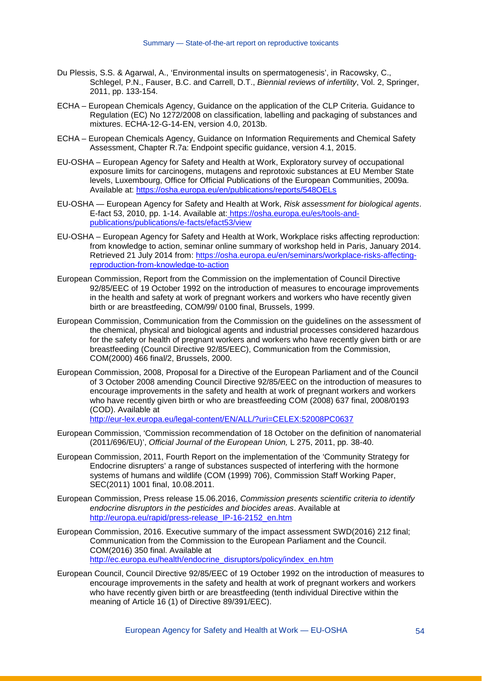- Du Plessis, S.S. & Agarwal, A., 'Environmental insults on spermatogenesis', in Racowsky, C., Schlegel, P.N., Fauser, B.C. and Carrell, D.T., *Biennial reviews of infertility*, Vol. 2, Springer, 2011, pp. 133-154.
- ECHA European Chemicals Agency, Guidance on the application of the CLP Criteria. Guidance to Regulation (EC) No 1272/2008 on classification, labelling and packaging of substances and mixtures. ECHA-12-G-14-EN, version 4.0, 2013b.
- ECHA European Chemicals Agency, Guidance on Information Requirements and Chemical Safety Assessment, Chapter R.7a: Endpoint specific guidance, version 4.1, 2015.
- EU-OSHA European Agency for Safety and Health at Work, Exploratory survey of occupational exposure limits for carcinogens, mutagens and reprotoxic substances at EU Member State levels, Luxembourg, Office for Official Publications of the European Communities, 2009a. Available at:<https://osha.europa.eu/en/publications/reports/548OELs>
- EU-OSHA European Agency for Safety and Health at Work, *Risk assessment for biological agents*. E-fact 53, 2010, pp. 1-14. Available at: [https://osha.europa.eu/es/tools-and](https://osha.europa.eu/es/tools-and-publications/publications/e-facts/efact53/view)[publications/publications/e-facts/efact53/view](https://osha.europa.eu/es/tools-and-publications/publications/e-facts/efact53/view)
- EU-OSHA European Agency for Safety and Health at Work, Workplace risks affecting reproduction: from knowledge to action, seminar online summary of workshop held in Paris, January 2014. Retrieved 21 July 2014 from[: https://osha.europa.eu/en/seminars/workplace-risks-affecting](https://osha.europa.eu/en/seminars/workplace-risks-affecting-reproduction-from-knowledge-to-action)[reproduction-from-knowledge-to-action](https://osha.europa.eu/en/seminars/workplace-risks-affecting-reproduction-from-knowledge-to-action)
- European Commission, Report from the Commission on the implementation of Council Directive 92/85/EEC of 19 October 1992 on the introduction of measures to encourage improvements in the health and safety at work of pregnant workers and workers who have recently given birth or are breastfeeding, COM/99/ 0100 final, Brussels, 1999.
- European Commission, Communication from the Commission on the guidelines on the assessment of the chemical, physical and biological agents and industrial processes considered hazardous for the safety or health of pregnant workers and workers who have recently given birth or are breastfeeding (Council Directive 92/85/EEC), Communication from the Commission, COM(2000) 466 final/2, Brussels, 2000.
- European Commission, 2008, Proposal for a Directive of the European Parliament and of the Council of 3 October 2008 amending Council Directive 92/85/EEC on the introduction of measures to encourage improvements in the safety and health at work of pregnant workers and workers who have recently given birth or who are breastfeeding COM (2008) 637 final, 2008/0193 (COD). Available at

<http://eur-lex.europa.eu/legal-content/EN/ALL/?uri=CELEX:52008PC0637>

- European Commission, 'Commission recommendation of 18 October on the definition of nanomaterial (2011/696/EU)', *Official Journal of the European Union,* L 275, 2011, pp. 38-40.
- European Commission, 2011, Fourth Report on the implementation of the 'Community Strategy for Endocrine disrupters' a range of substances suspected of interfering with the hormone systems of humans and wildlife (COM (1999) 706), Commission Staff Working Paper, SEC(2011) 1001 final, 10.08.2011.
- European Commission, Press release 15.06.2016, *Commission presents scientific criteria to identify endocrine disruptors in the pesticides and biocides areas*. Available at [http://europa.eu/rapid/press-release\\_IP-16-2152\\_en.htm](http://europa.eu/rapid/press-release_IP-16-2152_en.htm)
- European Commission, 2016. Executive summary of the impact assessment SWD(2016) 212 final; Communication from the Commission to the European Parliament and the Council. COM(2016) 350 final. Available at [http://ec.europa.eu/health/endocrine\\_disruptors/policy/index\\_en.htm](http://ec.europa.eu/health/endocrine_disruptors/policy/index_en.htm)
- European Council, Council Directive 92/85/EEC of 19 October 1992 on the introduction of measures to encourage improvements in the safety and health at work of pregnant workers and workers who have recently given birth or are breastfeeding (tenth individual Directive within the meaning of Article 16 (1) of Directive 89/391/EEC).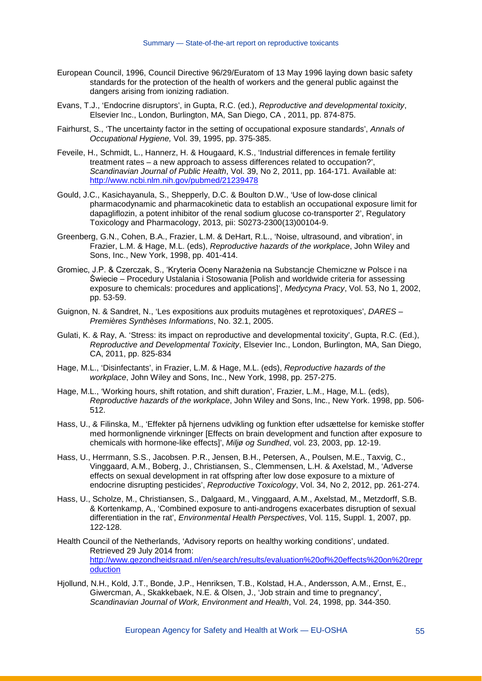- European Council, 1996, Council Directive 96/29/Euratom of 13 May 1996 laying down basic safety standards for the protection of the health of workers and the general public against the dangers arising from ionizing radiation.
- Evans, T.J., 'Endocrine disruptors', in Gupta, R.C. (ed.), *Reproductive and developmental toxicity*, Elsevier Inc., London, Burlington, MA, San Diego, CA , 2011, pp. 874-875.
- Fairhurst, S., 'The uncertainty factor in the setting of occupational exposure standards', *Annals of Occupational Hygiene,* Vol. 39, 1995, pp. 375-385.
- Feveile, H., Schmidt, L., Hannerz, H. & Hougaard, K.S., 'Industrial differences in female fertility treatment rates – a new approach to assess differences related to occupation?', *Scandinavian Journal of Public Health*, Vol. 39, No 2, 2011, pp. 164-171. Available at: <http://www.ncbi.nlm.nih.gov/pubmed/21239478>
- Gould, J.C., Kasichayanula, S., Shepperly, D.C. & Boulton D.W., 'Use of low-dose clinical pharmacodynamic and pharmacokinetic data to establish an occupational exposure limit for dapagliflozin, a potent inhibitor of the renal sodium glucose co-transporter 2', Regulatory Toxicology and Pharmacology, 2013, pii: S0273-2300(13)00104-9.
- Greenberg, G.N., Cohen, B.A., Frazier, L.M. & DeHart, R.L., 'Noise, ultrasound, and vibration', in Frazier, L.M. & Hage, M.L. (eds), *Reproductive hazards of the workplace*, John Wiley and Sons, Inc., New York, 1998, pp. 401-414.
- Gromiec, J.P. & Czerczak, S., 'Kryteria Oceny Narażenia na Substancje Chemiczne w Polsce i na Świecie – Procedury Ustalania i Stosowania [Polish and worldwide criteria for assessing exposure to chemicals: procedures and applications]', *Medycyna Pracy*, Vol. 53, No 1, 2002, pp. 53-59.
- Guignon, N. & Sandret, N., 'Les expositions aux produits mutagènes et reprotoxiques', *DARES – Premières Synthèses Informations*, No. 32.1, 2005.
- Gulati, K. & Ray, A. 'Stress: its impact on reproductive and developmental toxicity', Gupta, R.C. (Ed.), *Reproductive and Developmental Toxicity*, Elsevier Inc., London, Burlington, MA, San Diego, CA, 2011, pp. 825-834
- Hage, M.L., 'Disinfectants', in Frazier, L.M. & Hage, M.L. (eds), *Reproductive hazards of the workplace*, John Wiley and Sons, Inc., New York, 1998, pp. 257-275.
- Hage, M.L., 'Working hours, shift rotation, and shift duration', Frazier, L.M., Hage, M.L. (eds), *Reproductive hazards of the workplace*, John Wiley and Sons, Inc., New York. 1998, pp. 506- 512.
- Hass, U., & Filinska, M., 'Effekter på hjernens udvikling og funktion efter udsættelse for kemiske stoffer med hormonlignende virkninger [Effects on brain development and function after exposure to chemicals with hormone-like effects]', *Miljø og Sundhed*, vol. 23, 2003, pp. 12-19.
- Hass, U., Herrmann, S.S., Jacobsen. P.R., Jensen, B.H., Petersen, A., Poulsen, M.E., Taxvig, C., Vinggaard, A.M., Boberg, J., Christiansen, S., Clemmensen, L.H. & Axelstad, M., 'Adverse effects on sexual development in rat offspring after low dose exposure to a mixture of endocrine disrupting pesticides', *Reproductive Toxicology*, Vol. 34, No 2, 2012, pp. 261-274.
- Hass, U., Scholze, M., Christiansen, S., Dalgaard, M., Vinggaard, A.M., Axelstad, M., Metzdorff, S.B. & Kortenkamp, A., 'Combined exposure to anti-androgens exacerbates disruption of sexual differentiation in the rat', *Environmental Health Perspectives*, Vol. 115, Suppl. 1, 2007, pp. 122-128.
- Health Council of the Netherlands, 'Advisory reports on healthy working conditions', undated. Retrieved 29 July 2014 from: [http://www.gezondheidsraad.nl/en/search/results/evaluation%20of%20effects%20on%20repr](http://www.gezondheidsraad.nl/en/search/results/evaluation%20of%20effects%20on%20reproduction) [oduction](http://www.gezondheidsraad.nl/en/search/results/evaluation%20of%20effects%20on%20reproduction)
- Hjollund, N.H., Kold, J.T., Bonde, J.P., Henriksen, T.B., Kolstad, H.A., Andersson, A.M., Ernst, E., Giwercman, A., Skakkebaek, N.E. & Olsen, J., 'Job strain and time to pregnancy', *Scandinavian Journal of Work, Environment and Health*, Vol. 24, 1998, pp. 344-350.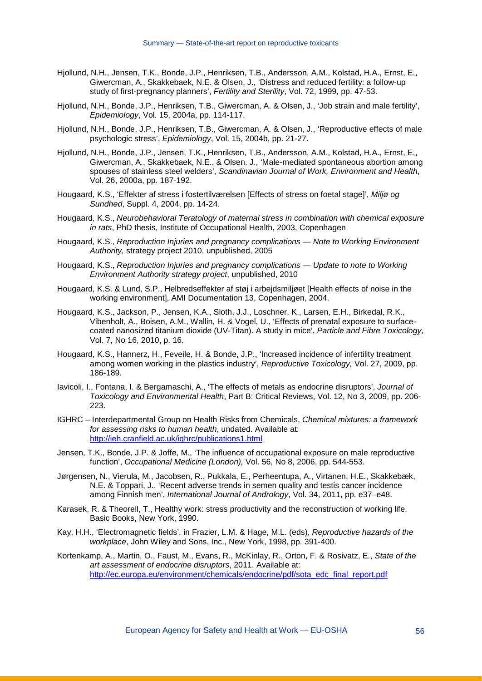- Hjollund, N.H., Jensen, T.K., Bonde, J.P., Henriksen, T.B., Andersson, A.M., Kolstad, H.A., Ernst, E., Giwercman, A., Skakkebaek, N.E. & Olsen, J., 'Distress and reduced fertility: a follow-up study of first-pregnancy planners', *Fertility and Sterility*, Vol. 72, 1999, pp. 47-53.
- Hjollund, N.H., Bonde, J.P., Henriksen, T.B., Giwercman, A. & Olsen, J., 'Job strain and male fertility', *Epidemiology*, Vol. 15, 2004a, pp. 114-117.
- Hjollund, N.H., Bonde, J.P., Henriksen, T.B., Giwercman, A. & Olsen, J., 'Reproductive effects of male psychologic stress', *Epidemiology*, Vol. 15, 2004b, pp. 21-27.
- Hjollund, N.H., Bonde, J.P., Jensen, T.K., Henriksen, T.B., Andersson, A.M., Kolstad, H.A., Ernst, E., Giwercman, A., Skakkebaek, N.E., & Olsen. J., 'Male-mediated spontaneous abortion among spouses of stainless steel welders', *Scandinavian Journal of Work, Environment and Health*, Vol. 26, 2000a, pp. 187-192.
- Hougaard, K.S., 'Effekter af stress i fostertilværelsen [Effects of stress on foetal stage]', *Miljø og Sundhed*, Suppl. 4, 2004, pp. 14-24.
- Hougaard, K.S., *Neurobehavioral Teratology of maternal stress in combination with chemical exposure in rats*, PhD thesis, Institute of Occupational Health, 2003, Copenhagen
- Hougaard, K.S., *Reproduction Injuries and pregnancy complications — Note to Working Environment Authority,* strategy project 2010, unpublished, 2005
- Hougaard, K.S., *Reproduction Injuries and pregnancy complications — Update to note to Working Environment Authority strategy project*, unpublished, 2010
- Hougaard, K.S. & Lund, S.P., Helbredseffekter af støj i arbejdsmiljøet [Health effects of noise in the working environment], AMI Documentation 13, Copenhagen, 2004.
- Hougaard, K.S., Jackson, P., Jensen, K.A., Sloth, J.J., Loschner, K., Larsen, E.H., Birkedal, R.K., Vibenholt, A., Boisen, A.M., Wallin, H. & Vogel, U., 'Effects of prenatal exposure to surfacecoated nanosized titanium dioxide (UV-Titan). A study in mice', *Particle and Fibre Toxicology,* Vol. 7, No 16, 2010, p. 16.
- Hougaard, K.S., Hannerz, H., Feveile, H. & Bonde, J.P., 'Increased incidence of infertility treatment among women working in the plastics industry', *Reproductive Toxicology,* Vol. 27, 2009, pp. 186-189.
- Iavicoli, I., Fontana, I. & Bergamaschi, A., 'The effects of metals as endocrine disruptors', *Journal of Toxicology and Environmental Health*, Part B: Critical Reviews, Vol. 12, No 3, 2009, pp. 206- 223.
- IGHRC Interdepartmental Group on Health Risks from Chemicals, *Chemical mixtures: a framework for assessing risks to human health*, undated. Available at: <http://ieh.cranfield.ac.uk/ighrc/publications1.html>
- Jensen, T.K., Bonde, J.P. & Joffe, M., 'The influence of occupational exposure on male reproductive function', *Occupational Medicine (London),* Vol. 56, No 8, 2006, pp. 544-553.
- Jørgensen, N., Vierula, M., Jacobsen, R., Pukkala, E., Perheentupa, A., Virtanen, H.E., Skakkebæk, N.E. & Toppari, J., 'Recent adverse trends in semen quality and testis cancer incidence among Finnish men', *International Journal of Andrology*, Vol. 34, 2011, pp. e37–e48.
- Karasek, R. & Theorell, T., Healthy work: stress productivity and the reconstruction of working life, Basic Books, New York, 1990.
- Kay, H.H., 'Electromagnetic fields', in Frazier, L.M. & Hage, M.L. (eds), *Reproductive hazards of the workplace*, John Wiley and Sons, Inc., New York, 1998, pp. 391-400.
- Kortenkamp, A., Martin, O., Faust, M., Evans, R., McKinlay, R., Orton, F. & Rosivatz, E., *State of the art assessment of endocrine disruptors*, 2011. Available at: [http://ec.europa.eu/environment/chemicals/endocrine/pdf/sota\\_edc\\_final\\_report.pdf](http://ec.europa.eu/environment/chemicals/endocrine/pdf/sota_edc_final_report.pdf)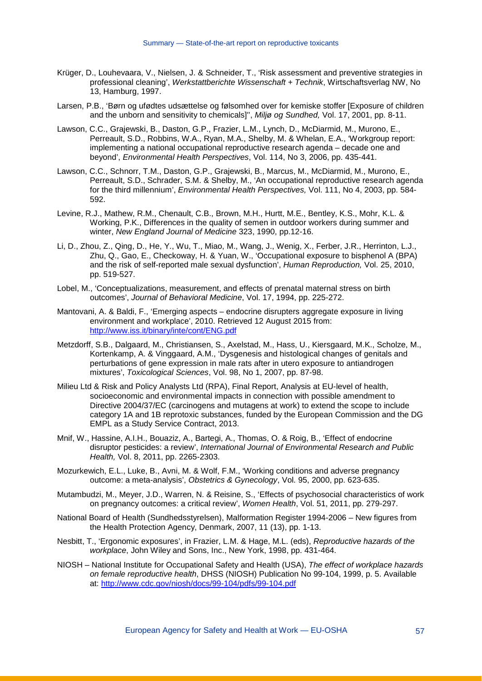- Krüger, D., Louhevaara, V., Nielsen, J. & Schneider, T., 'Risk assessment and preventive strategies in professional cleaning', *Werkstattberichte Wissenschaft + Technik*, Wirtschaftsverlag NW, No 13, Hamburg, 1997.
- Larsen, P.B., 'Børn og ufødtes udsættelse og følsomhed over for kemiske stoffer [Exposure of children and the unborn and sensitivity to chemicals]'', *Miljø og Sundhed,* Vol. 17, 2001, pp. 8-11.
- Lawson, C.C., Grajewski, B., Daston, G.P., Frazier, L.M., Lynch, D., McDiarmid, M., Murono, E., Perreault, S.D., Robbins, W.A., Ryan, M.A., Shelby, M. & Whelan, E.A., 'Workgroup report: implementing a national occupational reproductive research agenda – decade one and beyond', *Environmental Health Perspectives*, Vol. 114, No 3, 2006, pp. 435-441.
- Lawson, C.C., Schnorr, T.M., Daston, G.P., Grajewski, B., Marcus, M., McDiarmid, M., Murono, E., Perreault, S.D., Schrader, S.M. & Shelby, M., 'An occupational reproductive research agenda for the third millennium', *Environmental Health Perspectives,* Vol. 111, No 4, 2003, pp. 584- 592.
- Levine, R.J., Mathew, R.M., Chenault, C.B., Brown, M.H., Hurtt, M.E., Bentley, K.S., Mohr, K.L. & Working, P.K., Differences in the quality of semen in outdoor workers during summer and winter, *New England Journal of Medicine* 323, 1990, pp.12-16.
- Li, D., Zhou, Z., Qing, D., He, Y., Wu, T., Miao, M., Wang, J., Wenig, X., Ferber, J.R., Herrinton, L.J., Zhu, Q., Gao, E., Checkoway, H. & Yuan, W., 'Occupational exposure to bisphenol A (BPA) and the risk of self-reported male sexual dysfunction', *Human Reproduction,* Vol. 25, 2010, pp. 519-527.
- Lobel, M., 'Conceptualizations, measurement, and effects of prenatal maternal stress on birth outcomes', *Journal of Behavioral Medicine*, Vol. 17, 1994, pp. 225-272.
- Mantovani, A. & Baldi, F., 'Emerging aspects endocrine disrupters aggregate exposure in living environment and workplace', 2010. Retrieved 12 August 2015 from: <http://www.iss.it/binary/inte/cont/ENG.pdf>
- Metzdorff, S.B., Dalgaard, M., Christiansen, S., Axelstad, M., Hass, U., Kiersgaard, M.K., Scholze, M., Kortenkamp, A. & Vinggaard, A.M., 'Dysgenesis and histological changes of genitals and perturbations of gene expression in male rats after in utero exposure to antiandrogen mixtures', *Toxicological Sciences*, Vol. 98, No 1, 2007, pp. 87-98.
- Milieu Ltd & Risk and Policy Analysts Ltd (RPA), Final Report, Analysis at EU-level of health, socioeconomic and environmental impacts in connection with possible amendment to Directive 2004/37/EC (carcinogens and mutagens at work) to extend the scope to include category 1A and 1B reprotoxic substances, funded by the European Commission and the DG EMPL as a Study Service Contract, 2013.
- Mnif, W., Hassine, A.I.H., Bouaziz, A., Bartegi, A., Thomas, O. & Roig, B., 'Effect of endocrine disruptor pesticides: a review', *International Journal of Environmental Research and Public Health,* Vol. 8, 2011, pp. 2265-2303.
- Mozurkewich, E.L., Luke, B., Avni, M. & Wolf, F.M., 'Working conditions and adverse pregnancy outcome: a meta-analysis', *Obstetrics & Gynecology*, Vol. 95, 2000, pp. 623-635.
- Mutambudzi, M., Meyer, J.D., Warren, N. & Reisine, S., 'Effects of psychosocial characteristics of work on pregnancy outcomes: a critical review', *Women Health*, Vol. 51, 2011, pp. 279-297.
- National Board of Health (Sundhedsstyrelsen), Malformation Register 1994-2006 New figures from the Health Protection Agency, Denmark, 2007, 11 (13), pp. 1-13.
- Nesbitt, T., 'Ergonomic exposures', in Frazier, L.M. & Hage, M.L. (eds), *Reproductive hazards of the workplace*, John Wiley and Sons, Inc., New York, 1998, pp. 431-464.
- NIOSH National Institute for Occupational Safety and Health (USA), *The effect of workplace hazards on female reproductive health*, DHSS (NIOSH) Publication No 99-104, 1999, p. 5. Available at:<http://www.cdc.gov/niosh/docs/99-104/pdfs/99-104.pdf>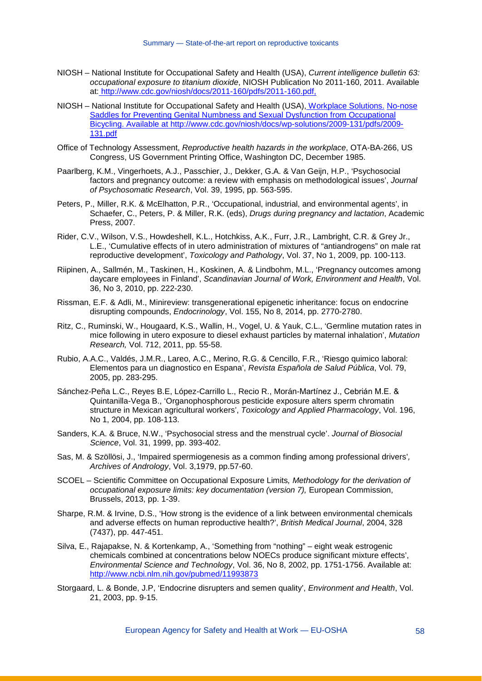- NIOSH National Institute for Occupational Safety and Health (USA), *Current intelligence bulletin 63: occupational exposure to titanium dioxide*, NIOSH Publication No 2011-160, 2011. Available at: [http://www.cdc.gov/niosh/docs/2011-160/pdfs/2011-160.pdf,](http://www.cdc.gov/niosh/docs/2011-160/pdfs/2011-160.pdf)
- NIOSH National Institute for Occupational Safety and Health (USA), Workplace Solutions. No-nose Saddles for Preventing Genital Numbness and Sexual Dysfunction from Occupational Bicycling. Available at http://www.cdc.gov/niosh/docs/wp-solutions/2009-131/pdfs/2009- 131.pdf
- Office of Technology Assessment, *Reproductive health hazards in the workplace*, OTA-BA-266, US Congress, US Government Printing Office, Washington DC, December 1985.
- Paarlberg, K.M., Vingerhoets, A.J., Passchier, J., Dekker, G.A. & Van Geijn, H.P., 'Psychosocial factors and pregnancy outcome: a review with emphasis on methodological issues', *Journal of Psychosomatic Research*, Vol. 39, 1995, pp. 563-595.
- Peters, P., Miller, R.K. & McElhatton, P.R., 'Occupational, industrial, and environmental agents', in Schaefer, C., Peters, P. & Miller, R.K. (eds), *Drugs during pregnancy and lactation*, Academic Press, 2007.
- Rider, C.V., Wilson, V.S., Howdeshell, K.L., Hotchkiss, A.K., Furr, J.R., Lambright, C.R. & Grey Jr., L.E., 'Cumulative effects of in utero administration of mixtures of "antiandrogens" on male rat reproductive development', *Toxicology and Pathology*, Vol. 37, No 1, 2009, pp. 100-113.
- Riipinen, A., Sallmén, M., Taskinen, H., Koskinen, A. & Lindbohm, M.L., 'Pregnancy outcomes among daycare employees in Finland', *Scandinavian Journal of Work, Environment and Health*, Vol. 36, No 3, 2010, pp. 222-230.
- Rissman, E.F. & Adli, M., Minireview: transgenerational epigenetic inheritance: focus on endocrine disrupting compounds, *Endocrinology*, Vol. 155, No 8, 2014, pp. 2770-2780.
- Ritz, C., Ruminski, W., Hougaard, K.S., Wallin, H., Vogel, U. & Yauk, C.L., 'Germline mutation rates in mice following in utero exposure to diesel exhaust particles by maternal inhalation', *Mutation Research,* Vol. 712, 2011, pp. 55-58.
- Rubio, A.A.C., Valdés, J.M.R., Lareo, A.C., Merino, R.G. & Cencillo, F.R., 'Riesgo quimico laboral: Elementos para un diagnostico en Espana', *Revista Española de Salud Pública*, Vol. 79, 2005, pp. 283-295.
- Sánchez-Peña L.C., Reyes B.E, López-Carrillo L., Recio R., Morán-Martínez J., Cebrián M.E. & Quintanilla-Vega B., 'Organophosphorous pesticide exposure alters sperm chromatin structure in Mexican agricultural workers', *Toxicology and Applied Pharmacology*, Vol. 196, No 1, 2004, pp. 108-113.
- Sanders, K.A. & Bruce, N.W., 'Psychosocial stress and the menstrual cycle'. *Journal of Biosocial Science*, Vol. 31, 1999, pp. 393-402.
- Sas, M. & Szöllösi, J., 'Impaired spermiogenesis as a common finding among professional drivers'*, Archives of Andrology*, Vol. 3,1979, pp.57-60.
- SCOEL Scientific Committee on Occupational Exposure Limits*, Methodology for the derivation of occupational exposure limits: key documentation (version 7),* European Commission, Brussels, 2013, pp. 1-39.
- Sharpe, R.M. & Irvine, D.S., 'How strong is the evidence of a link between environmental chemicals and adverse effects on human reproductive health?', *British Medical Journal*, 2004, 328 (7437), pp. 447-451.
- Silva, E., Rajapakse, N. & Kortenkamp, A., 'Something from "nothing" eight weak estrogenic chemicals combined at concentrations below NOECs produce significant mixture effects', *Environmental Science and Technology*, Vol. 36, No 8, 2002, pp. 1751-1756. Available at: <http://www.ncbi.nlm.nih.gov/pubmed/11993873>
- Storgaard, L. & Bonde, J.P, 'Endocrine disrupters and semen quality', *Environment and Health*, Vol. 21, 2003, pp. 9-15.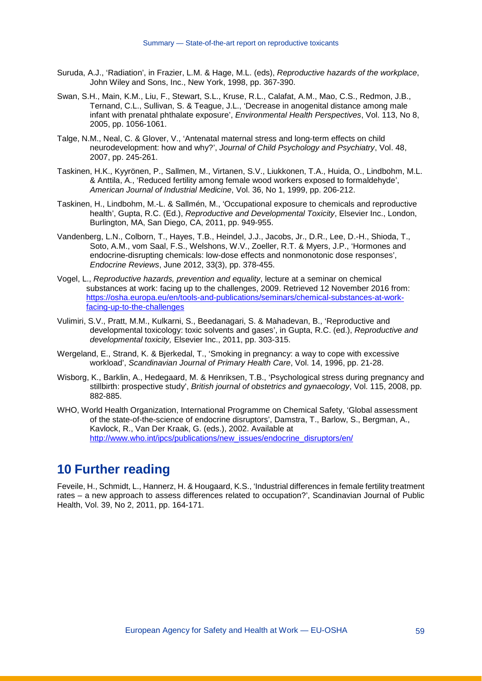- Suruda, A.J., 'Radiation', in Frazier, L.M. & Hage, M.L. (eds), *Reproductive hazards of the workplace*, John Wiley and Sons, Inc., New York, 1998, pp. 367-390.
- Swan, S.H., Main, K.M., Liu, F., Stewart, S.L., Kruse, R.L., Calafat, A.M., Mao, C.S., Redmon, J.B., Ternand, C.L., Sullivan, S. & Teague, J.L., 'Decrease in anogenital distance among male infant with prenatal phthalate exposure', *Environmental Health Perspectives*, Vol. 113, No 8, 2005, pp. 1056-1061.
- Talge, N.M., Neal, C. & Glover, V., 'Antenatal maternal stress and long-term effects on child neurodevelopment: how and why?', *Journal of Child Psychology and Psychiatry*, Vol. 48, 2007, pp. 245-261.
- Taskinen, H.K., Kyyrönen, P., Sallmen, M., Virtanen, S.V., Liukkonen, T.A., Huida, O., Lindbohm, M.L. & Anttila, A., 'Reduced fertility among female wood workers exposed to formaldehyde', *American Journal of Industrial Medicine*, Vol. 36, No 1, 1999, pp. 206-212.
- Taskinen, H., Lindbohm, M.-L. & Sallmén, M., 'Occupational exposure to chemicals and reproductive health', Gupta, R.C. (Ed.), *Reproductive and Developmental Toxicity*, Elsevier Inc., London, Burlington, MA, San Diego, CA, 2011, pp. 949-955.
- Vandenberg, L.N., Colborn, T., Hayes, T.B., Heindel, J.J., Jacobs, Jr., D.R., Lee, D.-H., Shioda, T., Soto, A.M., vom Saal, F.S., Welshons, W.V., Zoeller, R.T. & Myers, J.P., 'Hormones and endocrine-disrupting chemicals: low-dose effects and nonmonotonic dose responses', *Endocrine Reviews*, June 2012, 33(3), pp. 378-455.
- Vogel, L., *Reproductive hazards, prevention and equality*, lecture at a seminar on chemical substances at work: facing up to the challenges, 2009. Retrieved 12 November 2016 from: [https://osha.europa.eu/en/tools-and-publications/seminars/chemical-substances-at-work](https://osha.europa.eu/en/tools-and-publications/seminars/chemical-substances-at-work-facing-up-to-the-challenges)[facing-up-to-the-challenges](https://osha.europa.eu/en/tools-and-publications/seminars/chemical-substances-at-work-facing-up-to-the-challenges)
- Vulimiri, S.V., Pratt, M.M., Kulkarni, S., Beedanagari, S. & Mahadevan, B., 'Reproductive and developmental toxicology: toxic solvents and gases', in Gupta, R.C. (ed.), *Reproductive and developmental toxicity,* Elsevier Inc., 2011, pp. 303-315.
- Wergeland, E., Strand, K. & Bjerkedal, T., 'Smoking in pregnancy: a way to cope with excessive workload', *Scandinavian Journal of Primary Health Care*, Vol. 14, 1996, pp. 21-28.
- Wisborg, K., Barklin, A., Hedegaard, M. & Henriksen, T.B., 'Psychological stress during pregnancy and stillbirth: prospective study', *British journal of obstetrics and gynaecology*, Vol. 115, 2008, pp. 882-885.
- WHO, World Health Organization, International Programme on Chemical Safety, 'Global assessment of the state-of-the-science of endocrine disruptors', Damstra, T., Barlow, S., Bergman, A., Kavlock, R., Van Der Kraak, G. (eds.), 2002. Available at [http://www.who.int/ipcs/publications/new\\_issues/endocrine\\_disruptors/en/](http://www.who.int/ipcs/publications/new_issues/endocrine_disruptors/en/)

## **10 Further reading**

Feveile, H., Schmidt, L., Hannerz, H. & Hougaard, K.S., 'Industrial differences in female fertility treatment rates – a new approach to assess differences related to occupation?', Scandinavian Journal of Public Health, Vol. 39, No 2, 2011, pp. 164-171.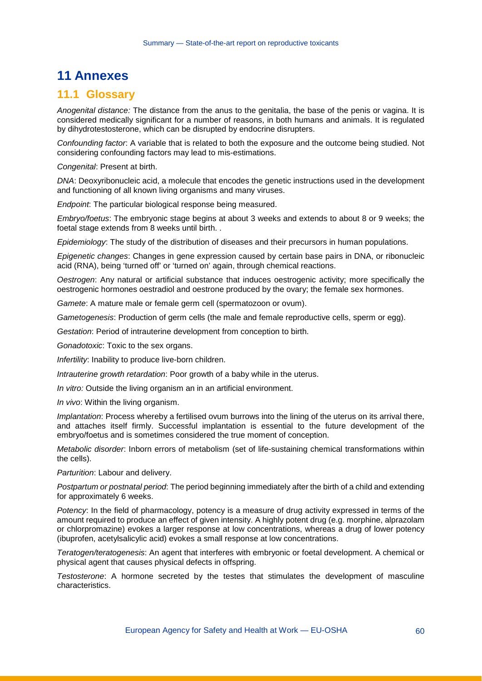## **11 Annexes**

#### **11.1 Glossary**

*Anogenital distance:* The distance from the anus to the genitalia, the base of the penis or vagina. It is considered medically significant for a number of reasons, in both humans and animals. It is regulated by dihydrotestosterone, which can be disrupted by endocrine disrupters.

*Confounding factor*: A variable that is related to both the exposure and the outcome being studied. Not considering confounding factors may lead to mis-estimations.

*Congenital*: Present at birth.

*DNA*: Deoxyribonucleic acid, a molecule that encodes the genetic instructions used in the development and functioning of all known living organisms and many viruses.

*Endpoint*: The particular biological response being measured.

*Embryo/foetus*: The embryonic stage begins at about 3 weeks and extends to about 8 or 9 weeks; the foetal stage extends from 8 weeks until birth. .

*Epidemiology*: The study of the distribution of diseases and their precursors in human populations.

*Epigenetic changes*: Changes in gene expression caused by certain base pairs in DNA, or ribonucleic acid (RNA), being 'turned off' or 'turned on' again, through chemical reactions.

*Oestrogen*: Any natural or artificial substance that induces oestrogenic activity; more specifically the oestrogenic hormones oestradiol and oestrone produced by the ovary; the female sex hormones.

*Gamete*: A mature male or female germ cell (spermatozoon or ovum).

*Gametogenesis*: Production of germ cells (the male and female reproductive cells, sperm or egg).

*Gestation*: Period of intrauterine development from conception to birth.

*Gonadotoxic*: Toxic to the sex organs.

*Infertility*: Inability to produce live-born children.

*Intrauterine growth retardation*: Poor growth of a baby while in the uterus.

*In vitro:* Outside the living organism an in an artificial environment.

*In vivo*: Within the living organism.

*Implantation*: Process whereby a fertilised ovum burrows into the lining of the uterus on its arrival there, and attaches itself firmly. Successful implantation is essential to the future development of the embryo/foetus and is sometimes considered the true moment of conception.

*Metabolic disorder*: Inborn errors of metabolism (set of life-sustaining chemical transformations within the cells).

*Parturition*: Labour and delivery.

*Postpartum or postnatal period*: The period beginning immediately after the birth of a child and extending for approximately 6 weeks.

*Potency*: In the field of pharmacology, potency is a measure of drug activity expressed in terms of the amount required to produce an effect of given intensity. A highly potent drug (e.g. morphine, alprazolam or chlorpromazine) evokes a larger response at low concentrations, whereas a drug of lower potency (ibuprofen, acetylsalicylic acid) evokes a small response at low concentrations.

*Teratogen/teratogenesis*: An agent that interferes with embryonic or foetal development. A chemical or physical agent that causes physical defects in offspring.

*Testosterone*: A hormone secreted by the testes that stimulates the development of masculine characteristics.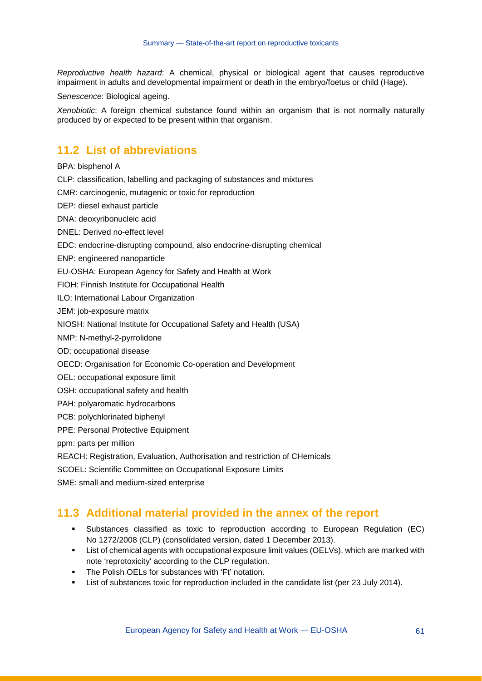*Reproductive health hazard*: A chemical, physical or biological agent that causes reproductive impairment in adults and developmental impairment or death in the embryo/foetus or child (Hage).

*Senescence*: Biological ageing.

*Xenobiotic*: A foreign chemical substance found within an organism that is not normally naturally produced by or expected to be present within that organism.

#### **11.2 List of abbreviations**

BPA: bisphenol A

CLP: classification, labelling and packaging of substances and mixtures

CMR: carcinogenic, mutagenic or toxic for reproduction

DEP: diesel exhaust particle

DNA: deoxyribonucleic acid

DNEL: Derived no-effect level

EDC: endocrine-disrupting compound, also endocrine-disrupting chemical

ENP: engineered nanoparticle

EU-OSHA: European Agency for Safety and Health at Work

FIOH: Finnish Institute for Occupational Health

ILO: International Labour Organization

JEM: job-exposure matrix

NIOSH: National Institute for Occupational Safety and Health (USA)

NMP: N-methyl-2-pyrrolidone

OD: occupational disease

OECD: Organisation for Economic Co-operation and Development

OEL: occupational exposure limit

OSH: occupational safety and health

PAH: polyaromatic hydrocarbons

PCB: polychlorinated biphenyl

PPE: Personal Protective Equipment

ppm: parts per million

REACH: Registration, Evaluation, Authorisation and restriction of CHemicals

SCOEL: Scientific Committee on Occupational Exposure Limits

SME: small and medium-sized enterprise

#### **11.3 Additional material provided in the annex of the report**

- Substances classified as toxic to reproduction according to European Regulation (EC) No 1272/2008 (CLP) (consolidated version, dated 1 December 2013).
- List of chemical agents with occupational exposure limit values (OELVs), which are marked with note 'reprotoxicity' according to the CLP regulation.
- **The Polish OELs for substances with 'Ft' notation.**
- List of substances toxic for reproduction included in the candidate list (per 23 July 2014).